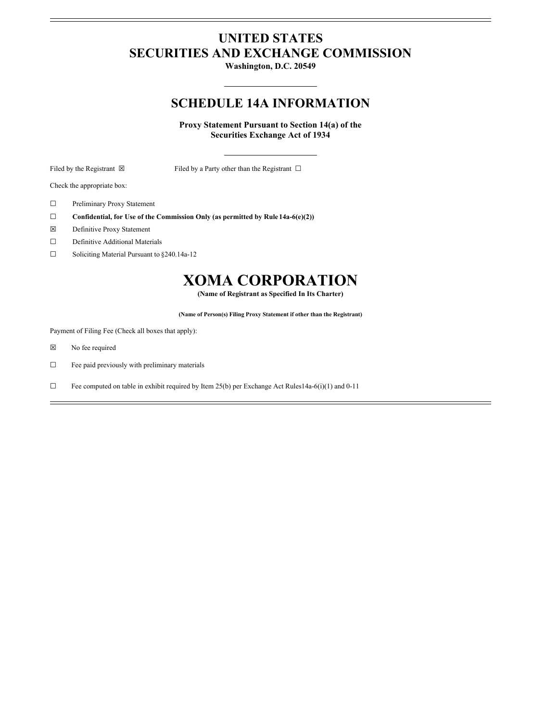# **UNITED STATES SECURITIES AND EXCHANGE COMMISSION**

**Washington, D.C. 20549**

## **SCHEDULE 14A INFORMATION**

**Proxy Statement Pursuant to Section 14(a) of the Securities Exchange Act of 1934**

Filed by the Registrant ⊠ Filed by a Party other than the Registrant □

Check the appropriate box:

- ☐ Preliminary Proxy Statement
- ☐ **Confidential, for Use of the Commission Only (as permitted by Rule 14a-6(e)(2))**
- ☒ Definitive Proxy Statement
- ☐ Definitive Additional Materials
- ☐ Soliciting Material Pursuant to §240.14a-12

# **XOMA CORPORATION**

**(Name of Registrant as Specified In Its Charter)**

**(Name of Person(s) Filing Proxy Statement if other than the Registrant)**

Payment of Filing Fee (Check all boxes that apply):

- ☒ No fee required
- $\Box$  Fee paid previously with preliminary materials
- ☐ Fee computed on table in exhibit required by Item 25(b) per Exchange Act Rules14a-6(i)(1) and 0-11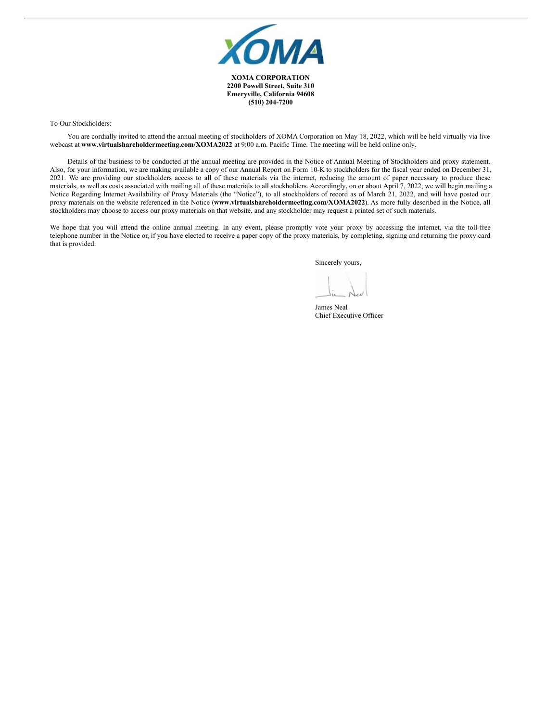

**2200 Powell Street, Suite 310 Emeryville, California 94608 (510) 204-7200**

To Our Stockholders:

You are cordially invited to attend the annual meeting of stockholders of XOMA Corporation on May 18, 2022, which will be held virtually via live webcast at **www.virtualshareholdermeeting.com/XOMA2022** at 9:00 a.m. Pacific Time. The meeting will be held online only.

Details of the business to be conducted at the annual meeting are provided in the Notice of Annual Meeting of Stockholders and proxy statement. Also, for your information, we are making available a copy of our Annual Report on Form 10-K to stockholders for the fiscal year ended on December 31, 2021. We are providing our stockholders access to all of these materials via the internet, reducing the amount of paper necessary to produce these materials, as well as costs associated with mailing all of these materials to all stockholders. Accordingly, on or about April 7, 2022, we will begin mailing a Notice Regarding Internet Availability of Proxy Materials (the "Notice"), to all stockholders of record as of March 21, 2022, and will have posted our proxy materials on the website referenced in the Notice (**www.virtualshareholdermeeting.com/XOMA2022**). As more fully described in the Notice, all stockholders may choose to access our proxy materials on that website, and any stockholder may request a printed set of such materials.

We hope that you will attend the online annual meeting. In any event, please promptly vote your proxy by accessing the internet, via the toll-free telephone number in the Notice or, if you have elected to receive a paper copy of the proxy materials, by completing, signing and returning the proxy card that is provided.

Sincerely yours,

James Neal Chief Executive Officer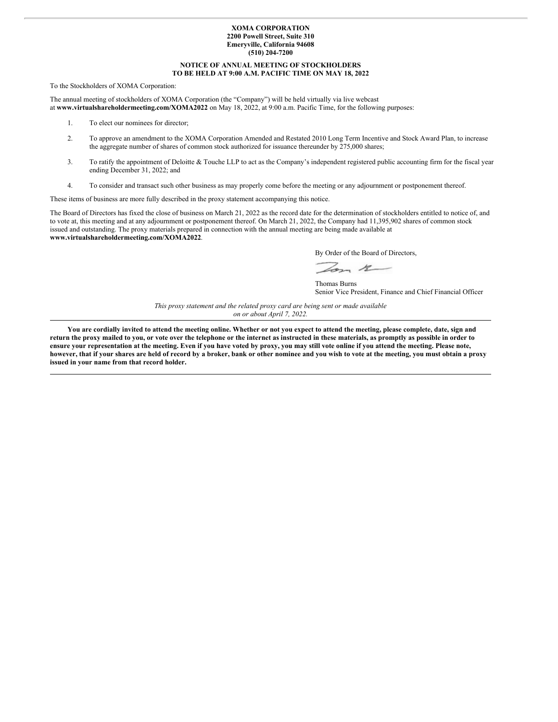#### **XOMA CORPORATION 2200 Powell Street, Suite 310 Emeryville, California 94608 (510) 204-7200**

#### **NOTICE OF ANNUAL MEETING OF STOCKHOLDERS TO BE HELD AT 9:00 A.M. PACIFIC TIME ON MAY 18, 2022**

To the Stockholders of XOMA Corporation:

The annual meeting of stockholders of XOMA Corporation (the "Company") will be held virtually via live webcast at **www.virtualshareholdermeeting.com/XOMA2022** on May 18, 2022, at 9:00 a.m. Pacific Time, for the following purposes:

- 1. To elect our nominees for director;
- 2. To approve an amendment to the XOMA Corporation Amended and Restated 2010 Long Term Incentive and Stock Award Plan, to increase the aggregate number of shares of common stock authorized for issuance thereunder by 275,000 shares;
- 3. To ratify the appointment of Deloitte & Touche LLP to act as the Company's independent registered public accounting firm for the fiscal year ending December 31, 2022; and
- 4. To consider and transact such other business as may properly come before the meeting or any adjournment or postponement thereof.

These items of business are more fully described in the proxy statement accompanying this notice.

The Board of Directors has fixed the close of business on March 21, 2022 as the record date for the determination of stockholders entitled to notice of, and to vote at, this meeting and at any adjournment or postponement thereof. On March 21, 2022, the Company had 11,395,902 shares of common stock issued and outstanding. The proxy materials prepared in connection with the annual meeting are being made available at **www.virtualshareholdermeeting.com/XOMA2022**.

By Order of the Board of Directors,

 $-22$ 

Thomas Burns Senior Vice President, Finance and Chief Financial Officer

*This proxy statement and the related proxy card are being sent or made available on or about April 7, 2022.*

You are cordially invited to attend the meeting online. Whether or not you expect to attend the meeting, please complete, date, sign and return the proxy mailed to you, or vote over the telephone or the internet as instructed in these materials, as promptly as possible in order to ensure your representation at the meeting. Even if you have voted by proxy, you may still vote online if you attend the meeting. Please note, however, that if your shares are held of record by a broker, bank or other nominee and you wish to vote at the meeting, you must obtain a proxy **issued in your name from that record holder.**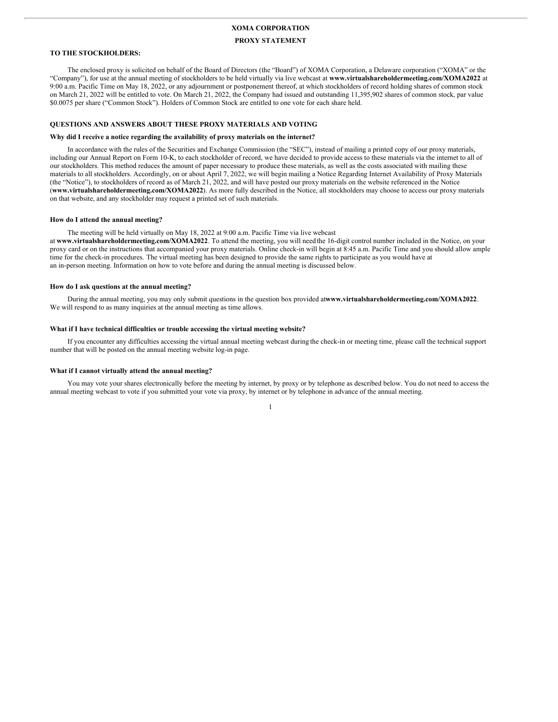#### **XOMA CORPORATION**

#### **PROXY STATEMENT**

#### **TO THE STOCKHOLDERS:**

The enclosed proxy is solicited on behalf of the Board of Directors (the "Board") of XOMA Corporation, a Delaware corporation ("XOMA" or the "Company"), for use at the annual meeting of stockholders to be held virtually via live webcast at **www.virtualshareholdermeeting.com/XOMA2022** at 9:00 a.m. Pacific Time on May 18, 2022, or any adjournment or postponement thereof, at which stockholders of record holding shares of common stock on March 21, 2022 will be entitled to vote. On March 21, 2022, the Company had issued and outstanding 11,395,902 shares of common stock, par value \$0.0075 per share ("Common Stock"). Holders of Common Stock are entitled to one vote for each share held.

#### **QUESTIONS AND ANSWERS ABOUT THESE PROXY MATERIALS AND VOTING**

#### **Why did I receive a notice regarding the availability of proxy materials on the internet?**

In accordance with the rules of the Securities and Exchange Commission (the "SEC"), instead of mailing a printed copy of our proxy materials, including our Annual Report on Form 10-K, to each stockholder of record, we have decided to provide access to these materials via the internet to all of our stockholders. This method reduces the amount of paper necessary to produce these materials, as well as the costs associated with mailing these materials to all stockholders. Accordingly, on or about April 7, 2022, we will begin mailing a Notice Regarding Internet Availability of Proxy Materials (the "Notice"), to stockholders of record as of March 21, 2022, and will have posted our proxy materials on the website referenced in the Notice (**www.virtualshareholdermeeting.com/XOMA2022**). As more fully described in the Notice, all stockholders may choose to access our proxy materials on that website, and any stockholder may request a printed set of such materials.

#### **How do I attend the annual meeting?**

The meeting will be held virtually on May 18, 2022 at 9:00 a.m. Pacific Time via live webcast

at **www.virtualshareholdermeeting.com/XOMA2022**. To attend the meeting, you will need the 16-digit control number included in the Notice, on your proxy card or on the instructions that accompanied your proxy materials. Online check-in will begin at 8:45 a.m. Pacific Time and you should allow ample time for the check-in procedures. The virtual meeting has been designed to provide the same rights to participate as you would have at an in-person meeting. Information on how to vote before and during the annual meeting is discussed below.

#### **How do I ask questions at the annual meeting?**

During the annual meeting, you may only submit questions in the question box provided at**www.virtualshareholdermeeting.com/XOMA2022**. We will respond to as many inquiries at the annual meeting as time allows.

#### **What if I have technical difficulties or trouble accessing the virtual meeting website?**

If you encounter any difficulties accessing the virtual annual meeting webcast during the check-in or meeting time, please call the technical support number that will be posted on the annual meeting website log-in page.

#### **What if I cannot virtually attend the annual meeting?**

You may vote your shares electronically before the meeting by internet, by proxy or by telephone as described below. You do not need to access the annual meeting webcast to vote if you submitted your vote via proxy, by internet or by telephone in advance of the annual meeting.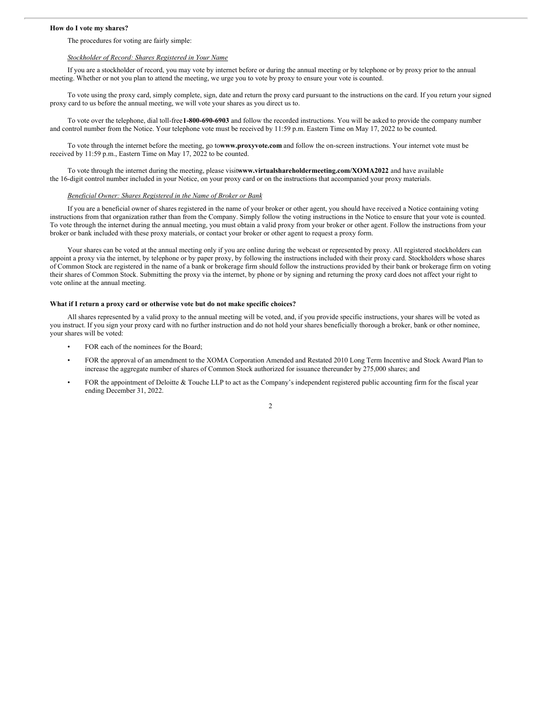#### **How do I vote my shares?**

#### The procedures for voting are fairly simple:

#### *Stockholder of Record: Shares Registered in Your Name*

If you are a stockholder of record, you may vote by internet before or during the annual meeting or by telephone or by proxy prior to the annual meeting. Whether or not you plan to attend the meeting, we urge you to vote by proxy to ensure your vote is counted.

To vote using the proxy card, simply complete, sign, date and return the proxy card pursuant to the instructions on the card. If you return your signed proxy card to us before the annual meeting, we will vote your shares as you direct us to.

To vote over the telephone, dial toll-free**1-800-690-6903** and follow the recorded instructions. You will be asked to provide the company number and control number from the Notice. Your telephone vote must be received by 11:59 p.m. Eastern Time on May 17, 2022 to be counted.

To vote through the internet before the meeting, go to**www.proxyvote.com** and follow the on-screen instructions. Your internet vote must be received by 11:59 p.m., Eastern Time on May 17, 2022 to be counted.

To vote through the internet during the meeting, please visit**www.virtualshareholdermeeting.com/XOMA2022** and have available the 16-digit control number included in your Notice, on your proxy card or on the instructions that accompanied your proxy materials.

#### *Beneficial Owner: Shares Registered in the Name of Broker or Bank*

If you are a beneficial owner of shares registered in the name of your broker or other agent, you should have received a Notice containing voting instructions from that organization rather than from the Company. Simply follow the voting instructions in the Notice to ensure that your vote is counted. To vote through the internet during the annual meeting, you must obtain a valid proxy from your broker or other agent. Follow the instructions from your broker or bank included with these proxy materials, or contact your broker or other agent to request a proxy form.

Your shares can be voted at the annual meeting only if you are online during the webcast or represented by proxy. All registered stockholders can appoint a proxy via the internet, by telephone or by paper proxy, by following the instructions included with their proxy card. Stockholders whose shares of Common Stock are registered in the name of a bank or brokerage firm should follow the instructions provided by their bank or brokerage firm on voting their shares of Common Stock. Submitting the proxy via the internet, by phone or by signing and returning the proxy card does not affect your right to vote online at the annual meeting.

#### **What if I return a proxy card or otherwise vote but do not make specific choices?**

All shares represented by a valid proxy to the annual meeting will be voted, and, if you provide specific instructions, your shares will be voted as you instruct. If you sign your proxy card with no further instruction and do not hold your shares beneficially thorough a broker, bank or other nominee, your shares will be voted:

- FOR each of the nominees for the Board;
- FOR the approval of an amendment to the XOMA Corporation Amended and Restated 2010 Long Term Incentive and Stock Award Plan to increase the aggregate number of shares of Common Stock authorized for issuance thereunder by 275,000 shares; and
- FOR the appointment of Deloitte & Touche LLP to act as the Company's independent registered public accounting firm for the fiscal year ending December 31, 2022.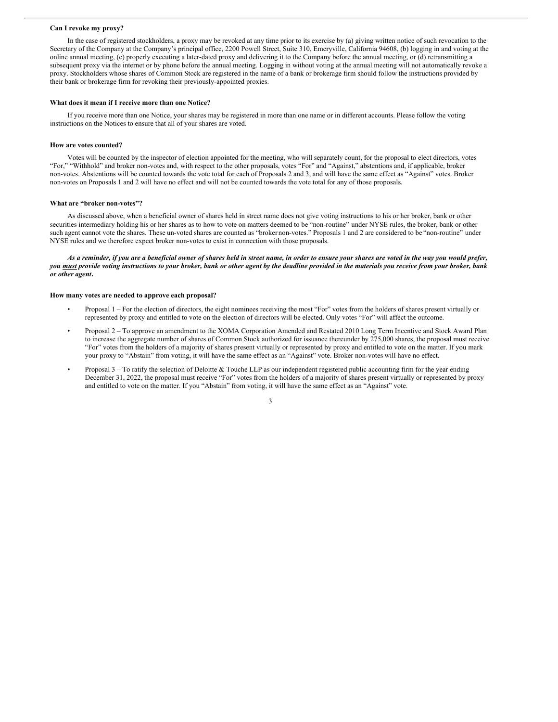#### **Can I revoke my proxy?**

In the case of registered stockholders, a proxy may be revoked at any time prior to its exercise by (a) giving written notice of such revocation to the Secretary of the Company at the Company's principal office, 2200 Powell Street, Suite 310, Emeryville, California 94608, (b) logging in and voting at the online annual meeting, (c) properly executing a later-dated proxy and delivering it to the Company before the annual meeting, or (d) retransmitting a subsequent proxy via the internet or by phone before the annual meeting. Logging in without voting at the annual meeting will not automatically revoke a proxy. Stockholders whose shares of Common Stock are registered in the name of a bank or brokerage firm should follow the instructions provided by their bank or brokerage firm for revoking their previously-appointed proxies.

#### **What does it mean if I receive more than one Notice?**

If you receive more than one Notice, your shares may be registered in more than one name or in different accounts. Please follow the voting instructions on the Notices to ensure that all of your shares are voted.

#### **How are votes counted?**

Votes will be counted by the inspector of election appointed for the meeting, who will separately count, for the proposal to elect directors, votes "For," "Withhold" and broker non-votes and, with respect to the other proposals, votes "For" and "Against," abstentions and, if applicable, broker non-votes. Abstentions will be counted towards the vote total for each of Proposals 2 and 3, and will have the same effect as "Against" votes. Broker non-votes on Proposals 1 and 2 will have no effect and will not be counted towards the vote total for any of those proposals.

#### **What are "broker non-votes"?**

As discussed above, when a beneficial owner of shares held in street name does not give voting instructions to his or her broker, bank or other securities intermediary holding his or her shares as to how to vote on matters deemed to be "non-routine" under NYSE rules, the broker, bank or other such agent cannot vote the shares. These un-voted shares are counted as "broker non-votes." Proposals 1 and 2 are considered to be "non-routine" under NYSE rules and we therefore expect broker non-votes to exist in connection with those proposals.

As a reminder, if you are a beneficial owner of shares held in street name, in order to ensure your shares are voted in the way you would prefer, you must provide voting instructions to your broker, bank or other agent by the deadline provided in the materials you receive from your broker, bank *or other agent***.**

#### **How many votes are needed to approve each proposal?**

- Proposal 1 For the election of directors, the eight nominees receiving the most "For" votes from the holders of shares present virtually or represented by proxy and entitled to vote on the election of directors will be elected. Only votes "For" will affect the outcome.
- Proposal 2 To approve an amendment to the XOMA Corporation Amended and Restated 2010 Long Term Incentive and Stock Award Plan to increase the aggregate number of shares of Common Stock authorized for issuance thereunder by 275,000 shares, the proposal must receive "For" votes from the holders of a majority of shares present virtually or represented by proxy and entitled to vote on the matter. If you mark your proxy to "Abstain" from voting, it will have the same effect as an "Against" vote. Broker non-votes will have no effect.
- Proposal 3 To ratify the selection of Deloitte & Touche LLP as our independent registered public accounting firm for the year ending December 31, 2022, the proposal must receive "For" votes from the holders of a majority of shares present virtually or represented by proxy and entitled to vote on the matter. If you "Abstain" from voting, it will have the same effect as an "Against" vote.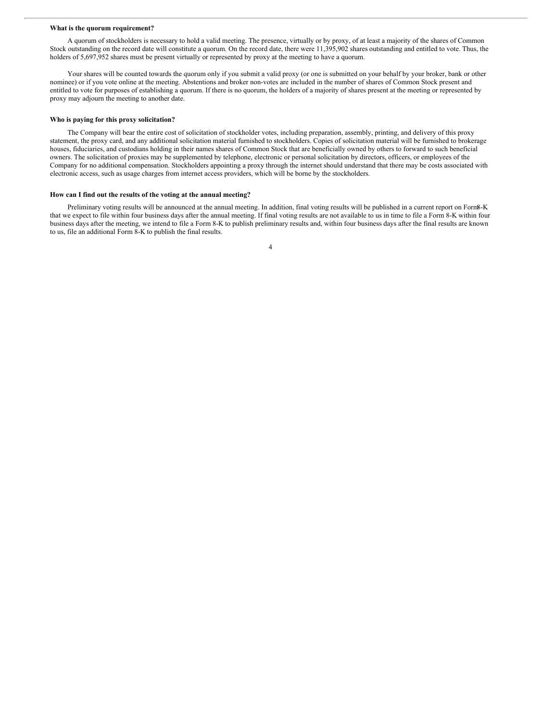#### **What is the quorum requirement?**

A quorum of stockholders is necessary to hold a valid meeting. The presence, virtually or by proxy, of at least a majority of the shares of Common Stock outstanding on the record date will constitute a quorum. On the record date, there were 11,395,902 shares outstanding and entitled to vote. Thus, the holders of 5,697,952 shares must be present virtually or represented by proxy at the meeting to have a quorum.

Your shares will be counted towards the quorum only if you submit a valid proxy (or one is submitted on your behalf by your broker, bank or other nominee) or if you vote online at the meeting. Abstentions and broker non-votes are included in the number of shares of Common Stock present and entitled to vote for purposes of establishing a quorum. If there is no quorum, the holders of a majority of shares present at the meeting or represented by proxy may adjourn the meeting to another date.

#### **Who is paying for this proxy solicitation?**

The Company will bear the entire cost of solicitation of stockholder votes, including preparation, assembly, printing, and delivery of this proxy statement, the proxy card, and any additional solicitation material furnished to stockholders. Copies of solicitation material will be furnished to brokerage houses, fiduciaries, and custodians holding in their names shares of Common Stock that are beneficially owned by others to forward to such beneficial owners. The solicitation of proxies may be supplemented by telephone, electronic or personal solicitation by directors, officers, or employees of the Company for no additional compensation. Stockholders appointing a proxy through the internet should understand that there may be costs associated with electronic access, such as usage charges from internet access providers, which will be borne by the stockholders.

#### **How can I find out the results of the voting at the annual meeting?**

Preliminary voting results will be announced at the annual meeting. In addition, final voting results will be published in a current report on Form8-K that we expect to file within four business days after the annual meeting. If final voting results are not available to us in time to file a Form 8-K within four business days after the meeting, we intend to file a Form 8-K to publish preliminary results and, within four business days after the final results are known to us, file an additional Form 8-K to publish the final results.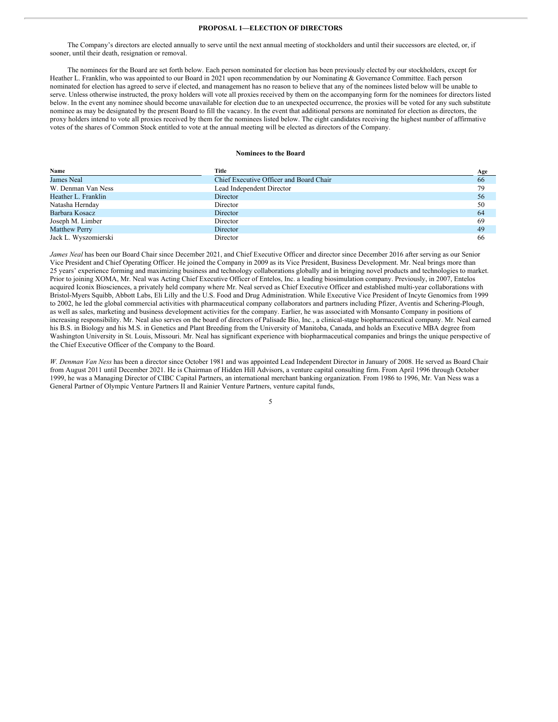#### **PROPOSAL 1—ELECTION OF DIRECTORS**

The Company's directors are elected annually to serve until the next annual meeting of stockholders and until their successors are elected, or, if sooner, until their death, resignation or removal.

The nominees for the Board are set forth below. Each person nominated for election has been previously elected by our stockholders, except for Heather L. Franklin, who was appointed to our Board in 2021 upon recommendation by our Nominating & Governance Committee. Each person nominated for election has agreed to serve if elected, and management has no reason to believe that any of the nominees listed below will be unable to serve. Unless otherwise instructed, the proxy holders will vote all proxies received by them on the accompanying form for the nominees for directors listed below. In the event any nominee should become unavailable for election due to an unexpected occurrence, the proxies will be voted for any such substitute nominee as may be designated by the present Board to fill the vacancy. In the event that additional persons are nominated for election as directors, the proxy holders intend to vote all proxies received by them for the nominees listed below. The eight candidates receiving the highest number of affirmative votes of the shares of Common Stock entitled to vote at the annual meeting will be elected as directors of the Company.

#### **Nominees to the Board**

| Name                 | Title                                   | Age |
|----------------------|-----------------------------------------|-----|
| James Neal           | Chief Executive Officer and Board Chair | 66  |
| W. Denman Van Ness   | Lead Independent Director               | 79  |
| Heather L. Franklin  | Director                                | 56  |
| Natasha Hernday      | Director                                | 50  |
| Barbara Kosacz       | Director                                | 64  |
| Joseph M. Limber     | Director                                | 69  |
| <b>Matthew Perry</b> | Director                                | 49  |
| Jack L. Wyszomierski | Director                                | 66  |

*James Neal* has been our Board Chair since December 2021, and Chief Executive Officer and director since December 2016 after serving as our Senior Vice President and Chief Operating Officer. He joined the Company in 2009 as its Vice President, Business Development. Mr. Neal brings more than 25 years' experience forming and maximizing business and technology collaborations globally and in bringing novel products and technologies to market. Prior to joining XOMA, Mr. Neal was Acting Chief Executive Officer of Entelos, Inc. a leading biosimulation company. Previously, in 2007, Entelos acquired Iconix Biosciences, a privately held company where Mr. Neal served as Chief Executive Officer and established multi-year collaborations with Bristol-Myers Squibb, Abbott Labs, Eli Lilly and the U.S. Food and Drug Administration. While Executive Vice President of Incyte Genomics from 1999 to 2002, he led the global commercial activities with pharmaceutical company collaborators and partners including Pfizer, Aventis and Schering-Plough, as well as sales, marketing and business development activities for the company. Earlier, he was associated with Monsanto Company in positions of increasing responsibility. Mr. Neal also serves on the board of directors of Palisade Bio, Inc., a clinical-stage biopharmaceutical company. Mr. Neal earned his B.S. in Biology and his M.S. in Genetics and Plant Breeding from the University of Manitoba, Canada, and holds an Executive MBA degree from Washington University in St. Louis, Missouri. Mr. Neal has significant experience with biopharmaceutical companies and brings the unique perspective of the Chief Executive Officer of the Company to the Board.

*W. Denman Van Ness* has been a director since October 1981 and was appointed Lead Independent Director in January of 2008. He served as Board Chair from August 2011 until December 2021. He is Chairman of Hidden Hill Advisors, a venture capital consulting firm. From April 1996 through October 1999, he was a Managing Director of CIBC Capital Partners, an international merchant banking organization. From 1986 to 1996, Mr. Van Ness was a General Partner of Olympic Venture Partners II and Rainier Venture Partners, venture capital funds,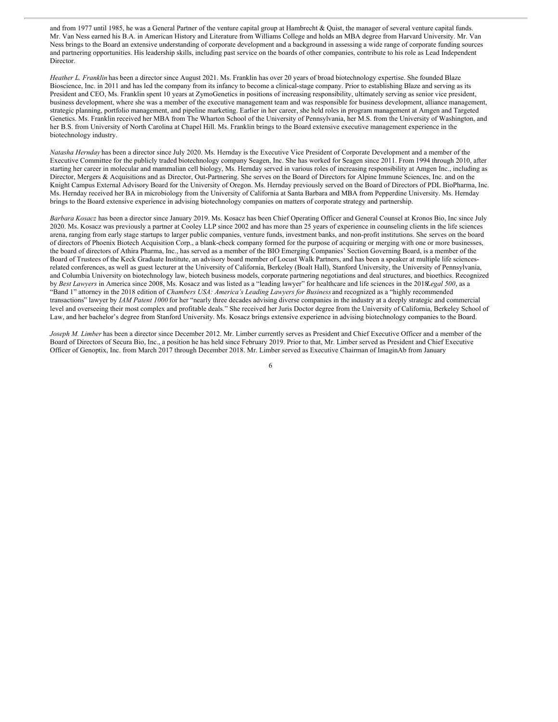and from 1977 until 1985, he was a General Partner of the venture capital group at Hambrecht & Quist, the manager of several venture capital funds. Mr. Van Ness earned his B.A. in American History and Literature from Williams College and holds an MBA degree from Harvard University. Mr. Van Ness brings to the Board an extensive understanding of corporate development and a background in assessing a wide range of corporate funding sources and partnering opportunities. His leadership skills, including past service on the boards of other companies, contribute to his role as Lead Independent Director.

*Heather L. Franklin* has been a director since August 2021. Ms. Franklin has over 20 years of broad biotechnology expertise. She founded Blaze Bioscience, Inc. in 2011 and has led the company from its infancy to become a clinical-stage company. Prior to establishing Blaze and serving as its President and CEO, Ms. Franklin spent 10 years at ZymoGenetics in positions of increasing responsibility, ultimately serving as senior vice president, business development, where she was a member of the executive management team and was responsible for business development, alliance management, strategic planning, portfolio management, and pipeline marketing. Earlier in her career, she held roles in program management at Amgen and Targeted Genetics. Ms. Franklin received her MBA from The Wharton School of the University of Pennsylvania, her M.S. from the University of Washington, and her B.S. from University of North Carolina at Chapel Hill. Ms. Franklin brings to the Board extensive executive management experience in the biotechnology industry.

*Natasha Hernday* has been a director since July 2020. Ms. Hernday is the Executive Vice President of Corporate Development and a member of the Executive Committee for the publicly traded biotechnology company Seagen, Inc. She has worked for Seagen since 2011. From 1994 through 2010, after starting her career in molecular and mammalian cell biology, Ms. Hernday served in various roles of increasing responsibility at Amgen Inc., including as Director, Mergers & Acquisitions and as Director, Out-Partnering. She serves on the Board of Directors for Alpine Immune Sciences, Inc. and on the Knight Campus External Advisory Board for the University of Oregon. Ms. Hernday previously served on the Board of Directors of PDL BioPharma, Inc. Ms. Hernday received her BA in microbiology from the University of California at Santa Barbara and MBA from Pepperdine University. Ms. Hernday brings to the Board extensive experience in advising biotechnology companies on matters of corporate strategy and partnership.

*Barbara Kosacz* has been a director since January 2019. Ms. Kosacz has been Chief Operating Officer and General Counsel at Kronos Bio, Inc since July 2020. Ms. Kosacz was previously a partner at Cooley LLP since 2002 and has more than 25 years of experience in counseling clients in the life sciences arena, ranging from early stage startups to larger public companies, venture funds, investment banks, and non-profit institutions. She serves on the board of directors of Phoenix Biotech Acquisition Corp., a blank-check company formed for the purpose of acquiring or merging with one or more businesses, the board of directors of Athira Pharma, Inc., has served as a member of the BIO Emerging Companies' Section Governing Board, is a member of the Board of Trustees of the Keck Graduate Institute, an advisory board member of Locust Walk Partners, and has been a speaker at multiple life sciencesrelated conferences, as well as guest lecturer at the University of California, Berkeley (Boalt Hall), Stanford University, the University of Pennsylvania, and Columbia University on biotechnology law, biotech business models, corporate partnering negotiations and deal structures, and bioethics. Recognized by *Best Lawyers* in America since 2008, Ms. Kosacz and was listed as a "leading lawyer" for healthcare and life sciences in the 2018*Legal 500*, as a "Band 1" attorney in the 2018 edition of *Chambers USA: America's Leading Lawyers for Business* and recognized as a "highly recommended transactions" lawyer by *IAM Patent 1000* for her "nearly three decades advising diverse companies in the industry at a deeply strategic and commercial level and overseeing their most complex and profitable deals." She received her Juris Doctor degree from the University of California, Berkeley School of Law, and her bachelor's degree from Stanford University. Ms. Kosacz brings extensive experience in advising biotechnology companies to the Board.

*Joseph M. Limber* has been a director since December 2012. Mr. Limber currently serves as President and Chief Executive Officer and a member of the Board of Directors of Secura Bio, Inc., a position he has held since February 2019. Prior to that, Mr. Limber served as President and Chief Executive Officer of Genoptix, Inc. from March 2017 through December 2018. Mr. Limber served as Executive Chairman of ImaginAb from January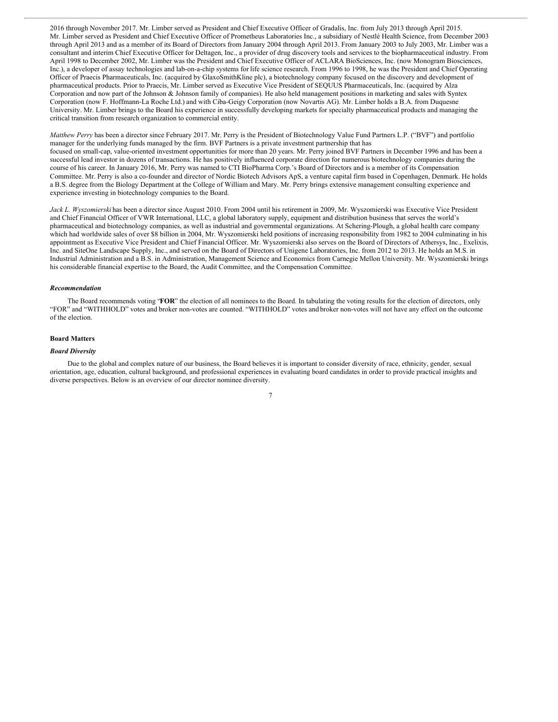2016 through November 2017. Mr. Limber served as President and Chief Executive Officer of Gradalis, Inc. from July 2013 through April 2015. Mr. Limber served as President and Chief Executive Officer of Prometheus Laboratories Inc., a subsidiary of Nestlé Health Science, from December 2003 through April 2013 and as a member of its Board of Directors from January 2004 through April 2013. From January 2003 to July 2003, Mr. Limber was a consultant and interim Chief Executive Officer for Deltagen, Inc., a provider of drug discovery tools and services to the biopharmaceutical industry. From April 1998 to December 2002, Mr. Limber was the President and Chief Executive Officer of ACLARA BioSciences, Inc. (now Monogram Biosciences, Inc.), a developer of assay technologies and lab-on-a-chip systems for life science research. From 1996 to 1998, he was the President and Chief Operating Officer of Praecis Pharmaceuticals, Inc. (acquired by GlaxoSmithKline plc), a biotechnology company focused on the discovery and development of pharmaceutical products. Prior to Praecis, Mr. Limber served as Executive Vice President of SEQUUS Pharmaceuticals, Inc. (acquired by Alza Corporation and now part of the Johnson & Johnson family of companies). He also held management positions in marketing and sales with Syntex Corporation (now F. Hoffmann-La Roche Ltd.) and with Ciba-Geigy Corporation (now Novartis AG). Mr. Limber holds a B.A. from Duquesne University. Mr. Limber brings to the Board his experience in successfully developing markets for specialty pharmaceutical products and managing the critical transition from research organization to commercial entity.

*Matthew Perry* has been a director since February 2017. Mr. Perry is the President of Biotechnology Value Fund Partners L.P. ("BVF") and portfolio manager for the underlying funds managed by the firm. BVF Partners is a private investment partnership that has focused on small-cap, value-oriented investment opportunities for more than 20 years. Mr. Perry joined BVF Partners in December 1996 and has been a successful lead investor in dozens of transactions. He has positively influenced corporate direction for numerous biotechnology companies during the course of his career. In January 2016, Mr. Perry was named to CTI BioPharma Corp.'s Board of Directors and is a member of its Compensation Committee. Mr. Perry is also a co-founder and director of Nordic Biotech Advisors ApS, a venture capital firm based in Copenhagen, Denmark. He holds a B.S. degree from the Biology Department at the College of William and Mary. Mr. Perry brings extensive management consulting experience and experience investing in biotechnology companies to the Board.

*Jack L. Wyszomierski* has been a director since August 2010. From 2004 until his retirement in 2009, Mr. Wyszomierski was Executive Vice President and Chief Financial Officer of VWR International, LLC, a global laboratory supply, equipment and distribution business that serves the world's pharmaceutical and biotechnology companies, as well as industrial and governmental organizations. At Schering-Plough, a global health care company which had worldwide sales of over \$8 billion in 2004, Mr. Wyszomierski held positions of increasing responsibility from 1982 to 2004 culminating in his appointment as Executive Vice President and Chief Financial Officer. Mr. Wyszomierski also serves on the Board of Directors of Athersys, Inc., Exelixis, Inc. and SiteOne Landscape Supply, Inc., and served on the Board of Directors of Unigene Laboratories, Inc. from 2012 to 2013. He holds an M.S. in Industrial Administration and a B.S. in Administration, Management Science and Economics from Carnegie Mellon University. Mr. Wyszomierski brings his considerable financial expertise to the Board, the Audit Committee, and the Compensation Committee.

#### *Recommendation*

The Board recommends voting "**FOR**" the election of all nominees to the Board. In tabulating the voting results for the election of directors, only "FOR" and "WITHHOLD" votes and broker non-votes are counted. "WITHHOLD" votes and broker non-votes will not have any effect on the outcome of the election.

#### **Board Matters**

#### *Board Diversity*

Due to the global and complex nature of our business, the Board believes it is important to consider diversity of race, ethnicity, gender, sexual orientation, age, education, cultural background, and professional experiences in evaluating board candidates in order to provide practical insights and diverse perspectives. Below is an overview of our director nominee diversity.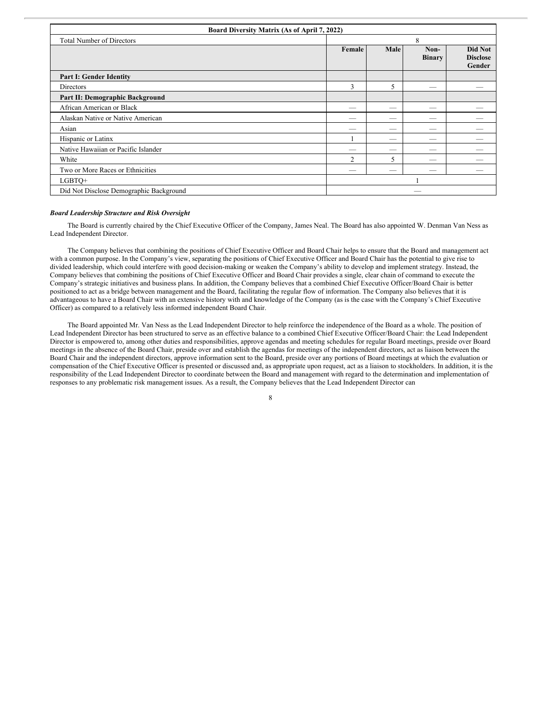| Board Diversity Matrix (As of April 7, 2022) |                          |                          |                       |                                      |
|----------------------------------------------|--------------------------|--------------------------|-----------------------|--------------------------------------|
| <b>Total Number of Directors</b>             | 8                        |                          |                       |                                      |
|                                              | Female                   | Male                     | Non-<br><b>Binary</b> | Did Not<br><b>Disclose</b><br>Gender |
| <b>Part I: Gender Identity</b>               |                          |                          |                       |                                      |
| Directors                                    | 3                        | 5                        | -                     |                                      |
| Part II: Demographic Background              |                          |                          |                       |                                      |
| African American or Black                    | $\overline{\phantom{a}}$ | $\overline{\phantom{a}}$ | __                    |                                      |
| Alaskan Native or Native American            | $\overline{\phantom{a}}$ | _                        | _                     |                                      |
| Asian                                        | -                        | _                        | --                    |                                      |
| Hispanic or Latinx                           |                          | -                        | _                     |                                      |
| Native Hawaiian or Pacific Islander          | --                       |                          |                       |                                      |
| White                                        | $\overline{2}$           | 5                        |                       |                                      |
| Two or More Races or Ethnicities             | -                        | -                        |                       |                                      |
| LGBTO+                                       |                          |                          |                       |                                      |
| Did Not Disclose Demographic Background      |                          |                          |                       |                                      |

#### *Board Leadership Structure and Risk Oversight*

The Board is currently chaired by the Chief Executive Officer of the Company, James Neal. The Board has also appointed W. Denman Van Ness as Lead Independent Director.

The Company believes that combining the positions of Chief Executive Officer and Board Chair helps to ensure that the Board and management act with a common purpose. In the Company's view, separating the positions of Chief Executive Officer and Board Chair has the potential to give rise to divided leadership, which could interfere with good decision-making or weaken the Company's ability to develop and implement strategy. Instead, the Company believes that combining the positions of Chief Executive Officer and Board Chair provides a single, clear chain of command to execute the Company's strategic initiatives and business plans. In addition, the Company believes that a combined Chief Executive Officer/Board Chair is better positioned to act as a bridge between management and the Board, facilitating the regular flow of information. The Company also believes that it is advantageous to have a Board Chair with an extensive history with and knowledge of the Company (as is the case with the Company's Chief Executive Officer) as compared to a relatively less informed independent Board Chair.

The Board appointed Mr. Van Ness as the Lead Independent Director to help reinforce the independence of the Board as a whole. The position of Lead Independent Director has been structured to serve as an effective balance to a combined Chief Executive Officer/Board Chair: the Lead Independent Director is empowered to, among other duties and responsibilities, approve agendas and meeting schedules for regular Board meetings, preside over Board meetings in the absence of the Board Chair, preside over and establish the agendas for meetings of the independent directors, act as liaison between the Board Chair and the independent directors, approve information sent to the Board, preside over any portions of Board meetings at which the evaluation or compensation of the Chief Executive Officer is presented or discussed and, as appropriate upon request, act as a liaison to stockholders. In addition, it is the responsibility of the Lead Independent Director to coordinate between the Board and management with regard to the determination and implementation of responses to any problematic risk management issues. As a result, the Company believes that the Lead Independent Director can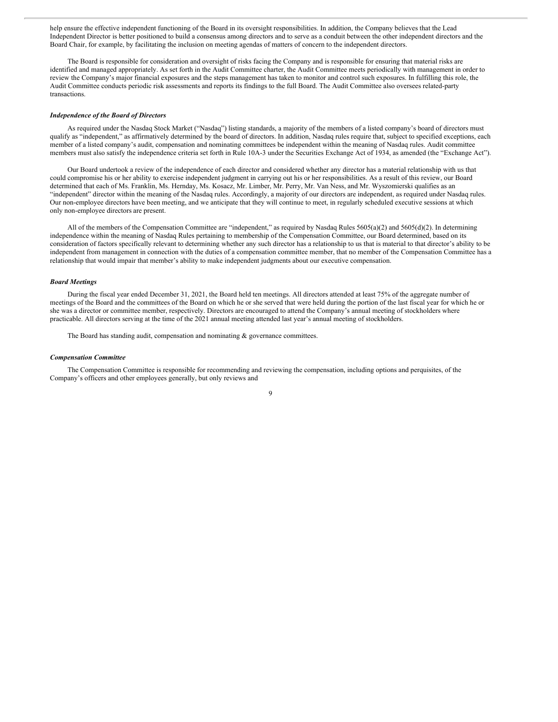help ensure the effective independent functioning of the Board in its oversight responsibilities. In addition, the Company believes that the Lead Independent Director is better positioned to build a consensus among directors and to serve as a conduit between the other independent directors and the Board Chair, for example, by facilitating the inclusion on meeting agendas of matters of concern to the independent directors.

The Board is responsible for consideration and oversight of risks facing the Company and is responsible for ensuring that material risks are identified and managed appropriately. As set forth in the Audit Committee charter, the Audit Committee meets periodically with management in order to review the Company's major financial exposures and the steps management has taken to monitor and control such exposures. In fulfilling this role, the Audit Committee conducts periodic risk assessments and reports its findings to the full Board. The Audit Committee also oversees related-party transactions.

#### *Independence of the Board of Directors*

As required under the Nasdaq Stock Market ("Nasdaq") listing standards, a majority of the members of a listed company's board of directors must qualify as "independent," as affirmatively determined by the board of directors. In addition, Nasdaq rules require that, subject to specified exceptions, each member of a listed company's audit, compensation and nominating committees be independent within the meaning of Nasdaq rules. Audit committee members must also satisfy the independence criteria set forth in Rule 10A-3 under the Securities Exchange Act of 1934, as amended (the "Exchange Act").

Our Board undertook a review of the independence of each director and considered whether any director has a material relationship with us that could compromise his or her ability to exercise independent judgment in carrying out his or her responsibilities. As a result of this review, our Board determined that each of Ms. Franklin, Ms. Hernday, Ms. Kosacz, Mr. Limber, Mr. Perry, Mr. Van Ness, and Mr. Wyszomierski qualifies as an "independent" director within the meaning of the Nasdaq rules. Accordingly, a majority of our directors are independent, as required under Nasdaq rules. Our non-employee directors have been meeting, and we anticipate that they will continue to meet, in regularly scheduled executive sessions at which only non-employee directors are present.

All of the members of the Compensation Committee are "independent," as required by Nasdaq Rules 5605(a)(2) and 5605(d)(2). In determining independence within the meaning of Nasdaq Rules pertaining to membership of the Compensation Committee, our Board determined, based on its consideration of factors specifically relevant to determining whether any such director has a relationship to us that is material to that director's ability to be independent from management in connection with the duties of a compensation committee member, that no member of the Compensation Committee has a relationship that would impair that member's ability to make independent judgments about our executive compensation.

#### *Board Meetings*

During the fiscal year ended December 31, 2021, the Board held ten meetings. All directors attended at least 75% of the aggregate number of meetings of the Board and the committees of the Board on which he or she served that were held during the portion of the last fiscal year for which he or she was a director or committee member, respectively. Directors are encouraged to attend the Company's annual meeting of stockholders where practicable. All directors serving at the time of the 2021 annual meeting attended last year's annual meeting of stockholders.

The Board has standing audit, compensation and nominating & governance committees.

#### *Compensation Committee*

The Compensation Committee is responsible for recommending and reviewing the compensation, including options and perquisites, of the Company's officers and other employees generally, but only reviews and

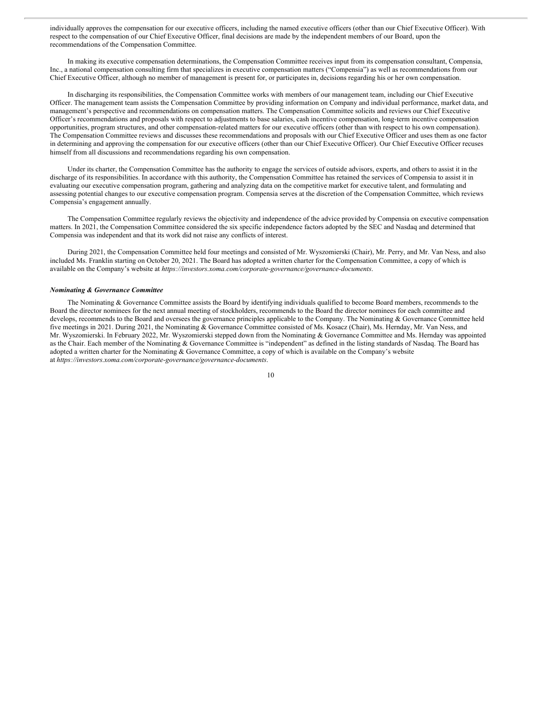individually approves the compensation for our executive officers, including the named executive officers (other than our Chief Executive Officer). With respect to the compensation of our Chief Executive Officer, final decisions are made by the independent members of our Board, upon the recommendations of the Compensation Committee.

In making its executive compensation determinations, the Compensation Committee receives input from its compensation consultant, Compensia, Inc., a national compensation consulting firm that specializes in executive compensation matters ("Compensia") as well as recommendations from our Chief Executive Officer, although no member of management is present for, or participates in, decisions regarding his or her own compensation.

In discharging its responsibilities, the Compensation Committee works with members of our management team, including our Chief Executive Officer. The management team assists the Compensation Committee by providing information on Company and individual performance, market data, and management's perspective and recommendations on compensation matters. The Compensation Committee solicits and reviews our Chief Executive Officer's recommendations and proposals with respect to adjustments to base salaries, cash incentive compensation, long-term incentive compensation opportunities, program structures, and other compensation-related matters for our executive officers (other than with respect to his own compensation). The Compensation Committee reviews and discusses these recommendations and proposals with our Chief Executive Officer and uses them as one factor in determining and approving the compensation for our executive officers (other than our Chief Executive Officer). Our Chief Executive Officer recuses himself from all discussions and recommendations regarding his own compensation.

Under its charter, the Compensation Committee has the authority to engage the services of outside advisors, experts, and others to assist it in the discharge of its responsibilities. In accordance with this authority, the Compensation Committee has retained the services of Compensia to assist it in evaluating our executive compensation program, gathering and analyzing data on the competitive market for executive talent, and formulating and assessing potential changes to our executive compensation program. Compensia serves at the discretion of the Compensation Committee, which reviews Compensia's engagement annually.

The Compensation Committee regularly reviews the objectivity and independence of the advice provided by Compensia on executive compensation matters. In 2021, the Compensation Committee considered the six specific independence factors adopted by the SEC and Nasdaq and determined that Compensia was independent and that its work did not raise any conflicts of interest.

During 2021, the Compensation Committee held four meetings and consisted of Mr. Wyszomierski (Chair), Mr. Perry, and Mr. Van Ness, and also included Ms. Franklin starting on October 20, 2021. The Board has adopted a written charter for the Compensation Committee, a copy of which is available on the Company's website at *https://investors.xoma.com/corporate-governance/governance-documents*.

#### *Nominating & Governance Committee*

The Nominating & Governance Committee assists the Board by identifying individuals qualified to become Board members, recommends to the Board the director nominees for the next annual meeting of stockholders, recommends to the Board the director nominees for each committee and develops, recommends to the Board and oversees the governance principles applicable to the Company. The Nominating & Governance Committee held five meetings in 2021. During 2021, the Nominating & Governance Committee consisted of Ms. Kosacz (Chair), Ms. Hernday, Mr. Van Ness, and Mr. Wyszomierski. In February 2022, Mr. Wyszomierski stepped down from the Nominating & Governance Committee and Ms. Hernday was appointed as the Chair. Each member of the Nominating & Governance Committee is "independent" as defined in the listing standards of Nasdaq. The Board has adopted a written charter for the Nominating & Governance Committee, a copy of which is available on the Company's website at *https://investors.xoma.com/corporate-governance/governance-documents*.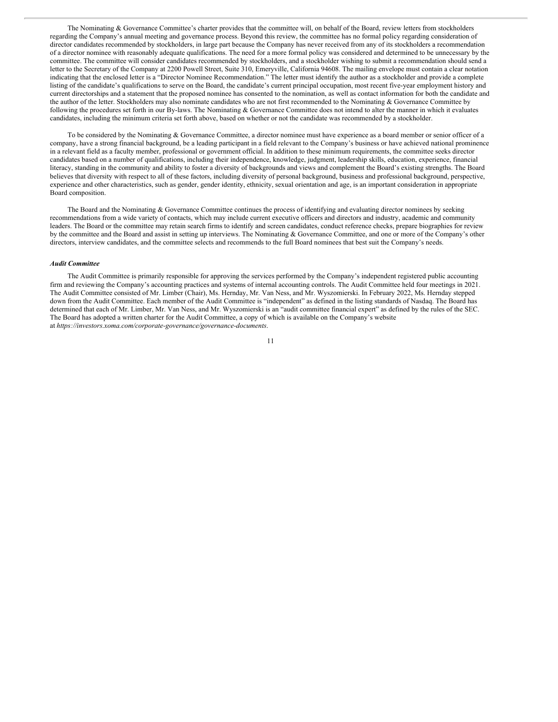The Nominating & Governance Committee's charter provides that the committee will, on behalf of the Board, review letters from stockholders regarding the Company's annual meeting and governance process. Beyond this review, the committee has no formal policy regarding consideration of director candidates recommended by stockholders, in large part because the Company has never received from any of its stockholders a recommendation of a director nominee with reasonably adequate qualifications. The need for a more formal policy was considered and determined to be unnecessary by the committee. The committee will consider candidates recommended by stockholders, and a stockholder wishing to submit a recommendation should send a letter to the Secretary of the Company at 2200 Powell Street, Suite 310, Emeryville, California 94608. The mailing envelope must contain a clear notation indicating that the enclosed letter is a "Director Nominee Recommendation." The letter must identify the author as a stockholder and provide a complete listing of the candidate's qualifications to serve on the Board, the candidate's current principal occupation, most recent five-year employment history and current directorships and a statement that the proposed nominee has consented to the nomination, as well as contact information for both the candidate and the author of the letter. Stockholders may also nominate candidates who are not first recommended to the Nominating & Governance Committee by following the procedures set forth in our By-laws. The Nominating & Governance Committee does not intend to alter the manner in which it evaluates candidates, including the minimum criteria set forth above, based on whether or not the candidate was recommended by a stockholder.

To be considered by the Nominating & Governance Committee, a director nominee must have experience as a board member or senior officer of a company, have a strong financial background, be a leading participant in a field relevant to the Company's business or have achieved national prominence in a relevant field as a faculty member, professional or government official. In addition to these minimum requirements, the committee seeks director candidates based on a number of qualifications, including their independence, knowledge, judgment, leadership skills, education, experience, financial literacy, standing in the community and ability to foster a diversity of backgrounds and views and complement the Board's existing strengths. The Board believes that diversity with respect to all of these factors, including diversity of personal background, business and professional background, perspective, experience and other characteristics, such as gender, gender identity, ethnicity, sexual orientation and age, is an important consideration in appropriate Board composition.

The Board and the Nominating & Governance Committee continues the process of identifying and evaluating director nominees by seeking recommendations from a wide variety of contacts, which may include current executive officers and directors and industry, academic and community leaders. The Board or the committee may retain search firms to identify and screen candidates, conduct reference checks, prepare biographies for review by the committee and the Board and assist in setting up interviews. The Nominating & Governance Committee, and one or more of the Company's other directors, interview candidates, and the committee selects and recommends to the full Board nominees that best suit the Company's needs.

#### *Audit Committee*

The Audit Committee is primarily responsible for approving the services performed by the Company's independent registered public accounting firm and reviewing the Company's accounting practices and systems of internal accounting controls. The Audit Committee held four meetings in 2021. The Audit Committee consisted of Mr. Limber (Chair), Ms. Hernday, Mr. Van Ness, and Mr. Wyszomierski. In February 2022, Ms. Hernday stepped down from the Audit Committee. Each member of the Audit Committee is "independent" as defined in the listing standards of Nasdaq. The Board has determined that each of Mr. Limber, Mr. Van Ness, and Mr. Wyszomierski is an "audit committee financial expert" as defined by the rules of the SEC. The Board has adopted a written charter for the Audit Committee, a copy of which is available on the Company's website at *https://investors.xoma.com/corporate-governance/governance-documents*.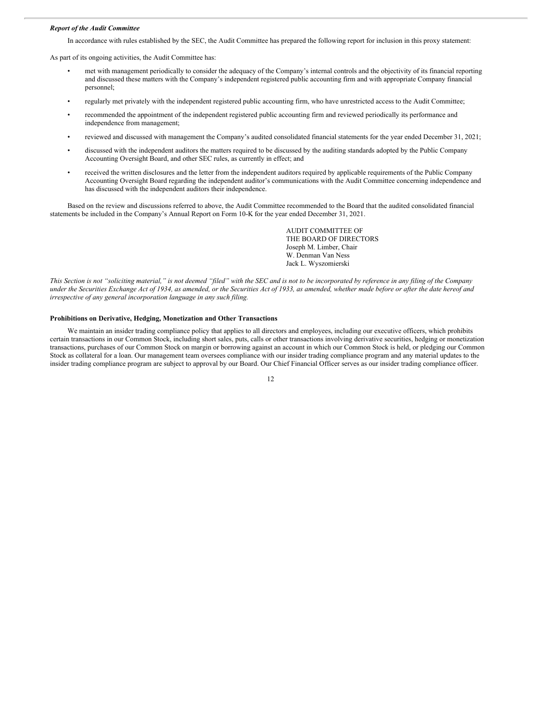#### *Report of the Audit Committee*

In accordance with rules established by the SEC, the Audit Committee has prepared the following report for inclusion in this proxy statement:

As part of its ongoing activities, the Audit Committee has:

- met with management periodically to consider the adequacy of the Company's internal controls and the objectivity of its financial reporting and discussed these matters with the Company's independent registered public accounting firm and with appropriate Company financial personnel;
- regularly met privately with the independent registered public accounting firm, who have unrestricted access to the Audit Committee;
- recommended the appointment of the independent registered public accounting firm and reviewed periodically its performance and independence from management;
- reviewed and discussed with management the Company's audited consolidated financial statements for the year ended December 31, 2021;
- discussed with the independent auditors the matters required to be discussed by the auditing standards adopted by the Public Company Accounting Oversight Board, and other SEC rules, as currently in effect; and
- received the written disclosures and the letter from the independent auditors required by applicable requirements of the Public Company Accounting Oversight Board regarding the independent auditor's communications with the Audit Committee concerning independence and has discussed with the independent auditors their independence.

Based on the review and discussions referred to above, the Audit Committee recommended to the Board that the audited consolidated financial statements be included in the Company's Annual Report on Form 10-K for the year ended December 31, 2021.

> AUDIT COMMITTEE OF THE BOARD OF DIRECTORS Joseph M. Limber, Chair W. Denman Van Ness Jack L. Wyszomierski

This Section is not "soliciting material," is not deemed "filed" with the SEC and is not to be incorporated by reference in any filing of the Company under the Securities Exchange Act of 1934, as amended, or the Securities Act of 1933, as amended, whether made before or after the date hereof and *irrespective of any general incorporation language in any such filing.*

#### **Prohibitions on Derivative, Hedging, Monetization and Other Transactions**

We maintain an insider trading compliance policy that applies to all directors and employees, including our executive officers, which prohibits certain transactions in our Common Stock, including short sales, puts, calls or other transactions involving derivative securities, hedging or monetization transactions, purchases of our Common Stock on margin or borrowing against an account in which our Common Stock is held, or pledging our Common Stock as collateral for a loan. Our management team oversees compliance with our insider trading compliance program and any material updates to the insider trading compliance program are subject to approval by our Board. Our Chief Financial Officer serves as our insider trading compliance officer.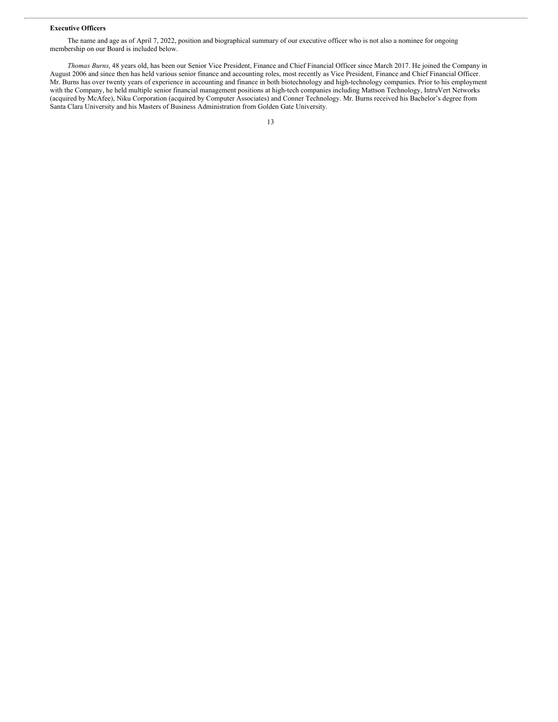#### **Executive Officers**

The name and age as of April 7, 2022, position and biographical summary of our executive officer who is not also a nominee for ongoing membership on our Board is included below.

*Thomas Burns*, 48 years old, has been our Senior Vice President, Finance and Chief Financial Officer since March 2017. He joined the Company in August 2006 and since then has held various senior finance and accounting roles, most recently as Vice President, Finance and Chief Financial Officer. Mr. Burns has over twenty years of experience in accounting and finance in both biotechnology and high-technology companies. Prior to his employment with the Company, he held multiple senior financial management positions at high-tech companies including Mattson Technology, IntruVert Networks (acquired by McAfee), Niku Corporation (acquired by Computer Associates) and Conner Technology. Mr. Burns received his Bachelor's degree from Santa Clara University and his Masters of Business Administration from Golden Gate University.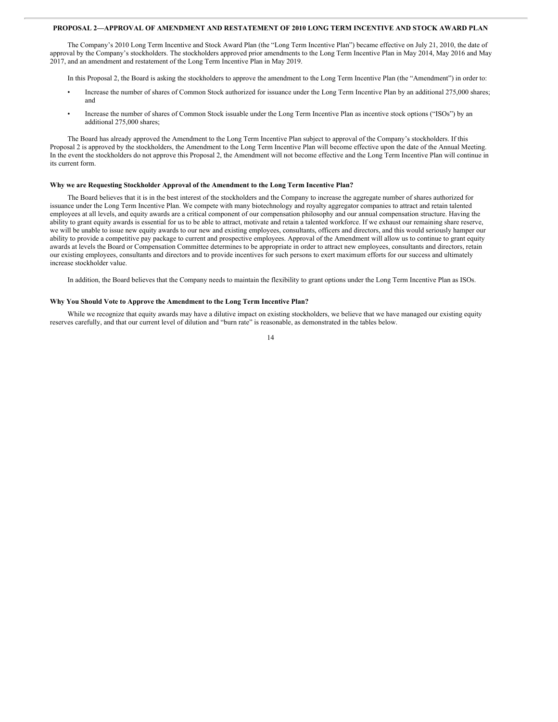#### **PROPOSAL 2—APPROVAL OF AMENDMENT AND RESTATEMENT OF 2010 LONG TERM INCENTIVE AND STOCK AWARD PLAN**

The Company's 2010 Long Term Incentive and Stock Award Plan (the "Long Term Incentive Plan") became effective on July 21, 2010, the date of approval by the Company's stockholders. The stockholders approved prior amendments to the Long Term Incentive Plan in May 2014, May 2016 and May 2017, and an amendment and restatement of the Long Term Incentive Plan in May 2019.

In this Proposal 2, the Board is asking the stockholders to approve the amendment to the Long Term Incentive Plan (the "Amendment") in order to:

- Increase the number of shares of Common Stock authorized for issuance under the Long Term Incentive Plan by an additional 275,000 shares; and
- Increase the number of shares of Common Stock issuable under the Long Term Incentive Plan as incentive stock options ("ISOs") by an additional 275,000 shares;

The Board has already approved the Amendment to the Long Term Incentive Plan subject to approval of the Company's stockholders. If this Proposal 2 is approved by the stockholders, the Amendment to the Long Term Incentive Plan will become effective upon the date of the Annual Meeting. In the event the stockholders do not approve this Proposal 2, the Amendment will not become effective and the Long Term Incentive Plan will continue in its current form.

#### **Why we are Requesting Stockholder Approval of the Amendment to the Long Term Incentive Plan?**

The Board believes that it is in the best interest of the stockholders and the Company to increase the aggregate number of shares authorized for issuance under the Long Term Incentive Plan. We compete with many biotechnology and royalty aggregator companies to attract and retain talented employees at all levels, and equity awards are a critical component of our compensation philosophy and our annual compensation structure. Having the ability to grant equity awards is essential for us to be able to attract, motivate and retain a talented workforce. If we exhaust our remaining share reserve, we will be unable to issue new equity awards to our new and existing employees, consultants, officers and directors, and this would seriously hamper our ability to provide a competitive pay package to current and prospective employees. Approval of the Amendment will allow us to continue to grant equity awards at levels the Board or Compensation Committee determines to be appropriate in order to attract new employees, consultants and directors, retain our existing employees, consultants and directors and to provide incentives for such persons to exert maximum efforts for our success and ultimately increase stockholder value.

In addition, the Board believes that the Company needs to maintain the flexibility to grant options under the Long Term Incentive Plan as ISOs.

#### **Why You Should Vote to Approve the Amendment to the Long Term Incentive Plan?**

While we recognize that equity awards may have a dilutive impact on existing stockholders, we believe that we have managed our existing equity reserves carefully, and that our current level of dilution and "burn rate" is reasonable, as demonstrated in the tables below.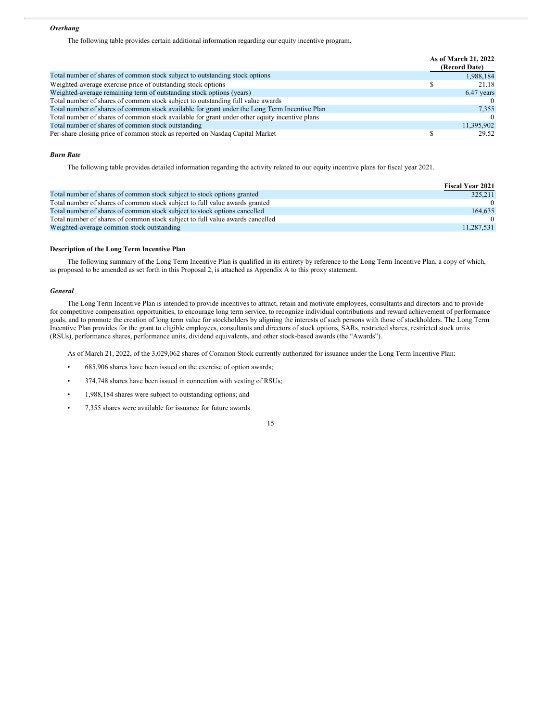#### *Overhang*

The following table provides certain additional information regarding our equity incentive program.

|                                                                                               | As of March 21, 2022<br>(Record Date) |
|-----------------------------------------------------------------------------------------------|---------------------------------------|
| Total number of shares of common stock subject to outstanding stock options                   | 1,988,184                             |
| Weighted-average exercise price of outstanding stock options                                  | 21.18                                 |
| Weighted-average remaining term of outstanding stock options (years)                          | 6.47 years                            |
| Total number of shares of common stock subject to outstanding full value awards               |                                       |
| Total number of shares of common stock available for grant under the Long Term Incentive Plan | 7,355                                 |
| Total number of shares of common stock available for grant under other equity incentive plans | $\Omega$                              |
| Total number of shares of common stock outstanding                                            | 11,395,902                            |
| Per-share closing price of common stock as reported on Nasdaq Capital Market                  | 29.52                                 |

#### *Burn Rate*

The following table provides detailed information regarding the activity related to our equity incentive plans for fiscal year 2021.

|                                                                               | <b>Fiscal Year 2021</b> |
|-------------------------------------------------------------------------------|-------------------------|
| Total number of shares of common stock subject to stock options granted       | 325,211                 |
| Total number of shares of common stock subject to full value awards granted   | $\Omega$                |
| Total number of shares of common stock subject to stock options cancelled     | 164,635                 |
| Total number of shares of common stock subject to full value awards cancelled |                         |
| Weighted-average common stock outstanding                                     | 11,287,531              |

#### **Description of the Long Term Incentive Plan**

The following summary of the Long Term Incentive Plan is qualified in its entirety by reference to the Long Term Incentive Plan, a copy of which, as proposed to be amended as set forth in this Proposal 2, is attached as Appendix A to this proxy statement.

#### *General*

The Long Term Incentive Plan is intended to provide incentives to attract, retain and motivate employees, consultants and directors and to provide for competitive compensation opportunities, to encourage long term service, to recognize individual contributions and reward achievement of performance goals, and to promote the creation of long term value for stockholders by aligning the interests of such persons with those of stockholders. The Long Term Incentive Plan provides for the grant to eligible employees, consultants and directors of stock options, SARs, restricted shares, restricted stock units (RSUs), performance shares, performance units, dividend equivalents, and other stock-based awards (the "Awards").

As of March 21, 2022, of the 3,029,062 shares of Common Stock currently authorized for issuance under the Long Term Incentive Plan:

- 685,906 shares have been issued on the exercise of option awards;
- 374,748 shares have been issued in connection with vesting of RSUs;
- 1,988,184 shares were subject to outstanding options; and
- 7,355 shares were available for issuance for future awards.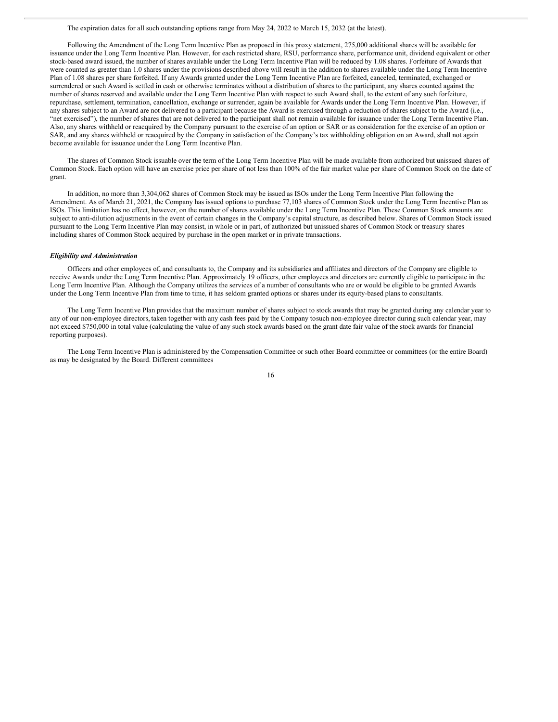#### The expiration dates for all such outstanding options range from May 24, 2022 to March 15, 2032 (at the latest).

Following the Amendment of the Long Term Incentive Plan as proposed in this proxy statement, 275,000 additional shares will be available for issuance under the Long Term Incentive Plan. However, for each restricted share, RSU, performance share, performance unit, dividend equivalent or other stock-based award issued, the number of shares available under the Long Term Incentive Plan will be reduced by 1.08 shares. Forfeiture of Awards that were counted as greater than 1.0 shares under the provisions described above will result in the addition to shares available under the Long Term Incentive Plan of 1.08 shares per share forfeited. If any Awards granted under the Long Term Incentive Plan are forfeited, canceled, terminated, exchanged or surrendered or such Award is settled in cash or otherwise terminates without a distribution of shares to the participant, any shares counted against the number of shares reserved and available under the Long Term Incentive Plan with respect to such Award shall, to the extent of any such forfeiture, repurchase, settlement, termination, cancellation, exchange or surrender, again be available for Awards under the Long Term Incentive Plan. However, if any shares subject to an Award are not delivered to a participant because the Award is exercised through a reduction of shares subject to the Award (i.e., "net exercised"), the number of shares that are not delivered to the participant shall not remain available for issuance under the Long Term Incentive Plan. Also, any shares withheld or reacquired by the Company pursuant to the exercise of an option or SAR or as consideration for the exercise of an option or SAR, and any shares withheld or reacquired by the Company in satisfaction of the Company's tax withholding obligation on an Award, shall not again become available for issuance under the Long Term Incentive Plan.

The shares of Common Stock issuable over the term of the Long Term Incentive Plan will be made available from authorized but unissued shares of Common Stock. Each option will have an exercise price per share of not less than 100% of the fair market value per share of Common Stock on the date of grant.

In addition, no more than 3,304,062 shares of Common Stock may be issued as ISOs under the Long Term Incentive Plan following the Amendment. As of March 21, 2021, the Company has issued options to purchase 77,103 shares of Common Stock under the Long Term Incentive Plan as ISOs. This limitation has no effect, however, on the number of shares available under the Long Term Incentive Plan. These Common Stock amounts are subject to anti-dilution adjustments in the event of certain changes in the Company's capital structure, as described below. Shares of Common Stock issued pursuant to the Long Term Incentive Plan may consist, in whole or in part, of authorized but unissued shares of Common Stock or treasury shares including shares of Common Stock acquired by purchase in the open market or in private transactions.

#### *Eligibility and Administration*

Officers and other employees of, and consultants to, the Company and its subsidiaries and affiliates and directors of the Company are eligible to receive Awards under the Long Term Incentive Plan. Approximately 19 officers, other employees and directors are currently eligible to participate in the Long Term Incentive Plan. Although the Company utilizes the services of a number of consultants who are or would be eligible to be granted Awards under the Long Term Incentive Plan from time to time, it has seldom granted options or shares under its equity-based plans to consultants.

The Long Term Incentive Plan provides that the maximum number of shares subject to stock awards that may be granted during any calendar year to any of our non-employee directors, taken together with any cash fees paid by the Company tosuch non-employee director during such calendar year, may not exceed \$750,000 in total value (calculating the value of any such stock awards based on the grant date fair value of the stock awards for financial reporting purposes).

The Long Term Incentive Plan is administered by the Compensation Committee or such other Board committee or committees (or the entire Board) as may be designated by the Board. Different committees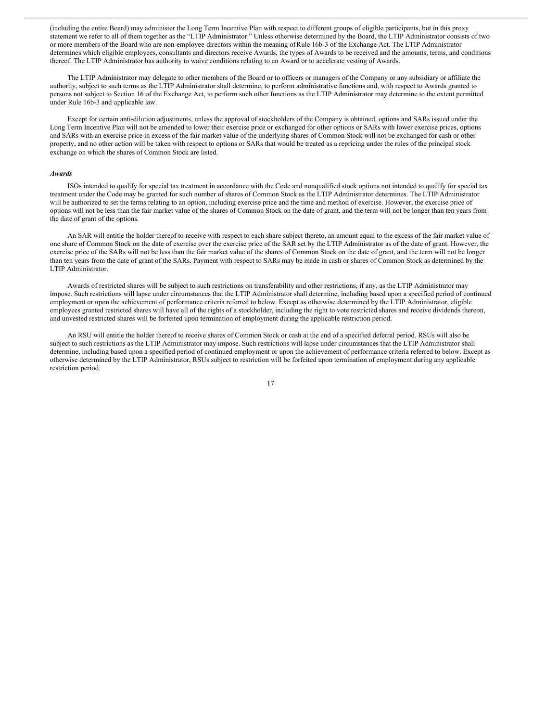(including the entire Board) may administer the Long Term Incentive Plan with respect to different groups of eligible participants, but in this proxy statement we refer to all of them together as the "LTIP Administrator." Unless otherwise determined by the Board, the LTIP Administrator consists of two or more members of the Board who are non-employee directors within the meaning ofRule 16b-3 of the Exchange Act. The LTIP Administrator determines which eligible employees, consultants and directors receive Awards, the types of Awards to be received and the amounts, terms, and conditions thereof. The LTIP Administrator has authority to waive conditions relating to an Award or to accelerate vesting of Awards.

The LTIP Administrator may delegate to other members of the Board or to officers or managers of the Company or any subsidiary or affiliate the authority, subject to such terms as the LTIP Administrator shall determine, to perform administrative functions and, with respect to Awards granted to persons not subject to Section 16 of the Exchange Act, to perform such other functions as the LTIP Administrator may determine to the extent permitted under Rule 16b-3 and applicable law.

Except for certain anti-dilution adjustments, unless the approval of stockholders of the Company is obtained, options and SARs issued under the Long Term Incentive Plan will not be amended to lower their exercise price or exchanged for other options or SARs with lower exercise prices, options and SARs with an exercise price in excess of the fair market value of the underlying shares of Common Stock will not be exchanged for cash or other property, and no other action will be taken with respect to options or SARs that would be treated as a repricing under the rules of the principal stock exchange on which the shares of Common Stock are listed.

#### *Awards*

ISOs intended to qualify for special tax treatment in accordance with the Code and nonqualified stock options not intended to qualify for special tax treatment under the Code may be granted for such number of shares of Common Stock as the LTIP Administrator determines. The LTIP Administrator will be authorized to set the terms relating to an option, including exercise price and the time and method of exercise. However, the exercise price of options will not be less than the fair market value of the shares of Common Stock on the date of grant, and the term will not be longer than ten years from the date of grant of the options.

An SAR will entitle the holder thereof to receive with respect to each share subject thereto, an amount equal to the excess of the fair market value of one share of Common Stock on the date of exercise over the exercise price of the SAR set by the LTIP Administrator as of the date of grant. However, the exercise price of the SARs will not be less than the fair market value of the shares of Common Stock on the date of grant, and the term will not be longer than ten years from the date of grant of the SARs. Payment with respect to SARs may be made in cash or shares of Common Stock as determined by the LTIP Administrator.

Awards of restricted shares will be subject to such restrictions on transferability and other restrictions, if any, as the LTIP Administrator may impose. Such restrictions will lapse under circumstances that the LTIP Administrator shall determine, including based upon a specified period of continued employment or upon the achievement of performance criteria referred to below. Except as otherwise determined by the LTIP Administrator, eligible employees granted restricted shares will have all of the rights of a stockholder, including the right to vote restricted shares and receive dividends thereon, and unvested restricted shares will be forfeited upon termination of employment during the applicable restriction period.

An RSU will entitle the holder thereof to receive shares of Common Stock or cash at the end of a specified deferral period. RSUs will also be subject to such restrictions as the LTIP Administrator may impose. Such restrictions will lapse under circumstances that the LTIP Administrator shall determine, including based upon a specified period of continued employment or upon the achievement of performance criteria referred to below. Except as otherwise determined by the LTIP Administrator, RSUs subject to restriction will be forfeited upon termination of employment during any applicable restriction period.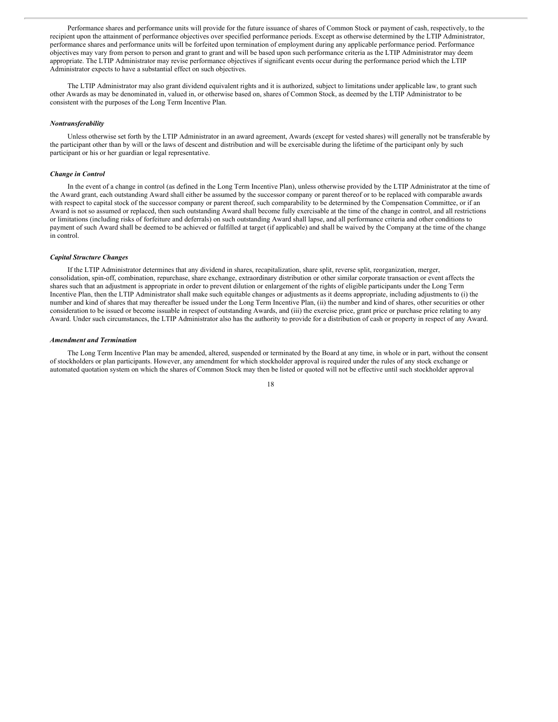Performance shares and performance units will provide for the future issuance of shares of Common Stock or payment of cash, respectively, to the recipient upon the attainment of performance objectives over specified performance periods. Except as otherwise determined by the LTIP Administrator, performance shares and performance units will be forfeited upon termination of employment during any applicable performance period. Performance objectives may vary from person to person and grant to grant and will be based upon such performance criteria as the LTIP Administrator may deem appropriate. The LTIP Administrator may revise performance objectives if significant events occur during the performance period which the LTIP Administrator expects to have a substantial effect on such objectives.

The LTIP Administrator may also grant dividend equivalent rights and it is authorized, subject to limitations under applicable law, to grant such other Awards as may be denominated in, valued in, or otherwise based on, shares of Common Stock, as deemed by the LTIP Administrator to be consistent with the purposes of the Long Term Incentive Plan.

#### *Nontransferability*

Unless otherwise set forth by the LTIP Administrator in an award agreement, Awards (except for vested shares) will generally not be transferable by the participant other than by will or the laws of descent and distribution and will be exercisable during the lifetime of the participant only by such participant or his or her guardian or legal representative.

#### *Change in Control*

In the event of a change in control (as defined in the Long Term Incentive Plan), unless otherwise provided by the LTIP Administrator at the time of the Award grant, each outstanding Award shall either be assumed by the successor company or parent thereof or to be replaced with comparable awards with respect to capital stock of the successor company or parent thereof, such comparability to be determined by the Compensation Committee, or if an Award is not so assumed or replaced, then such outstanding Award shall become fully exercisable at the time of the change in control, and all restrictions or limitations (including risks of forfeiture and deferrals) on such outstanding Award shall lapse, and all performance criteria and other conditions to payment of such Award shall be deemed to be achieved or fulfilled at target (if applicable) and shall be waived by the Company at the time of the change in control.

#### *Capital Structure Changes*

If the LTIP Administrator determines that any dividend in shares, recapitalization, share split, reverse split, reorganization, merger, consolidation, spin-off, combination, repurchase, share exchange, extraordinary distribution or other similar corporate transaction or event affects the shares such that an adjustment is appropriate in order to prevent dilution or enlargement of the rights of eligible participants under the Long Term Incentive Plan, then the LTIP Administrator shall make such equitable changes or adjustments as it deems appropriate, including adjustments to (i) the number and kind of shares that may thereafter be issued under the Long Term Incentive Plan, (ii) the number and kind of shares, other securities or other consideration to be issued or become issuable in respect of outstanding Awards, and (iii) the exercise price, grant price or purchase price relating to any Award. Under such circumstances, the LTIP Administrator also has the authority to provide for a distribution of cash or property in respect of any Award.

#### *Amendment and Termination*

The Long Term Incentive Plan may be amended, altered, suspended or terminated by the Board at any time, in whole or in part, without the consent of stockholders or plan participants. However, any amendment for which stockholder approval is required under the rules of any stock exchange or automated quotation system on which the shares of Common Stock may then be listed or quoted will not be effective until such stockholder approval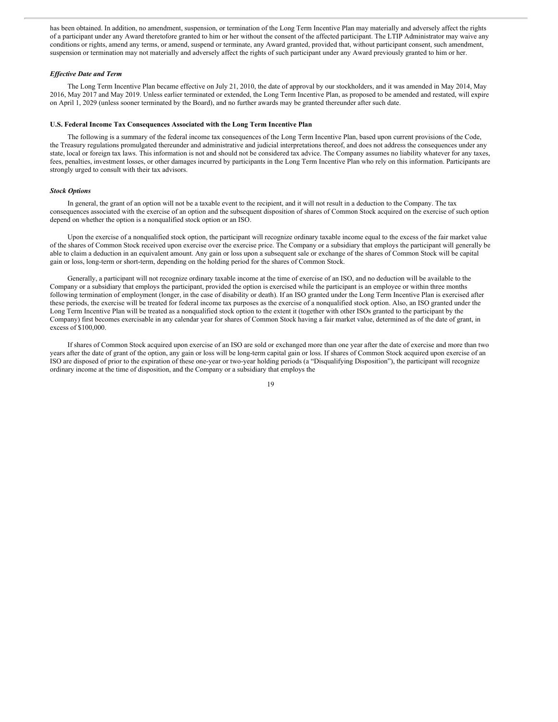has been obtained. In addition, no amendment, suspension, or termination of the Long Term Incentive Plan may materially and adversely affect the rights of a participant under any Award theretofore granted to him or her without the consent of the affected participant. The LTIP Administrator may waive any conditions or rights, amend any terms, or amend, suspend or terminate, any Award granted, provided that, without participant consent, such amendment, suspension or termination may not materially and adversely affect the rights of such participant under any Award previously granted to him or her.

#### *Ef ective Date and Term*

The Long Term Incentive Plan became effective on July 21, 2010, the date of approval by our stockholders, and it was amended in May 2014, May 2016, May 2017 and May 2019. Unless earlier terminated or extended, the Long Term Incentive Plan, as proposed to be amended and restated, will expire on April 1, 2029 (unless sooner terminated by the Board), and no further awards may be granted thereunder after such date.

#### **U.S. Federal Income Tax Consequences Associated with the Long Term Incentive Plan**

The following is a summary of the federal income tax consequences of the Long Term Incentive Plan, based upon current provisions of the Code, the Treasury regulations promulgated thereunder and administrative and judicial interpretations thereof, and does not address the consequences under any state, local or foreign tax laws. This information is not and should not be considered tax advice. The Company assumes no liability whatever for any taxes, fees, penalties, investment losses, or other damages incurred by participants in the Long Term Incentive Plan who rely on this information. Participants are strongly urged to consult with their tax advisors.

#### *Stock Options*

In general, the grant of an option will not be a taxable event to the recipient, and it will not result in a deduction to the Company. The tax consequences associated with the exercise of an option and the subsequent disposition of shares of Common Stock acquired on the exercise of such option depend on whether the option is a nonqualified stock option or an ISO.

Upon the exercise of a nonqualified stock option, the participant will recognize ordinary taxable income equal to the excess of the fair market value of the shares of Common Stock received upon exercise over the exercise price. The Company or a subsidiary that employs the participant will generally be able to claim a deduction in an equivalent amount. Any gain or loss upon a subsequent sale or exchange of the shares of Common Stock will be capital gain or loss, long-term or short-term, depending on the holding period for the shares of Common Stock.

Generally, a participant will not recognize ordinary taxable income at the time of exercise of an ISO, and no deduction will be available to the Company or a subsidiary that employs the participant, provided the option is exercised while the participant is an employee or within three months following termination of employment (longer, in the case of disability or death). If an ISO granted under the Long Term Incentive Plan is exercised after these periods, the exercise will be treated for federal income tax purposes as the exercise of a nonqualified stock option. Also, an ISO granted under the Long Term Incentive Plan will be treated as a nonqualified stock option to the extent it (together with other ISOs granted to the participant by the Company) first becomes exercisable in any calendar year for shares of Common Stock having a fair market value, determined as of the date of grant, in excess of \$100,000.

If shares of Common Stock acquired upon exercise of an ISO are sold or exchanged more than one year after the date of exercise and more than two years after the date of grant of the option, any gain or loss will be long-term capital gain or loss. If shares of Common Stock acquired upon exercise of an ISO are disposed of prior to the expiration of these one-year or two-year holding periods (a "Disqualifying Disposition"), the participant will recognize ordinary income at the time of disposition, and the Company or a subsidiary that employs the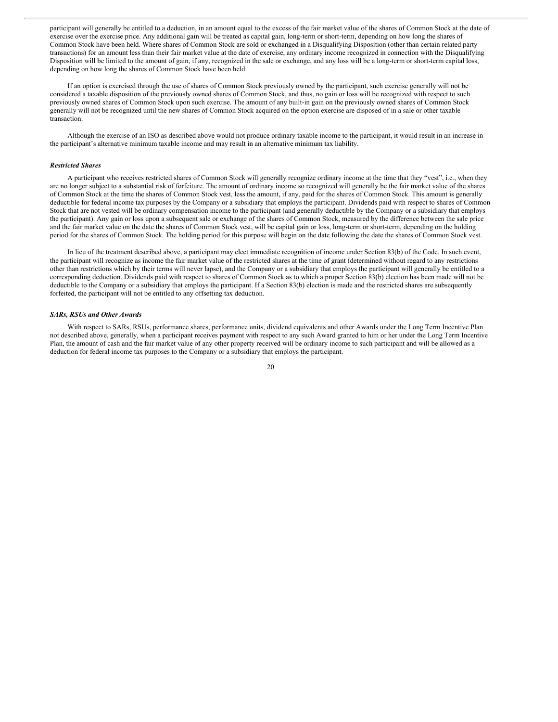participant will generally be entitled to a deduction, in an amount equal to the excess of the fair market value of the shares of Common Stock at the date of exercise over the exercise price. Any additional gain will be treated as capital gain, long-term or short-term, depending on how long the shares of Common Stock have been held. Where shares of Common Stock are sold or exchanged in a Disqualifying Disposition (other than certain related party transactions) for an amount less than their fair market value at the date of exercise, any ordinary income recognized in connection with the Disqualifying Disposition will be limited to the amount of gain, if any, recognized in the sale or exchange, and any loss will be a long-term or short-term capital loss, depending on how long the shares of Common Stock have been held.

If an option is exercised through the use of shares of Common Stock previously owned by the participant, such exercise generally will not be considered a taxable disposition of the previously owned shares of Common Stock, and thus, no gain or loss will be recognized with respect to such previously owned shares of Common Stock upon such exercise. The amount of any built-in gain on the previously owned shares of Common Stock generally will not be recognized until the new shares of Common Stock acquired on the option exercise are disposed of in a sale or other taxable transaction.

Although the exercise of an ISO as described above would not produce ordinary taxable income to the participant, it would result in an increase in the participant's alternative minimum taxable income and may result in an alternative minimum tax liability.

#### *Restricted Shares*

A participant who receives restricted shares of Common Stock will generally recognize ordinary income at the time that they "vest", i.e., when they are no longer subject to a substantial risk of forfeiture. The amount of ordinary income so recognized will generally be the fair market value of the shares of Common Stock at the time the shares of Common Stock vest, less the amount, if any, paid for the shares of Common Stock. This amount is generally deductible for federal income tax purposes by the Company or a subsidiary that employs the participant. Dividends paid with respect to shares of Common Stock that are not vested will be ordinary compensation income to the participant (and generally deductible by the Company or a subsidiary that employs the participant). Any gain or loss upon a subsequent sale or exchange of the shares of Common Stock, measured by the difference between the sale price and the fair market value on the date the shares of Common Stock vest, will be capital gain or loss, long-term or short-term, depending on the holding period for the shares of Common Stock. The holding period for this purpose will begin on the date following the date the shares of Common Stock vest.

In lieu of the treatment described above, a participant may elect immediate recognition of income under Section 83(b) of the Code. In such event, the participant will recognize as income the fair market value of the restricted shares at the time of grant (determined without regard to any restrictions other than restrictions which by their terms will never lapse), and the Company or a subsidiary that employs the participant will generally be entitled to a corresponding deduction. Dividends paid with respect to shares of Common Stock as to which a proper Section 83(b) election has been made will not be deductible to the Company or a subsidiary that employs the participant. If a Section 83(b) election is made and the restricted shares are subsequently forfeited, the participant will not be entitled to any offsetting tax deduction.

#### *SARs, RSUs and Other Awards*

With respect to SARs, RSUs, performance shares, performance units, dividend equivalents and other Awards under the Long Term Incentive Plan not described above, generally, when a participant receives payment with respect to any such Award granted to him or her under the Long Term Incentive Plan, the amount of cash and the fair market value of any other property received will be ordinary income to such participant and will be allowed as a deduction for federal income tax purposes to the Company or a subsidiary that employs the participant.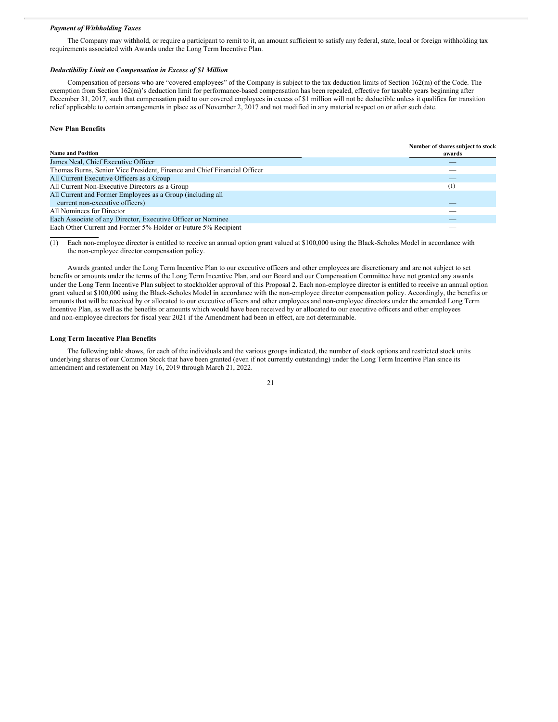#### *Payment of Withholding Taxes*

The Company may withhold, or require a participant to remit to it, an amount sufficient to satisfy any federal, state, local or foreign withholding tax requirements associated with Awards under the Long Term Incentive Plan.

#### *Deductibility Limit on Compensation in Excess of \$1 Million*

Compensation of persons who are "covered employees" of the Company is subject to the tax deduction limits of Section 162(m) of the Code. The exemption from Section 162(m)'s deduction limit for performance-based compensation has been repealed, effective for taxable years beginning after December 31, 2017, such that compensation paid to our covered employees in excess of \$1 million will not be deductible unless it qualifies for transition relief applicable to certain arrangements in place as of November 2, 2017 and not modified in any material respect on or after such date.

#### **New Plan Benefits**

| <b>Name and Position</b>                                                 | Number of shares subject to stock<br>awards |
|--------------------------------------------------------------------------|---------------------------------------------|
| James Neal, Chief Executive Officer                                      |                                             |
|                                                                          |                                             |
| Thomas Burns, Senior Vice President, Finance and Chief Financial Officer |                                             |
| All Current Executive Officers as a Group                                |                                             |
| All Current Non-Executive Directors as a Group                           | [1]                                         |
| All Current and Former Employees as a Group (including all               |                                             |
| current non-executive officers)                                          |                                             |
| All Nominees for Director                                                |                                             |
| Each Associate of any Director, Executive Officer or Nominee             |                                             |
| Each Other Current and Former 5% Holder or Future 5% Recipient           |                                             |

(1) Each non-employee director is entitled to receive an annual option grant valued at \$100,000 using the Black-Scholes Model in accordance with the non-employee director compensation policy.

Awards granted under the Long Term Incentive Plan to our executive officers and other employees are discretionary and are not subject to set benefits or amounts under the terms of the Long Term Incentive Plan, and our Board and our Compensation Committee have not granted any awards under the Long Term Incentive Plan subject to stockholder approval of this Proposal 2. Each non-employee director is entitled to receive an annual option grant valued at \$100,000 using the Black-Scholes Model in accordance with the non-employee director compensation policy. Accordingly, the benefits or amounts that will be received by or allocated to our executive officers and other employees and non-employee directors under the amended Long Term Incentive Plan, as well as the benefits or amounts which would have been received by or allocated to our executive officers and other employees and non-employee directors for fiscal year 2021 if the Amendment had been in effect, are not determinable.

#### **Long Term Incentive Plan Benefits**

The following table shows, for each of the individuals and the various groups indicated, the number of stock options and restricted stock units underlying shares of our Common Stock that have been granted (even if not currently outstanding) under the Long Term Incentive Plan since its amendment and restatement on May 16, 2019 through March 21, 2022.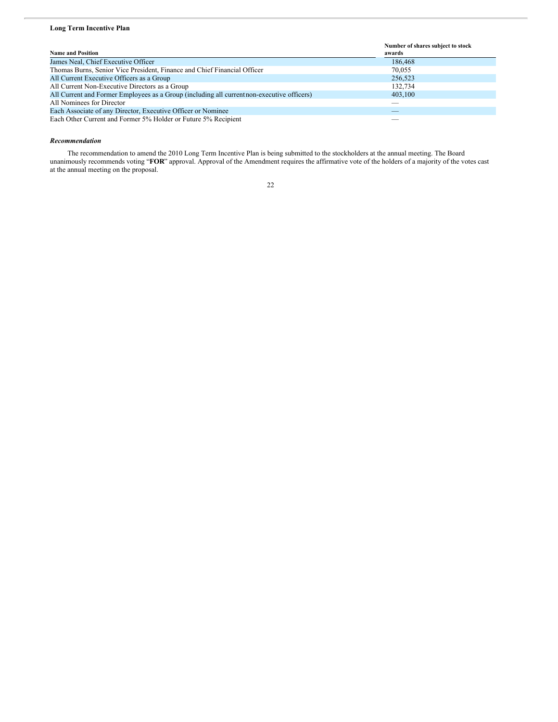### **Long Term Incentive Plan**

|                                                                                            | Number of shares subject to stock |
|--------------------------------------------------------------------------------------------|-----------------------------------|
| <b>Name and Position</b>                                                                   | awards                            |
| James Neal, Chief Executive Officer                                                        | 186,468                           |
| Thomas Burns, Senior Vice President, Finance and Chief Financial Officer                   | 70,055                            |
| All Current Executive Officers as a Group                                                  | 256,523                           |
| All Current Non-Executive Directors as a Group                                             | 132,734                           |
| All Current and Former Employees as a Group (including all current non-executive officers) | 403,100                           |
| All Nominees for Director                                                                  |                                   |
| Each Associate of any Director, Executive Officer or Nominee                               |                                   |
| Each Other Current and Former 5% Holder or Future 5% Recipient                             |                                   |

### *Recommendation*

The recommendation to amend the 2010 Long Term Incentive Plan is being submitted to the stockholders at the annual meeting. The Board unanimously recommends voting "**FOR**" approval. Approval of the Amendment requires the affirmative vote of the holders of a majority of the votes cast at the annual meeting on the proposal.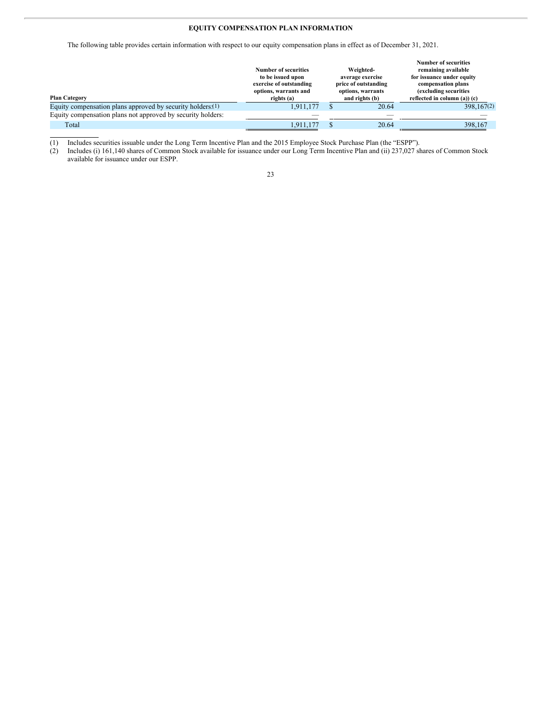### **EQUITY COMPENSATION PLAN INFORMATION**

The following table provides certain information with respect to our equity compensation plans in effect as of December 31, 2021.

|                                                               | Number of securities<br>to be issued upon<br>exercise of outstanding<br>options, warrants and | Weighted-<br>average exercise<br>price of outstanding<br>options, warrants | <b>Number of securities</b><br>remaining available<br>for issuance under equity<br>compensation plans<br>(excluding securities) |
|---------------------------------------------------------------|-----------------------------------------------------------------------------------------------|----------------------------------------------------------------------------|---------------------------------------------------------------------------------------------------------------------------------|
| <b>Plan Category</b>                                          | rights (a)                                                                                    | and rights (b)                                                             | reflected in column $(a)$ ) $(c)$                                                                                               |
| Equity compensation plans approved by security holders: $(1)$ | 1,911,177                                                                                     | 20.64                                                                      | 398, 167(2)                                                                                                                     |
| Equity compensation plans not approved by security holders:   |                                                                                               |                                                                            |                                                                                                                                 |
| Total                                                         | 1.911.177                                                                                     | 20.64                                                                      | 398,167                                                                                                                         |

(1) Includes securities issuable under the Long Term Incentive Plan and the 2015 Employee Stock Purchase Plan (the "ESPP").

(2) Includes (i) 161,140 shares of Common Stock available for issuance under our Long Term Incentive Plan and (ii) 237,027 shares of Common Stock available for issuance under our ESPP.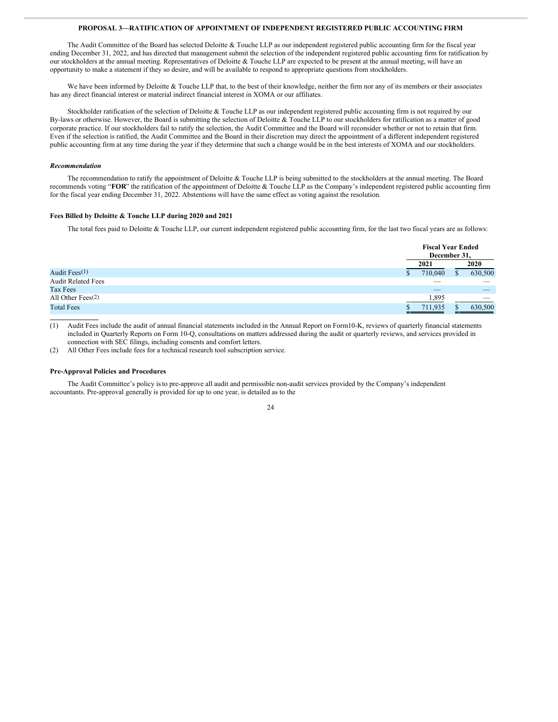#### **PROPOSAL 3—RATIFICATION OF APPOINTMENT OF INDEPENDENT REGISTERED PUBLIC ACCOUNTING FIRM**

The Audit Committee of the Board has selected Deloitte & Touche LLP as our independent registered public accounting firm for the fiscal year ending December 31, 2022, and has directed that management submit the selection of the independent registered public accounting firm for ratification by our stockholders at the annual meeting. Representatives of Deloitte & Touche LLP are expected to be present at the annual meeting, will have an opportunity to make a statement if they so desire, and will be available to respond to appropriate questions from stockholders.

We have been informed by Deloitte & Touche LLP that, to the best of their knowledge, neither the firm nor any of its members or their associates has any direct financial interest or material indirect financial interest in XOMA or our affiliates.

Stockholder ratification of the selection of Deloitte & Touche LLP as our independent registered public accounting firm is not required by our By-laws or otherwise. However, the Board is submitting the selection of Deloitte & Touche LLP to our stockholders for ratification as a matter of good corporate practice. If our stockholders fail to ratify the selection, the Audit Committee and the Board will reconsider whether or not to retain that firm. Even if the selection is ratified, the Audit Committee and the Board in their discretion may direct the appointment of a different independent registered public accounting firm at any time during the year if they determine that such a change would be in the best interests of XOMA and our stockholders.

#### *Recommendation*

The recommendation to ratify the appointment of Deloitte & Touche LLP is being submitted to the stockholders at the annual meeting. The Board recommends voting "**FOR**" the ratification of the appointment of Deloitte & Touche LLP as the Company's independent registered public accounting firm for the fiscal year ending December 31, 2022. Abstentions will have the same effect as voting against the resolution.

#### **Fees Billed by Deloitte & Touche LLP during 2020 and 2021**

The total fees paid to Deloitte & Touche LLP, our current independent registered public accounting firm, for the last two fiscal years are as follows:

|                           | <b>Fiscal Year Ended</b><br>December 31, |  |         |
|---------------------------|------------------------------------------|--|---------|
|                           | 2021                                     |  | 2020    |
| Audit Fees(1)             | 710,040                                  |  | 630,500 |
| <b>Audit Related Fees</b> |                                          |  |         |
| Tax Fees                  |                                          |  |         |
| All Other Fees $(2)$      | 1,895                                    |  |         |
| <b>Total Fees</b>         | 711.935                                  |  | 630,500 |

(1) Audit Fees include the audit of annual financial statements included in the Annual Report on Form10-K, reviews of quarterly financial statements included in Quarterly Reports on Form 10-Q, consultations on matters addressed during the audit or quarterly reviews, and services provided in connection with SEC filings, including consents and comfort letters.

(2) All Other Fees include fees for a technical research tool subscription service.

#### **Pre-Approval Policies and Procedures**

The Audit Committee's policy isto pre-approve all audit and permissible non-audit services provided by the Company's independent accountants. Pre-approval generally is provided for up to one year, is detailed as to the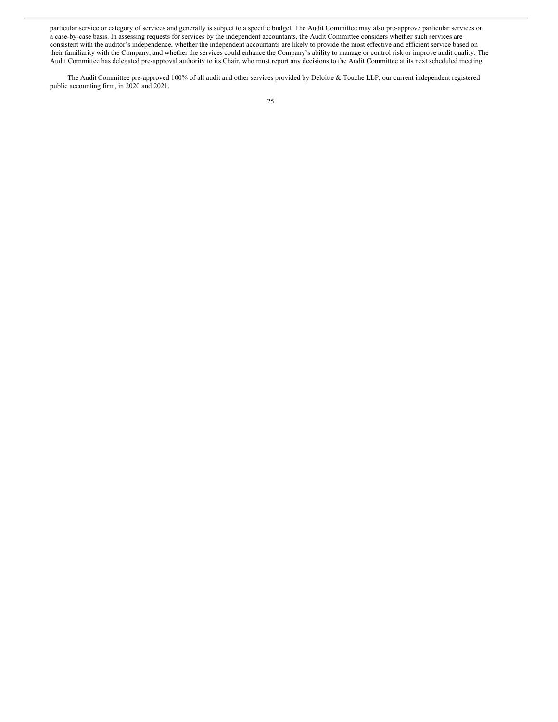particular service or category of services and generally is subject to a specific budget. The Audit Committee may also pre-approve particular services on a case-by-case basis. In assessing requests for services by the independent accountants, the Audit Committee considers whether such services are consistent with the auditor's independence, whether the independent accountants are likely to provide the most effective and efficient service based on their familiarity with the Company, and whether the services could enhance the Company's ability to manage or control risk or improve audit quality. The Audit Committee has delegated pre-approval authority to its Chair, who must report any decisions to the Audit Committee at its next scheduled meeting.

The Audit Committee pre-approved 100% of all audit and other services provided by Deloitte & Touche LLP, our current independent registered public accounting firm, in 2020 and 2021.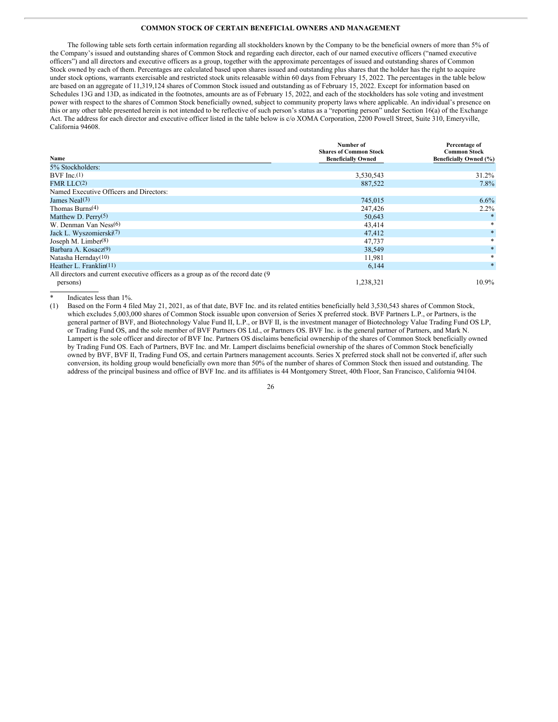#### **COMMON STOCK OF CERTAIN BENEFICIAL OWNERS AND MANAGEMENT**

The following table sets forth certain information regarding all stockholders known by the Company to be the beneficial owners of more than 5% of the Company's issued and outstanding shares of Common Stock and regarding each director, each of our named executive officers ("named executive officers") and all directors and executive officers as a group, together with the approximate percentages of issued and outstanding shares of Common Stock owned by each of them. Percentages are calculated based upon shares issued and outstanding plus shares that the holder has the right to acquire under stock options, warrants exercisable and restricted stock units releasable within 60 days from February 15, 2022. The percentages in the table below are based on an aggregate of 11,319,124 shares of Common Stock issued and outstanding as of February 15, 2022. Except for information based on Schedules 13G and 13D, as indicated in the footnotes, amounts are as of February 15, 2022, and each of the stockholders has sole voting and investment power with respect to the shares of Common Stock beneficially owned, subject to community property laws where applicable. An individual's presence on this or any other table presented herein is not intended to be reflective of such person's status as a "reporting person" under Section 16(a) of the Exchange Act. The address for each director and executive officer listed in the table below is c/o XOMA Corporation, 2200 Powell Street, Suite 310, Emeryville, California 94608.

| Name                                                                              | Number of<br><b>Shares of Common Stock</b><br><b>Beneficially Owned</b> | Percentage of<br><b>Common Stock</b><br>Beneficially Owned (%) |
|-----------------------------------------------------------------------------------|-------------------------------------------------------------------------|----------------------------------------------------------------|
| 5% Stockholders:                                                                  |                                                                         |                                                                |
| BVF $Inc(1)$                                                                      | 3,530,543                                                               | $31.2\%$                                                       |
| FMR LLC <sub>(2)</sub>                                                            | 887,522                                                                 | $7.8\%$                                                        |
| Named Executive Officers and Directors:                                           |                                                                         |                                                                |
| James Neal $(3)$                                                                  | 745,015                                                                 | $6.6\%$                                                        |
| Thomas Burns $(4)$                                                                | 247,426                                                                 | $2.2\%$                                                        |
| Matthew D. Perry $(5)$                                                            | 50,643                                                                  |                                                                |
| W. Denman Van Ness(6)                                                             | 43,414                                                                  | *                                                              |
| Jack L. Wyszomierski <sup>(7)</sup>                                               | 47,412                                                                  | $*$                                                            |
| Joseph M. Limber(8)                                                               | 47,737                                                                  | *                                                              |
| Barbara A. Kosacz <sup>(9)</sup>                                                  | 38,549                                                                  | $\ast$                                                         |
| Natasha Hernday $(10)$                                                            | 11,981                                                                  | $\ast$                                                         |
| Heather L. Franklin(11)                                                           | 6,144                                                                   | $*$                                                            |
| All directors and current executive officers as a group as of the record date (9) |                                                                         |                                                                |
| persons)                                                                          | 1,238,321                                                               | $10.9\%$                                                       |

Indicates less than 1%.

(1) Based on the Form 4 filed May 21, 2021, as of that date, BVF Inc. and its related entities beneficially held 3,530,543 shares of Common Stock, which excludes 5,003,000 shares of Common Stock issuable upon conversion of Series X preferred stock. BVF Partners L.P., or Partners, is the general partner of BVF, and Biotechnology Value Fund II, L.P., or BVF II, is the investment manager of Biotechnology Value Trading Fund OS LP, or Trading Fund OS, and the sole member of BVF Partners OS Ltd., or Partners OS. BVF Inc. is the general partner of Partners, and Mark N. Lampert is the sole officer and director of BVF Inc. Partners OS disclaims beneficial ownership of the shares of Common Stock beneficially owned by Trading Fund OS. Each of Partners, BVF Inc. and Mr. Lampert disclaims beneficial ownership of the shares of Common Stock beneficially owned by BVF, BVF II, Trading Fund OS, and certain Partners management accounts. Series X preferred stock shall not be converted if, after such conversion, its holding group would beneficially own more than 50% of the number of shares of Common Stock then issued and outstanding. The address of the principal business and office of BVF Inc. and its affiliates is 44 Montgomery Street, 40th Floor, San Francisco, California 94104.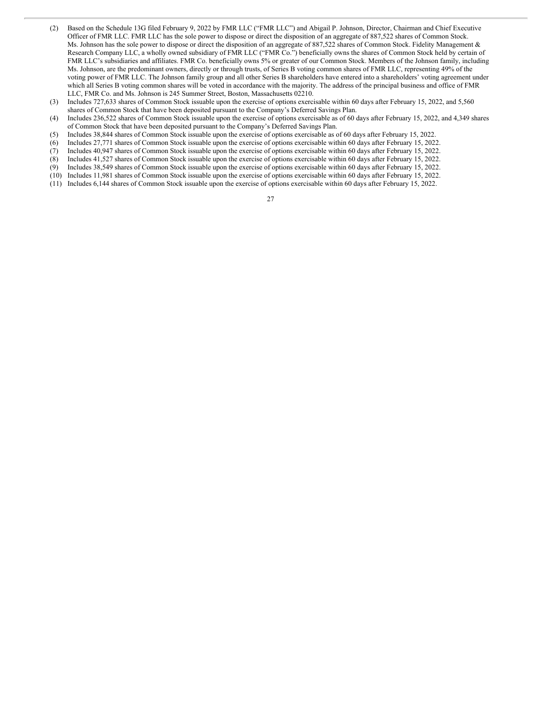- (2) Based on the Schedule 13G filed February 9, 2022 by FMR LLC ("FMR LLC") and Abigail P. Johnson, Director, Chairman and Chief Executive Officer of FMR LLC. FMR LLC has the sole power to dispose or direct the disposition of an aggregate of 887,522 shares of Common Stock. Ms. Johnson has the sole power to dispose or direct the disposition of an aggregate of 887,522 shares of Common Stock. Fidelity Management & Research Company LLC, a wholly owned subsidiary of FMR LLC ("FMR Co.") beneficially owns the shares of Common Stock held by certain of FMR LLC's subsidiaries and affiliates. FMR Co. beneficially owns 5% or greater of our Common Stock. Members of the Johnson family, including Ms. Johnson, are the predominant owners, directly or through trusts, of Series B voting common shares of FMR LLC, representing 49% of the voting power of FMR LLC. The Johnson family group and all other Series B shareholders have entered into a shareholders' voting agreement under which all Series B voting common shares will be voted in accordance with the majority. The address of the principal business and office of FMR LLC, FMR Co. and Ms. Johnson is 245 Summer Street, Boston, Massachusetts 02210.
- (3) Includes 727,633 shares of Common Stock issuable upon the exercise of options exercisable within 60 days after February 15, 2022, and 5,560 shares of Common Stock that have been deposited pursuant to the Company's Deferred Savings Plan.
- (4) Includes 236,522 shares of Common Stock issuable upon the exercise of options exercisable as of 60 days after February 15, 2022, and 4,349 shares of Common Stock that have been deposited pursuant to the Company's Deferred Savings Plan.
- (5) Includes 38,844 shares of Common Stock issuable upon the exercise of options exercisable as of 60 days after February 15, 2022.
- (6) Includes 27,771 shares of Common Stock issuable upon the exercise of options exercisable within 60 days after February 15, 2022.
- (7) Includes 40,947 shares of Common Stock issuable upon the exercise of options exercisable within 60 days after February 15, 2022.
- (8) Includes 41,527 shares of Common Stock issuable upon the exercise of options exercisable within 60 days after February 15, 2022.
- (9) Includes 38,549 shares of Common Stock issuable upon the exercise of options exercisable within 60 days after February 15, 2022.
- (10) Includes 11,981 shares of Common Stock issuable upon the exercise of options exercisable within 60 days after February 15, 2022.
- (11) Includes 6,144 shares of Common Stock issuable upon the exercise of options exercisable within 60 days after February 15, 2022.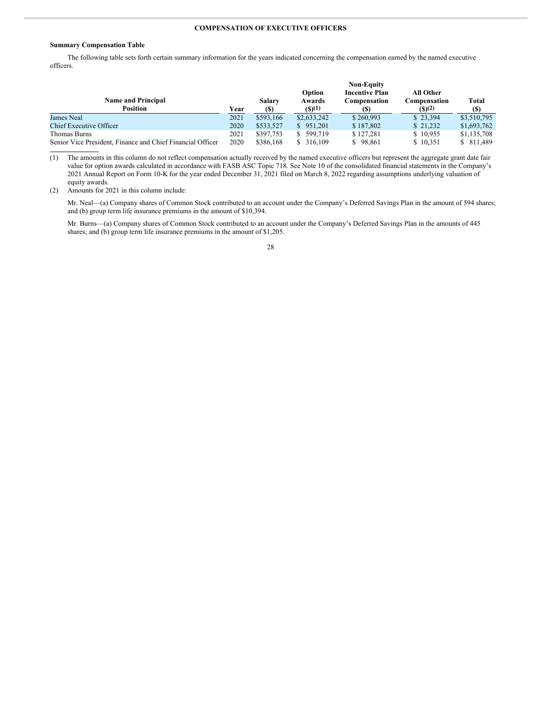#### **COMPENSATION OF EXECUTIVE OFFICERS**

#### **Summary Compensation Table**

The following table sets forth certain summary information for the years indicated concerning the compensation earned by the named executive officers.

|                                                            |      |           |             | <b>Non-Equity</b>     |                  |             |
|------------------------------------------------------------|------|-----------|-------------|-----------------------|------------------|-------------|
|                                                            |      |           | Option      | <b>Incentive Plan</b> | <b>All Other</b> |             |
| <b>Name and Principal</b>                                  |      | Salary    | Awards      | Compensation          | Compensation     | Total       |
| Position                                                   | Year | (S)       | (5)(1)      |                       | (S)(2)           | (S)         |
| James Neal                                                 | 2021 | \$593,166 | \$2,633,242 | \$260,993             | \$23.394         | \$3,510,795 |
| <b>Chief Executive Officer</b>                             | 2020 | \$533,527 | \$951,201   | \$187,802             | \$21,232         | \$1,693,762 |
| Thomas Burns                                               | 2021 | \$397,753 | \$ 599,719  | \$127.281             | \$10.955         | \$1,135,708 |
| Senior Vice President, Finance and Chief Financial Officer | 2020 | \$386,168 | \$ 316,109  | \$98,861              | \$10,351         | \$ 811,489  |

(1) The amounts in this column do not reflect compensation actually received by the named executive officers but represent the aggregate grant date fair value for option awards calculated in accordance with FASB ASC Topic 718. See Note 10 of the consolidated financial statements in the Company's 2021 Annual Report on Form 10-K for the year ended December 31, 2021 filed on March 8, 2022 regarding assumptions underlying valuation of equity awards.

(2) Amounts for 2021 in this column include:

Mr. Neal—(a) Company shares of Common Stock contributed to an account under the Company's Deferred Savings Plan in the amount of 594 shares; and (b) group term life insurance premiums in the amount of \$10,394.

Mr. Burns—(a) Company shares of Common Stock contributed to an account under the Company's Deferred Savings Plan in the amounts of 445 shares; and (b) group term life insurance premiums in the amount of \$1,205.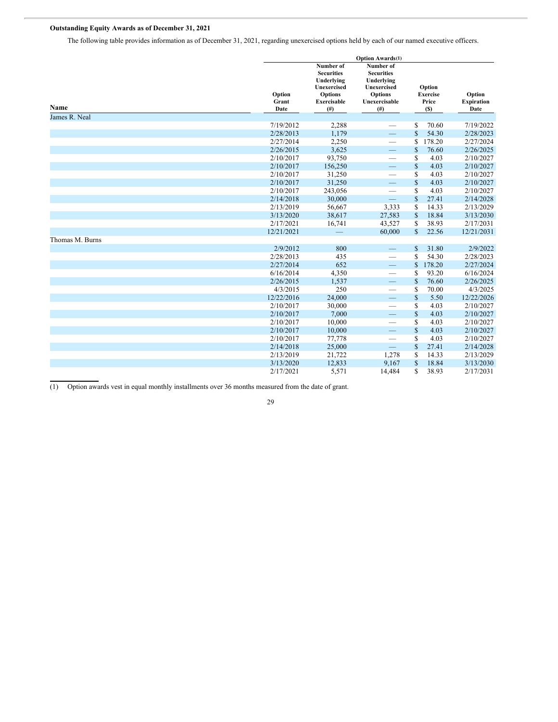## **Outstanding Equity Awards as of December 31, 2021**

The following table provides information as of December 31, 2021, regarding unexercised options held by each of our named executive officers.

|                 |                         | <b>Option Awards(1)</b>                                                                                    |                                                                                                       |                                           |                                     |
|-----------------|-------------------------|------------------------------------------------------------------------------------------------------------|-------------------------------------------------------------------------------------------------------|-------------------------------------------|-------------------------------------|
| Name            | Option<br>Grant<br>Date | Number of<br><b>Securities</b><br>Underlying<br>Unexercised<br><b>Options</b><br><b>Exercisable</b><br>(#) | Number of<br><b>Securities</b><br>Underlying<br>Unexercised<br><b>Options</b><br>Unexercisable<br>(#) | Option<br><b>Exercise</b><br>Price<br>(S) | Option<br><b>Expiration</b><br>Date |
| James R. Neal   |                         |                                                                                                            |                                                                                                       |                                           |                                     |
|                 | 7/19/2012               | 2,288                                                                                                      |                                                                                                       | 70.60<br>\$                               | 7/19/2022                           |
|                 | 2/28/2013               | 1,179                                                                                                      | $\equiv$                                                                                              | $\mathbf{\hat{s}}$<br>54.30               | 2/28/2023                           |
|                 | 2/27/2014               | 2,250                                                                                                      |                                                                                                       | 178.20<br>S                               | 2/27/2024                           |
|                 | 2/26/2015               | 3,625                                                                                                      | $\overline{\phantom{0}}$                                                                              | $\mathbb{S}$<br>76.60                     | 2/26/2025                           |
|                 | 2/10/2017               | 93,750                                                                                                     | $\overline{\phantom{0}}$                                                                              | \$<br>4.03                                | 2/10/2027                           |
|                 | 2/10/2017               | 156,250                                                                                                    | $\overline{\phantom{0}}$                                                                              | $\mathbb{S}$<br>4.03                      | 2/10/2027                           |
|                 | 2/10/2017               | 31,250                                                                                                     | $\overline{\phantom{0}}$                                                                              | S<br>4.03                                 | 2/10/2027                           |
|                 | 2/10/2017               | 31,250                                                                                                     | $\overline{\phantom{0}}$                                                                              | \$<br>4.03                                | 2/10/2027                           |
|                 | 2/10/2017               | 243,056                                                                                                    | $\overline{\phantom{0}}$                                                                              | S<br>4.03                                 | 2/10/2027                           |
|                 | 2/14/2018               | 30,000                                                                                                     | $\equiv$                                                                                              | \$<br>27.41                               | 2/14/2028                           |
|                 | 2/13/2019               | 56,667                                                                                                     | 3,333                                                                                                 | \$<br>14.33                               | 2/13/2029                           |
|                 | 3/13/2020               | 38,617                                                                                                     | 27,583                                                                                                | \$<br>18.84                               | 3/13/2030                           |
|                 | 2/17/2021               | 16,741                                                                                                     | 43,527                                                                                                | \$<br>38.93                               | 2/17/2031                           |
|                 | 12/21/2021              |                                                                                                            | 60,000                                                                                                | $\mathbb{S}$<br>22.56                     | 12/21/2031                          |
| Thomas M. Burns |                         |                                                                                                            |                                                                                                       |                                           |                                     |
|                 | 2/9/2012                | 800                                                                                                        |                                                                                                       | $\mathbb{S}$<br>31.80                     | 2/9/2022                            |
|                 | 2/28/2013               | 435                                                                                                        | $\overline{\phantom{0}}$                                                                              | S<br>54.30                                | 2/28/2023                           |
|                 | 2/27/2014               | 652                                                                                                        | $\overline{\phantom{0}}$                                                                              | 178.20<br>\$                              | 2/27/2024                           |
|                 | 6/16/2014               | 4,350                                                                                                      |                                                                                                       | 93.20<br>\$                               | 6/16/2024                           |
|                 | 2/26/2015               | 1,537                                                                                                      | $\overline{\phantom{0}}$                                                                              | 76.60<br>\$                               | 2/26/2025                           |
|                 | 4/3/2015                | 250                                                                                                        |                                                                                                       | 70.00<br>\$                               | 4/3/2025                            |
|                 | 12/22/2016              | 24,000                                                                                                     | $\equiv$                                                                                              | \$<br>5.50                                | 12/22/2026                          |
|                 | 2/10/2017               | 30,000                                                                                                     | $\overline{\phantom{0}}$                                                                              | \$<br>4.03                                | 2/10/2027                           |
|                 | 2/10/2017               | 7,000                                                                                                      | $\overline{\phantom{0}}$                                                                              | $\mathbb{S}$<br>4.03                      | 2/10/2027                           |
|                 | 2/10/2017               | 10,000                                                                                                     | $\overline{\phantom{0}}$                                                                              | 4.03<br>\$                                | 2/10/2027                           |
|                 | 2/10/2017               | 10,000                                                                                                     | $\overline{\phantom{0}}$                                                                              | $\mathbb{S}$<br>4.03                      | 2/10/2027                           |
|                 | 2/10/2017               | 77,778                                                                                                     | $\overline{\phantom{0}}$                                                                              | 4.03<br>S                                 | 2/10/2027                           |
|                 | 2/14/2018               | 25,000                                                                                                     |                                                                                                       | \$<br>27.41                               | 2/14/2028                           |
|                 | 2/13/2019               | 21,722                                                                                                     | 1,278                                                                                                 | 14.33<br>\$                               | 2/13/2029                           |
|                 | 3/13/2020               | 12,833                                                                                                     | 9,167                                                                                                 | \$<br>18.84                               | 3/13/2030                           |
|                 | 2/17/2021               | 5,571                                                                                                      | 14,484                                                                                                | \$<br>38.93                               | 2/17/2031                           |

(1) Option awards vest in equal monthly installments over 36 months measured from the date of grant.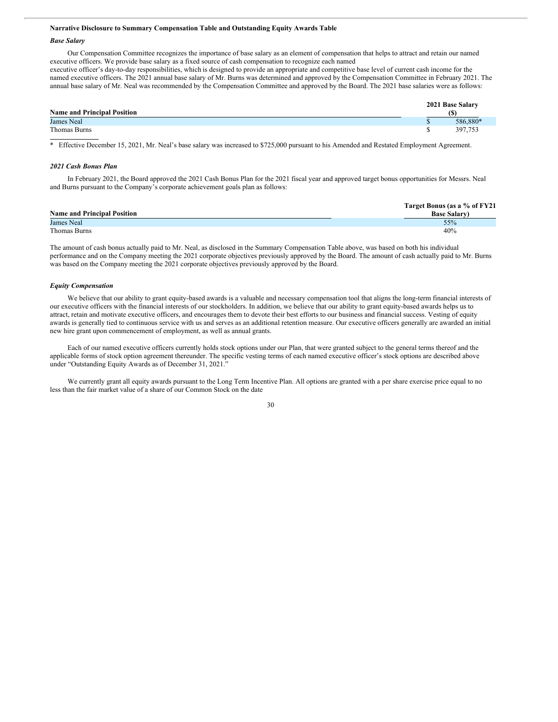#### **Narrative Disclosure to Summary Compensation Table and Outstanding Equity Awards Table**

#### *Base Salary*

Our Compensation Committee recognizes the importance of base salary as an element of compensation that helps to attract and retain our named executive officers. We provide base salary as a fixed source of cash compensation to recognize each named

executive officer's day-to-day responsibilities, which is designed to provide an appropriate and competitive base level of current cash income for the named executive officers. The 2021 annual base salary of Mr. Burns was determined and approved by the Compensation Committee in February 2021. The annual base salary of Mr. Neal was recommended by the Compensation Committee and approved by the Board. The 2021 base salaries were as follows:

| <b>Name and Principal Position</b> |  | 2021 Base Salary |
|------------------------------------|--|------------------|
| <b>James Neal</b>                  |  | 586.880*         |
| Thomas Burns                       |  | 397,753          |

\* Effective December 15, 2021, Mr. Neal's base salary was increased to \$725,000 pursuant to his Amended and Restated Employment Agreement.

#### *2021 Cash Bonus Plan*

In February 2021, the Board approved the 2021 Cash Bonus Plan for the 2021 fiscal year and approved target bonus opportunities for Messrs. Neal and Burns pursuant to the Company's corporate achievement goals plan as follows:

|                                    | Target Bonus (as a % of FY21 |
|------------------------------------|------------------------------|
| <b>Name and Principal Position</b> | <b>Base Salary</b> )         |
| <b>James Neal</b>                  | 55%                          |
| Thomas Burns                       | 40%                          |

The amount of cash bonus actually paid to Mr. Neal, as disclosed in the Summary Compensation Table above, was based on both his individual performance and on the Company meeting the 2021 corporate objectives previously approved by the Board. The amount of cash actually paid to Mr. Burns was based on the Company meeting the 2021 corporate objectives previously approved by the Board.

#### *Equity Compensation*

We believe that our ability to grant equity-based awards is a valuable and necessary compensation tool that aligns the long-term financial interests of our executive officers with the financial interests of our stockholders. In addition, we believe that our ability to grant equity-based awards helps us to attract, retain and motivate executive officers, and encourages them to devote their best efforts to our business and financial success. Vesting of equity awards is generally tied to continuous service with us and serves as an additional retention measure. Our executive officers generally are awarded an initial new hire grant upon commencement of employment, as well as annual grants.

Each of our named executive officers currently holds stock options under our Plan, that were granted subject to the general terms thereof and the applicable forms of stock option agreement thereunder. The specific vesting terms of each named executive officer's stock options are described above under "Outstanding Equity Awards as of December 31, 2021."

We currently grant all equity awards pursuant to the Long Term Incentive Plan. All options are granted with a per share exercise price equal to no less than the fair market value of a share of our Common Stock on the date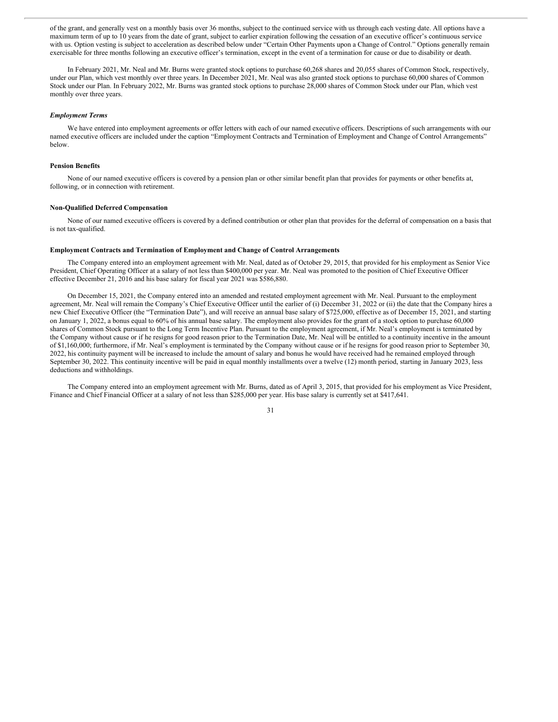of the grant, and generally vest on a monthly basis over 36 months, subject to the continued service with us through each vesting date. All options have a maximum term of up to 10 years from the date of grant, subject to earlier expiration following the cessation of an executive officer's continuous service with us. Option vesting is subject to acceleration as described below under "Certain Other Payments upon a Change of Control." Options generally remain exercisable for three months following an executive officer's termination, except in the event of a termination for cause or due to disability or death.

In February 2021, Mr. Neal and Mr. Burns were granted stock options to purchase 60,268 shares and 20,055 shares of Common Stock, respectively, under our Plan, which vest monthly over three years. In December 2021, Mr. Neal was also granted stock options to purchase 60,000 shares of Common Stock under our Plan. In February 2022, Mr. Burns was granted stock options to purchase 28,000 shares of Common Stock under our Plan, which vest monthly over three years.

#### *Employment Terms*

We have entered into employment agreements or offer letters with each of our named executive officers. Descriptions of such arrangements with our named executive officers are included under the caption "Employment Contracts and Termination of Employment and Change of Control Arrangements" below.

#### **Pension Benefits**

None of our named executive officers is covered by a pension plan or other similar benefit plan that provides for payments or other benefits at, following, or in connection with retirement.

#### **Non-Qualified Deferred Compensation**

None of our named executive officers is covered by a defined contribution or other plan that provides for the deferral of compensation on a basis that is not tax-qualified.

#### **Employment Contracts and Termination of Employment and Change of Control Arrangements**

The Company entered into an employment agreement with Mr. Neal, dated as of October 29, 2015, that provided for his employment as Senior Vice President, Chief Operating Officer at a salary of not less than \$400,000 per year. Mr. Neal was promoted to the position of Chief Executive Officer effective December 21, 2016 and his base salary for fiscal year 2021 was \$586,880.

On December 15, 2021, the Company entered into an amended and restated employment agreement with Mr. Neal. Pursuant to the employment agreement, Mr. Neal will remain the Company's Chief Executive Officer until the earlier of (i) December 31, 2022 or (ii) the date that the Company hires a new Chief Executive Officer (the "Termination Date"), and will receive an annual base salary of \$725,000, effective as of December 15, 2021, and starting on January 1, 2022, a bonus equal to 60% of his annual base salary. The employment also provides for the grant of a stock option to purchase 60,000 shares of Common Stock pursuant to the Long Term Incentive Plan. Pursuant to the employment agreement, if Mr. Neal's employment is terminated by the Company without cause or if he resigns for good reason prior to the Termination Date, Mr. Neal will be entitled to a continuity incentive in the amount of \$1,160,000; furthermore, if Mr. Neal's employment is terminated by the Company without cause or if he resigns for good reason prior to September 30, 2022, his continuity payment will be increased to include the amount of salary and bonus he would have received had he remained employed through September 30, 2022. This continuity incentive will be paid in equal monthly installments over a twelve (12) month period, starting in January 2023, less deductions and withholdings.

The Company entered into an employment agreement with Mr. Burns, dated as of April 3, 2015, that provided for his employment as Vice President, Finance and Chief Financial Officer at a salary of not less than \$285,000 per year. His base salary is currently set at \$417,641.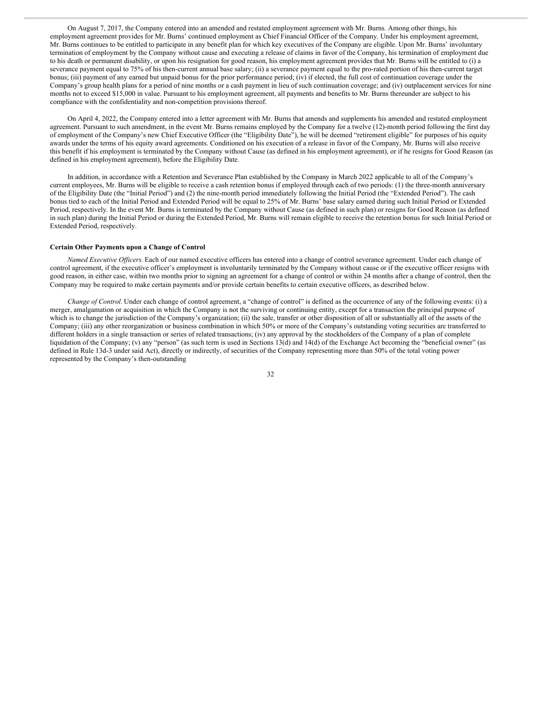On August 7, 2017, the Company entered into an amended and restated employment agreement with Mr. Burns. Among other things, his employment agreement provides for Mr. Burns' continued employment as Chief Financial Officer of the Company. Under his employment agreement, Mr. Burns continues to be entitled to participate in any benefit plan for which key executives of the Company are eligible. Upon Mr. Burns' involuntary termination of employment by the Company without cause and executing a release of claims in favor of the Company, his termination of employment due to his death or permanent disability, or upon his resignation for good reason, his employment agreement provides that Mr. Burns will be entitled to (i) a severance payment equal to 75% of his then-current annual base salary; (ii) a severance payment equal to the pro-rated portion of his then-current target bonus; (iii) payment of any earned but unpaid bonus for the prior performance period; (iv) if elected, the full cost of continuation coverage under the Company's group health plans for a period of nine months or a cash payment in lieu of such continuation coverage; and (iv) outplacement services for nine months not to exceed \$15,000 in value. Pursuant to his employment agreement, all payments and benefits to Mr. Burns thereunder are subject to his compliance with the confidentiality and non-competition provisions thereof.

On April 4, 2022, the Company entered into a letter agreement with Mr. Burns that amends and supplements his amended and restated employment agreement. Pursuant to such amendment, in the event Mr. Burns remains employed by the Company for a twelve (12)-month period following the first day of employment of the Company's new Chief Executive Officer (the "Eligibility Date"), he will be deemed "retirement eligible" for purposes of his equity awards under the terms of his equity award agreements. Conditioned on his execution of a release in favor of the Company, Mr. Burns will also receive this benefit if his employment is terminated by the Company without Cause (as defined in his employment agreement), or if he resigns for Good Reason (as defined in his employment agreement), before the Eligibility Date.

In addition, in accordance with a Retention and Severance Plan established by the Company in March 2022 applicable to all of the Company's current employees, Mr. Burns will be eligible to receive a cash retention bonus if employed through each of two periods: (1) the three-month anniversary of the Eligibility Date (the "Initial Period") and (2) the nine-month period immediately following the Initial Period (the "Extended Period"). The cash bonus tied to each of the Initial Period and Extended Period will be equal to 25% of Mr. Burns' base salary earned during such Initial Period or Extended Period, respectively. In the event Mr. Burns is terminated by the Company without Cause (as defined in such plan) or resigns for Good Reason (as defined in such plan) during the Initial Period or during the Extended Period, Mr. Burns will remain eligible to receive the retention bonus for such Initial Period or Extended Period, respectively.

#### **Certain Other Payments upon a Change of Control**

*Named Executive Of icers.* Each of our named executive officers has entered into a change of control severance agreement. Under each change of control agreement, if the executive officer's employment is involuntarily terminated by the Company without cause or if the executive officer resigns with good reason, in either case, within two months prior to signing an agreement for a change of control or within 24 months after a change of control, then the Company may be required to make certain payments and/or provide certain benefits to certain executive officers, as described below.

*Change of Control.* Under each change of control agreement, a "change of control" is defined as the occurrence of any of the following events: (i) a merger, amalgamation or acquisition in which the Company is not the surviving or continuing entity, except for a transaction the principal purpose of which is to change the jurisdiction of the Company's organization; (ii) the sale, transfer or other disposition of all or substantially all of the assets of the Company; (iii) any other reorganization or business combination in which 50% or more of the Company's outstanding voting securities are transferred to different holders in a single transaction or series of related transactions; (iv) any approval by the stockholders of the Company of a plan of complete liquidation of the Company; (v) any "person" (as such term is used in Sections 13(d) and 14(d) of the Exchange Act becoming the "beneficial owner" (as defined in Rule 13d-3 under said Act), directly or indirectly, of securities of the Company representing more than 50% of the total voting power represented by the Company's then-outstanding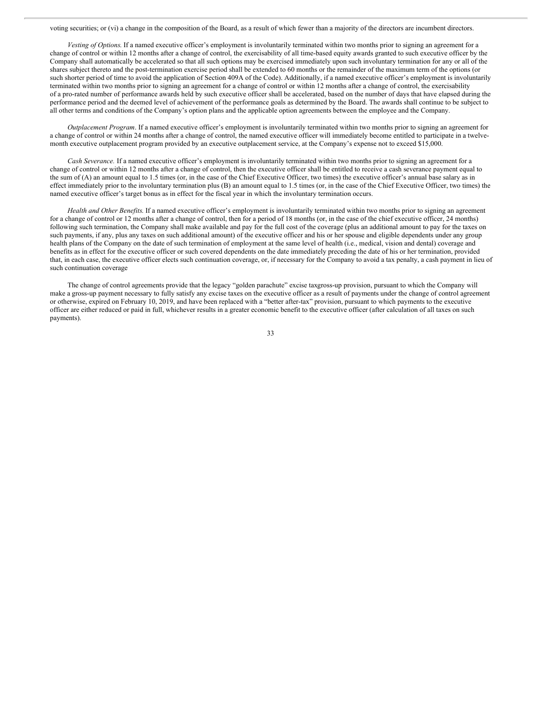voting securities; or (vi) a change in the composition of the Board, as a result of which fewer than a majority of the directors are incumbent directors.

*Vesting of Options*. If a named executive officer's employment is involuntarily terminated within two months prior to signing an agreement for a change of control or within 12 months after a change of control, the exercisability of all time-based equity awards granted to such executive officer by the Company shall automatically be accelerated so that all such options may be exercised immediately upon such involuntary termination for any or all of the shares subject thereto and the post-termination exercise period shall be extended to 60 months or the remainder of the maximum term of the options (or such shorter period of time to avoid the application of Section 409A of the Code). Additionally, if a named executive officer's employment is involuntarily terminated within two months prior to signing an agreement for a change of control or within 12 months after a change of control, the exercisability of a pro-rated number of performance awards held by such executive officer shall be accelerated, based on the number of days that have elapsed during the performance period and the deemed level of achievement of the performance goals as determined by the Board. The awards shall continue to be subject to all other terms and conditions of the Company's option plans and the applicable option agreements between the employee and the Company.

*Outplacement Program*. If a named executive officer's employment is involuntarily terminated within two months prior to signing an agreement for a change of control or within 24 months after a change of control, the named executive officer will immediately become entitled to participate in a twelvemonth executive outplacement program provided by an executive outplacement service, at the Company's expense not to exceed \$15,000.

*Cash Severance.* If a named executive officer's employment is involuntarily terminated within two months prior to signing an agreement for a change of control or within 12 months after a change of control, then the executive officer shall be entitled to receive a cash severance payment equal to the sum of (A) an amount equal to 1.5 times (or, in the case of the Chief Executive Officer, two times) the executive officer's annual base salary as in effect immediately prior to the involuntary termination plus (B) an amount equal to 1.5 times (or, in the case of the Chief Executive Officer, two times) the named executive officer's target bonus as in effect for the fiscal year in which the involuntary termination occurs.

*Health and Other Benefits*. If a named executive officer's employment is involuntarily terminated within two months prior to signing an agreement for a change of control or 12 months after a change of control, then for a period of 18 months (or, in the case of the chief executive officer, 24 months) following such termination, the Company shall make available and pay for the full cost of the coverage (plus an additional amount to pay for the taxes on such payments, if any, plus any taxes on such additional amount) of the executive officer and his or her spouse and eligible dependents under any group health plans of the Company on the date of such termination of employment at the same level of health (i.e., medical, vision and dental) coverage and benefits as in effect for the executive officer or such covered dependents on the date immediately preceding the date of his or her termination, provided that, in each case, the executive officer elects such continuation coverage, or, if necessary for the Company to avoid a tax penalty, a cash payment in lieu of such continuation coverage

The change of control agreements provide that the legacy "golden parachute" excise taxgross-up provision, pursuant to which the Company will make a gross-up payment necessary to fully satisfy any excise taxes on the executive officer as a result of payments under the change of control agreement or otherwise, expired on February 10, 2019, and have been replaced with a "better after-tax" provision, pursuant to which payments to the executive officer are either reduced or paid in full, whichever results in a greater economic benefit to the executive officer (after calculation of all taxes on such payments).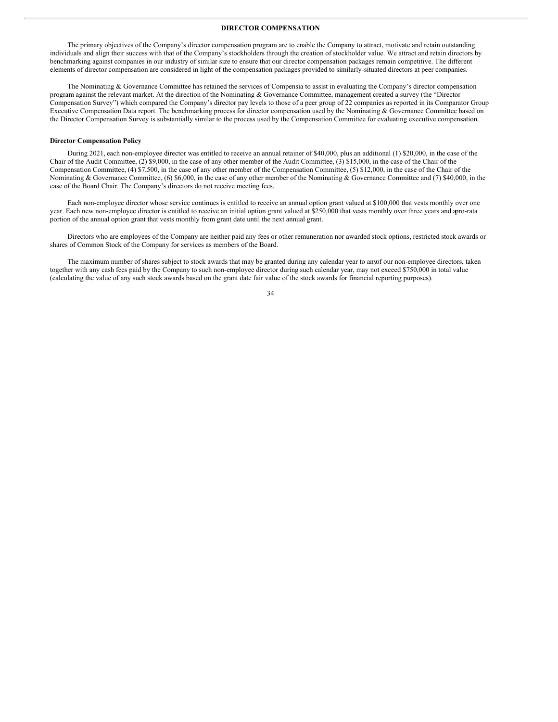#### **DIRECTOR COMPENSATION**

The primary objectives of the Company's director compensation program are to enable the Company to attract, motivate and retain outstanding individuals and align their success with that of the Company's stockholders through the creation of stockholder value. We attract and retain directors by benchmarking against companies in our industry of similar size to ensure that our director compensation packages remain competitive. The different elements of director compensation are considered in light of the compensation packages provided to similarly-situated directors at peer companies.

The Nominating & Governance Committee has retained the services of Compensia to assist in evaluating the Company's director compensation program against the relevant market. At the direction of the Nominating & Governance Committee, management created a survey (the "Director Compensation Survey") which compared the Company's director pay levels to those of a peer group of 22 companies as reported in its Comparator Group Executive Compensation Data report. The benchmarking process for director compensation used by the Nominating  $\&$  Governance Committee based on the Director Compensation Survey is substantially similar to the process used by the Compensation Committee for evaluating executive compensation.

#### **Director Compensation Policy**

During 2021, each non-employee director was entitled to receive an annual retainer of \$40,000, plus an additional (1) \$20,000, in the case of the Chair of the Audit Committee, (2) \$9,000, in the case of any other member of the Audit Committee, (3) \$15,000, in the case of the Chair of the Compensation Committee, (4) \$7,500, in the case of any other member of the Compensation Committee, (5) \$12,000, in the case of the Chair of the Nominating & Governance Committee, (6) \$6,000, in the case of any other member of the Nominating & Governance Committee and (7) \$40,000, in the case of the Board Chair. The Company's directors do not receive meeting fees.

Each non-employee director whose service continues is entitled to receive an annual option grant valued at \$100,000 that vests monthly over one year. Each new non-employee director is entitled to receive an initial option grant valued at \$250,000 that vests monthly over three years and apro-rata portion of the annual option grant that vests monthly from grant date until the next annual grant.

Directors who are employees of the Company are neither paid any fees or other remuneration nor awarded stock options, restricted stock awards or shares of Common Stock of the Company for services as members of the Board.

The maximum number of shares subject to stock awards that may be granted during any calendar year to anyof our non-employee directors, taken together with any cash fees paid by the Company to such non-employee director during such calendar year, may not exceed \$750,000 in total value (calculating the value of any such stock awards based on the grant date fair value of the stock awards for financial reporting purposes).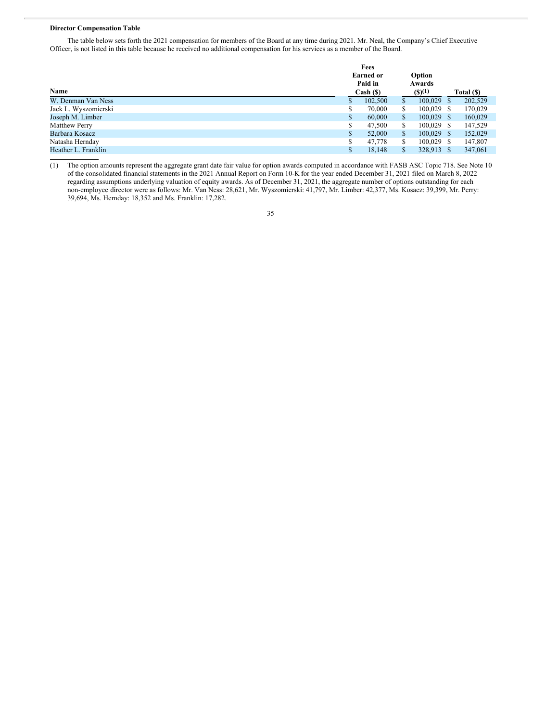#### **Director Compensation Table**

The table below sets forth the 2021 compensation for members of the Board at any time during 2021. Mr. Neal, the Company's Chief Executive Officer, is not listed in this table because he received no additional compensation for his services as a member of the Board.

|                      |              | Fees             |     |               |            |  |
|----------------------|--------------|------------------|-----|---------------|------------|--|
|                      |              | <b>Earned or</b> |     | Option        |            |  |
|                      |              | Paid in          |     | Awards        |            |  |
| Name                 |              | $Cash (\$)$      |     | $($ \$ $)(1)$ | Total (\$) |  |
| W. Denman Van Ness   | S.           | 102,500          |     | $100,029$ \$  | 202,529    |  |
| Jack L. Wyszomierski | S            | 70,000           | \$  | $100.029$ \$  | 170,029    |  |
| Joseph M. Limber     | S            | 60,000           | S   | $100,029$ \$  | 160,029    |  |
| <b>Matthew Perry</b> | \$           | 47,500           | S   | $100.029$ \$  | 147,529    |  |
| Barbara Kosacz       | $\mathbb{S}$ | 52,000           | S   | $100,029$ \$  | 152,029    |  |
| Natasha Hernday      | S            | 47.778           | \$. | $100.029$ \$  | 147,807    |  |
| Heather L. Franklin  | \$           | 18,148           |     | 328.913 \$    | 347,061    |  |

(1) The option amounts represent the aggregate grant date fair value for option awards computed in accordance with FASB ASC Topic 718. See Note 10 of the consolidated financial statements in the 2021 Annual Report on Form 10-K for the year ended December 31, 2021 filed on March 8, 2022 regarding assumptions underlying valuation of equity awards. As of December 31, 2021, the aggregate number of options outstanding for each non-employee director were as follows: Mr. Van Ness: 28,621, Mr. Wyszomierski: 41,797, Mr. Limber: 42,377, Ms. Kosacz: 39,399, Mr. Perry: 39,694, Ms. Hernday: 18,352 and Ms. Franklin: 17,282.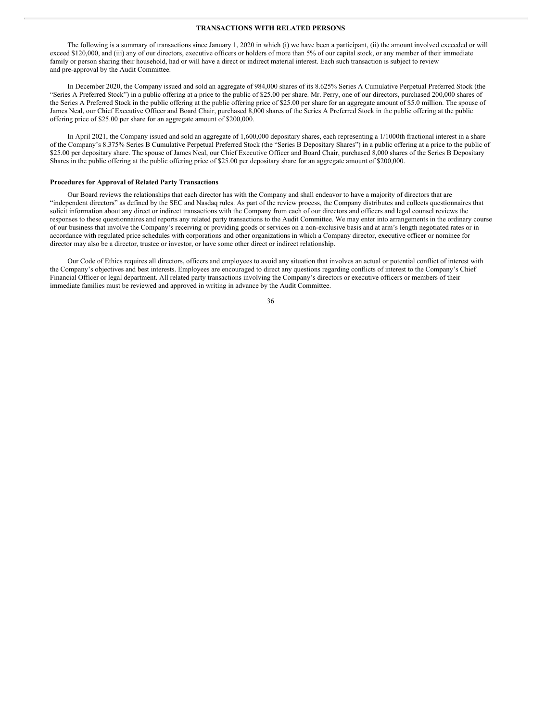#### **TRANSACTIONS WITH RELATED PERSONS**

The following is a summary of transactions since January 1, 2020 in which (i) we have been a participant, (ii) the amount involved exceeded or will exceed \$120,000, and (iii) any of our directors, executive officers or holders of more than 5% of our capital stock, or any member of their immediate family or person sharing their household, had or will have a direct or indirect material interest. Each such transaction is subject to review and pre-approval by the Audit Committee.

In December 2020, the Company issued and sold an aggregate of 984,000 shares of its 8.625% Series A Cumulative Perpetual Preferred Stock (the "Series A Preferred Stock") in a public offering at a price to the public of \$25.00 per share. Mr. Perry, one of our directors, purchased 200,000 shares of the Series A Preferred Stock in the public offering at the public offering price of \$25.00 per share for an aggregate amount of \$5.0 million. The spouse of James Neal, our Chief Executive Officer and Board Chair, purchased 8,000 shares of the Series A Preferred Stock in the public offering at the public offering price of \$25.00 per share for an aggregate amount of \$200,000.

In April 2021, the Company issued and sold an aggregate of 1,600,000 depositary shares, each representing a 1/1000th fractional interest in a share of the Company's 8.375% Series B Cumulative Perpetual Preferred Stock (the "Series B Depositary Shares") in a public offering at a price to the public of \$25.00 per depositary share. The spouse of James Neal, our Chief Executive Officer and Board Chair, purchased 8,000 shares of the Series B Depositary Shares in the public offering at the public offering price of \$25.00 per depositary share for an aggregate amount of \$200,000.

#### **Procedures for Approval of Related Party Transactions**

Our Board reviews the relationships that each director has with the Company and shall endeavor to have a majority of directors that are "independent directors" as defined by the SEC and Nasdaq rules. As part of the review process, the Company distributes and collects questionnaires that solicit information about any direct or indirect transactions with the Company from each of our directors and officers and legal counsel reviews the responses to these questionnaires and reports any related party transactions to the Audit Committee. We may enter into arrangements in the ordinary course of our business that involve the Company's receiving or providing goods or services on a non-exclusive basis and at arm's length negotiated rates or in accordance with regulated price schedules with corporations and other organizations in which a Company director, executive officer or nominee for director may also be a director, trustee or investor, or have some other direct or indirect relationship.

Our Code of Ethics requires all directors, officers and employees to avoid any situation that involves an actual or potential conflict of interest with the Company's objectives and best interests. Employees are encouraged to direct any questions regarding conflicts of interest to the Company's Chief Financial Officer or legal department. All related party transactions involving the Company's directors or executive officers or members of their immediate families must be reviewed and approved in writing in advance by the Audit Committee.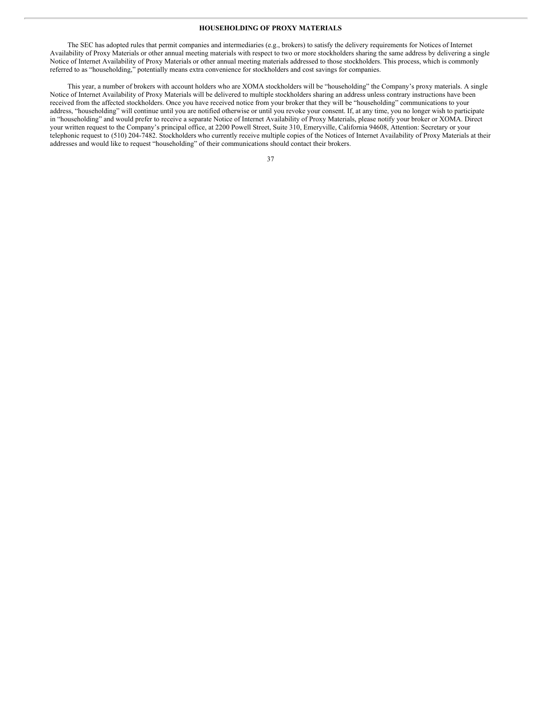#### **HOUSEHOLDING OF PROXY MATERIALS**

The SEC has adopted rules that permit companies and intermediaries (e.g., brokers) to satisfy the delivery requirements for Notices of Internet Availability of Proxy Materials or other annual meeting materials with respect to two or more stockholders sharing the same address by delivering a single Notice of Internet Availability of Proxy Materials or other annual meeting materials addressed to those stockholders. This process, which is commonly referred to as "householding," potentially means extra convenience for stockholders and cost savings for companies.

This year, a number of brokers with account holders who are XOMA stockholders will be "householding" the Company's proxy materials. A single Notice of Internet Availability of Proxy Materials will be delivered to multiple stockholders sharing an address unless contrary instructions have been received from the affected stockholders. Once you have received notice from your broker that they will be "householding" communications to your address, "householding" will continue until you are notified otherwise or until you revoke your consent. If, at any time, you no longer wish to participate in "householding" and would prefer to receive a separate Notice of Internet Availability of Proxy Materials, please notify your broker or XOMA. Direct your written request to the Company's principal office, at 2200 Powell Street, Suite 310, Emeryville, California 94608, Attention: Secretary or your telephonic request to (510) 204-7482. Stockholders who currently receive multiple copies of the Notices of Internet Availability of Proxy Materials at their addresses and would like to request "householding" of their communications should contact their brokers.

| I<br>I<br>$\sim$ | I |
|------------------|---|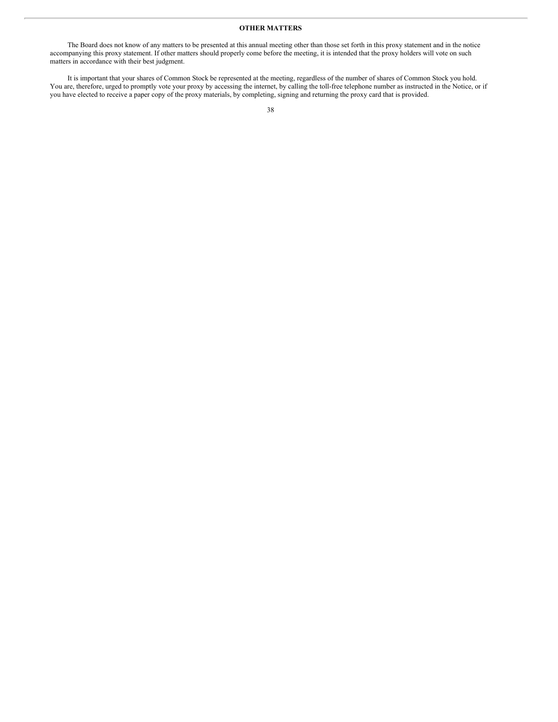#### **OTHER MATTERS**

The Board does not know of any matters to be presented at this annual meeting other than those set forth in this proxy statement and in the notice accompanying this proxy statement. If other matters should properly come before the meeting, it is intended that the proxy holders will vote on such matters in accordance with their best judgment.

It is important that your shares of Common Stock be represented at the meeting, regardless of the number of shares of Common Stock you hold. You are, therefore, urged to promptly vote your proxy by accessing the internet, by calling the toll-free telephone number as instructed in the Notice, or if you have elected to receive a paper copy of the proxy materials, by completing, signing and returning the proxy card that is provided.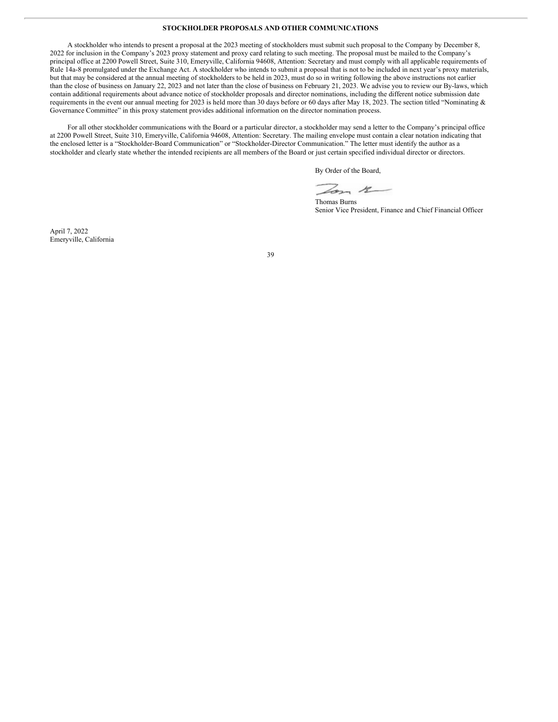#### **STOCKHOLDER PROPOSALS AND OTHER COMMUNICATIONS**

A stockholder who intends to present a proposal at the 2023 meeting of stockholders must submit such proposal to the Company by December 8, 2022 for inclusion in the Company's 2023 proxy statement and proxy card relating to such meeting. The proposal must be mailed to the Company's principal office at 2200 Powell Street, Suite 310, Emeryville, California 94608, Attention: Secretary and must comply with all applicable requirements of Rule 14a-8 promulgated under the Exchange Act. A stockholder who intends to submit a proposal that is not to be included in next year's proxy materials, but that may be considered at the annual meeting of stockholders to be held in 2023, must do so in writing following the above instructions not earlier than the close of business on January 22, 2023 and not later than the close of business on February 21, 2023. We advise you to review our By-laws, which contain additional requirements about advance notice of stockholder proposals and director nominations, including the different notice submission date requirements in the event our annual meeting for 2023 is held more than 30 days before or 60 days after May 18, 2023. The section titled "Nominating & Governance Committee" in this proxy statement provides additional information on the director nomination process.

For all other stockholder communications with the Board or a particular director, a stockholder may send a letter to the Company's principal office at 2200 Powell Street, Suite 310, Emeryville, California 94608, Attention: Secretary. The mailing envelope must contain a clear notation indicating that the enclosed letter is a "Stockholder-Board Communication" or "Stockholder-Director Communication." The letter must identify the author as a stockholder and clearly state whether the intended recipients are all members of the Board or just certain specified individual director or directors.

By Order of the Board,

Lon 12

Thomas Burns Senior Vice President, Finance and Chief Financial Officer

April 7, 2022 Emeryville, California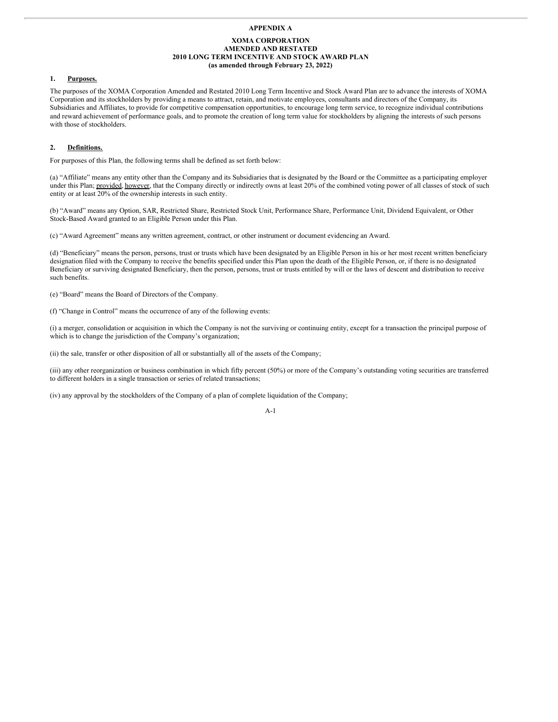#### **APPENDIX A**

#### **XOMA CORPORATION AMENDED AND RESTATED 2010 LONG TERM INCENTIVE AND STOCK AWARD PLAN (as amended through February 23, 2022)**

#### **1. Purposes.**

The purposes of the XOMA Corporation Amended and Restated 2010 Long Term Incentive and Stock Award Plan are to advance the interests of XOMA Corporation and its stockholders by providing a means to attract, retain, and motivate employees, consultants and directors of the Company, its Subsidiaries and Affiliates, to provide for competitive compensation opportunities, to encourage long term service, to recognize individual contributions and reward achievement of performance goals, and to promote the creation of long term value for stockholders by aligning the interests of such persons with those of stockholders.

#### **2. Definitions.**

For purposes of this Plan, the following terms shall be defined as set forth below:

(a) "Affiliate" means any entity other than the Company and its Subsidiaries that is designated by the Board or the Committee as a participating employer under this Plan; provided, however, that the Company directly or indirectly owns at least 20% of the combined voting power of all classes of stock of such entity or at least 20% of the ownership interests in such entity.

(b) "Award" means any Option, SAR, Restricted Share, Restricted Stock Unit, Performance Share, Performance Unit, Dividend Equivalent, or Other Stock-Based Award granted to an Eligible Person under this Plan.

(c) "Award Agreement" means any written agreement, contract, or other instrument or document evidencing an Award.

(d) "Beneficiary" means the person, persons, trust or trusts which have been designated by an Eligible Person in his or her most recent written beneficiary designation filed with the Company to receive the benefits specified under this Plan upon the death of the Eligible Person, or, if there is no designated Beneficiary or surviving designated Beneficiary, then the person, persons, trust or trusts entitled by will or the laws of descent and distribution to receive such benefits.

(e) "Board" means the Board of Directors of the Company.

(f) "Change in Control" means the occurrence of any of the following events:

(i) a merger, consolidation or acquisition in which the Company is not the surviving or continuing entity, except for a transaction the principal purpose of which is to change the jurisdiction of the Company's organization;

(ii) the sale, transfer or other disposition of all or substantially all of the assets of the Company;

(iii) any other reorganization or business combination in which fifty percent (50%) or more of the Company's outstanding voting securities are transferred to different holders in a single transaction or series of related transactions;

(iv) any approval by the stockholders of the Company of a plan of complete liquidation of the Company;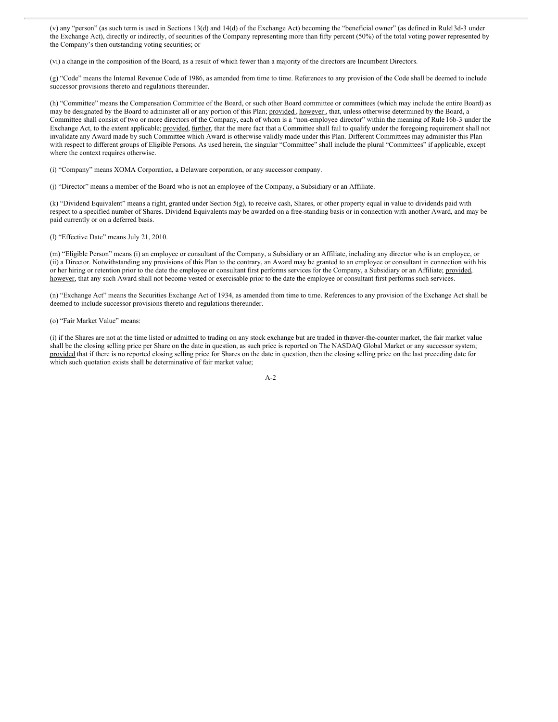(v) any "person" (as such term is used in Sections 13(d) and 14(d) of the Exchange Act) becoming the "beneficial owner" (as defined in Rule13d-3 under the Exchange Act), directly or indirectly, of securities of the Company representing more than fifty percent (50%) of the total voting power represented by the Company's then outstanding voting securities; or

(vi) a change in the composition of the Board, as a result of which fewer than a majority of the directors are Incumbent Directors.

(g) "Code" means the Internal Revenue Code of 1986, as amended from time to time. References to any provision of the Code shall be deemed to include successor provisions thereto and regulations thereunder.

(h) "Committee" means the Compensation Committee of the Board, or such other Board committee or committees (which may include the entire Board) as may be designated by the Board to administer all or any portion of this Plan; provided, however, that, unless otherwise determined by the Board, a Committee shall consist of two or more directors of the Company, each of whom is a "non-employee director" within the meaning of Rule 16b-3 under the Exchange Act, to the extent applicable; provided, further, that the mere fact that a Committee shall fail to qualify under the foregoing requirement shall not invalidate any Award made by such Committee which Award is otherwise validly made under this Plan. Different Committees may administer this Plan with respect to different groups of Eligible Persons. As used herein, the singular "Committee" shall include the plural "Committees" if applicable, except where the context requires otherwise.

(i) "Company" means XOMA Corporation, a Delaware corporation, or any successor company.

(j) "Director" means a member of the Board who is not an employee of the Company, a Subsidiary or an Affiliate.

(k) "Dividend Equivalent" means a right, granted under Section 5(g), to receive cash, Shares, or other property equal in value to dividends paid with respect to a specified number of Shares. Dividend Equivalents may be awarded on a free-standing basis or in connection with another Award, and may be paid currently or on a deferred basis.

(l) "Effective Date" means July 21, 2010.

(m) "Eligible Person" means (i) an employee or consultant of the Company, a Subsidiary or an Affiliate, including any director who is an employee, or (ii) a Director. Notwithstanding any provisions of this Plan to the contrary, an Award may be granted to an employee or consultant in connection with his or her hiring or retention prior to the date the employee or consultant first performs services for the Company, a Subsidiary or an Affiliate; provided, however, that any such Award shall not become vested or exercisable prior to the date the employee or consultant first performs such services.

(n) "Exchange Act" means the Securities Exchange Act of 1934, as amended from time to time. References to any provision of the Exchange Act shall be deemed to include successor provisions thereto and regulations thereunder.

(o) "Fair Market Value" means:

(i) if the Shares are not at the time listed or admitted to trading on any stock exchange but are traded in theover-the-counter market, the fair market value shall be the closing selling price per Share on the date in question, as such price is reported on The NASDAQ Global Market or any successor system; provided that if there is no reported closing selling price for Shares on the date in question, then the closing selling price on the last preceding date for which such quotation exists shall be determinative of fair market value;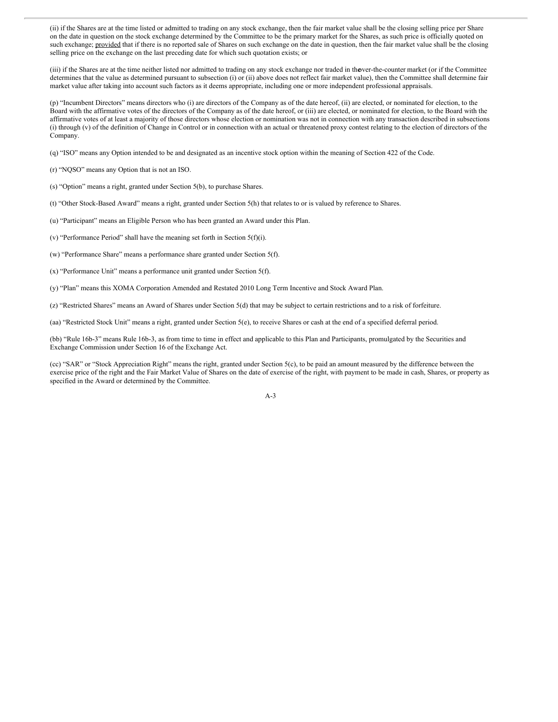(ii) if the Shares are at the time listed or admitted to trading on any stock exchange, then the fair market value shall be the closing selling price per Share on the date in question on the stock exchange determined by the Committee to be the primary market for the Shares, as such price is officially quoted on such exchange; provided that if there is no reported sale of Shares on such exchange on the date in question, then the fair market value shall be the closing selling price on the exchange on the last preceding date for which such quotation exists; or

(iii) if the Shares are at the time neither listed nor admitted to trading on any stock exchange nor traded in theover-the-counter market (or if the Committee determines that the value as determined pursuant to subsection (i) or (ii) above does not reflect fair market value), then the Committee shall determine fair market value after taking into account such factors as it deems appropriate, including one or more independent professional appraisals.

(p) "Incumbent Directors" means directors who (i) are directors of the Company as of the date hereof, (ii) are elected, or nominated for election, to the Board with the affirmative votes of the directors of the Company as of the date hereof, or (iii) are elected, or nominated for election, to the Board with the affirmative votes of at least a majority of those directors whose election or nomination was not in connection with any transaction described in subsections (i) through (v) of the definition of Change in Control or in connection with an actual or threatened proxy contest relating to the election of directors of the Company.

(q) "ISO" means any Option intended to be and designated as an incentive stock option within the meaning of Section 422 of the Code.

(r) "NQSO" means any Option that is not an ISO.

(s) "Option" means a right, granted under Section 5(b), to purchase Shares.

(t) "Other Stock-Based Award" means a right, granted under Section 5(h) that relates to or is valued by reference to Shares.

(u) "Participant" means an Eligible Person who has been granted an Award under this Plan.

(v) "Performance Period" shall have the meaning set forth in Section 5(f)(i).

(w) "Performance Share" means a performance share granted under Section 5(f).

(x) "Performance Unit" means a performance unit granted under Section 5(f).

(y) "Plan" means this XOMA Corporation Amended and Restated 2010 Long Term Incentive and Stock Award Plan.

(z) "Restricted Shares" means an Award of Shares under Section 5(d) that may be subject to certain restrictions and to a risk of forfeiture.

(aa) "Restricted Stock Unit" means a right, granted under Section 5(e), to receive Shares or cash at the end of a specified deferral period.

(bb) "Rule 16b-3" means Rule 16b-3, as from time to time in effect and applicable to this Plan and Participants, promulgated by the Securities and Exchange Commission under Section 16 of the Exchange Act.

(cc) "SAR" or "Stock Appreciation Right" means the right, granted under Section 5(c), to be paid an amount measured by the difference between the exercise price of the right and the Fair Market Value of Shares on the date of exercise of the right, with payment to be made in cash, Shares, or property as specified in the Award or determined by the Committee.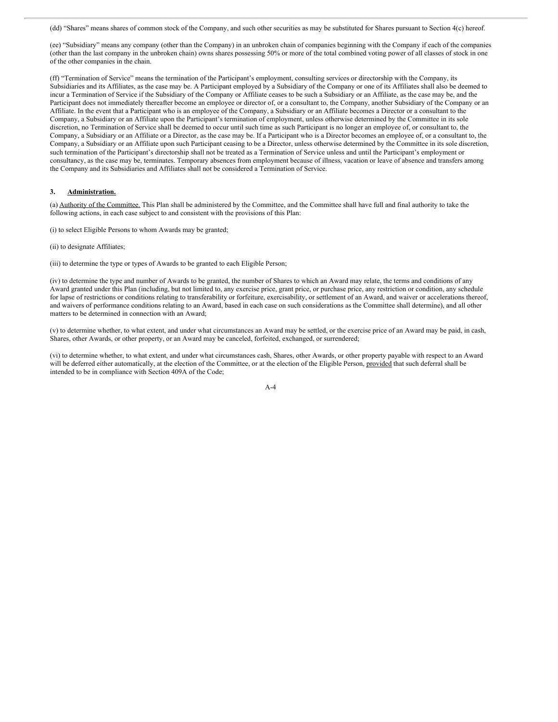(dd) "Shares" means shares of common stock of the Company, and such other securities as may be substituted for Shares pursuant to Section 4(c) hereof.

(ee) "Subsidiary" means any company (other than the Company) in an unbroken chain of companies beginning with the Company if each of the companies (other than the last company in the unbroken chain) owns shares possessing 50% or more of the total combined voting power of all classes of stock in one of the other companies in the chain.

(ff) "Termination of Service" means the termination of the Participant's employment, consulting services or directorship with the Company, its Subsidiaries and its Affiliates, as the case may be. A Participant employed by a Subsidiary of the Company or one of its Affiliates shall also be deemed to incur a Termination of Service if the Subsidiary of the Company or Affiliate ceases to be such a Subsidiary or an Affiliate, as the case may be, and the Participant does not immediately thereafter become an employee or director of, or a consultant to, the Company, another Subsidiary of the Company or an Affiliate. In the event that a Participant who is an employee of the Company, a Subsidiary or an Affiliate becomes a Director or a consultant to the Company, a Subsidiary or an Affiliate upon the Participant's termination of employment, unless otherwise determined by the Committee in its sole discretion, no Termination of Service shall be deemed to occur until such time as such Participant is no longer an employee of, or consultant to, the Company, a Subsidiary or an Affiliate or a Director, as the case may be. If a Participant who is a Director becomes an employee of, or a consultant to, the Company, a Subsidiary or an Affiliate upon such Participant ceasing to be a Director, unless otherwise determined by the Committee in its sole discretion, such termination of the Participant's directorship shall not be treated as a Termination of Service unless and until the Participant's employment or consultancy, as the case may be, terminates. Temporary absences from employment because of illness, vacation or leave of absence and transfers among the Company and its Subsidiaries and Affiliates shall not be considered a Termination of Service.

#### **3. Administration.**

(a) Authority of the Committee. This Plan shall be administered by the Committee, and the Committee shall have full and final authority to take the following actions, in each case subject to and consistent with the provisions of this Plan:

(i) to select Eligible Persons to whom Awards may be granted;

(ii) to designate Affiliates;

(iii) to determine the type or types of Awards to be granted to each Eligible Person;

(iv) to determine the type and number of Awards to be granted, the number of Shares to which an Award may relate, the terms and conditions of any Award granted under this Plan (including, but not limited to, any exercise price, grant price, or purchase price, any restriction or condition, any schedule for lapse of restrictions or conditions relating to transferability or forfeiture, exercisability, or settlement of an Award, and waiver or accelerations thereof, and waivers of performance conditions relating to an Award, based in each case on such considerations as the Committee shall determine), and all other matters to be determined in connection with an Award;

(v) to determine whether, to what extent, and under what circumstances an Award may be settled, or the exercise price of an Award may be paid, in cash, Shares, other Awards, or other property, or an Award may be canceled, forfeited, exchanged, or surrendered;

(vi) to determine whether, to what extent, and under what circumstances cash, Shares, other Awards, or other property payable with respect to an Award will be deferred either automatically, at the election of the Committee, or at the election of the Eligible Person, provided that such deferral shall be intended to be in compliance with Section 409A of the Code;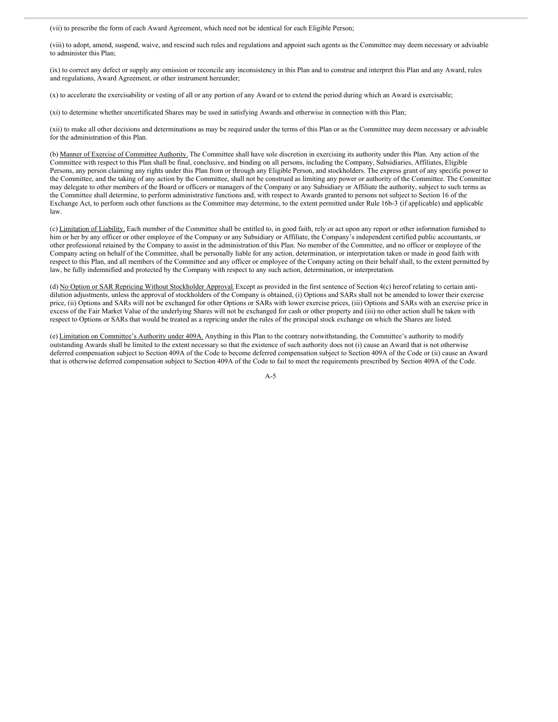(vii) to prescribe the form of each Award Agreement, which need not be identical for each Eligible Person;

(viii) to adopt, amend, suspend, waive, and rescind such rules and regulations and appoint such agents as the Committee may deem necessary or advisable to administer this Plan;

(ix) to correct any defect or supply any omission or reconcile any inconsistency in this Plan and to construe and interpret this Plan and any Award, rules and regulations, Award Agreement, or other instrument hereunder;

(x) to accelerate the exercisability or vesting of all or any portion of any Award or to extend the period during which an Award is exercisable;

(xi) to determine whether uncertificated Shares may be used in satisfying Awards and otherwise in connection with this Plan;

(xii) to make all other decisions and determinations as may be required under the terms of this Plan or as the Committee may deem necessary or advisable for the administration of this Plan.

(b) Manner of Exercise of Committee Authority. The Committee shall have sole discretion in exercising its authority under this Plan. Any action of the Committee with respect to this Plan shall be final, conclusive, and binding on all persons, including the Company, Subsidiaries, Affiliates, Eligible Persons, any person claiming any rights under this Plan from or through any Eligible Person, and stockholders. The express grant of any specific power to the Committee, and the taking of any action by the Committee, shall not be construed as limiting any power or authority of the Committee. The Committee may delegate to other members of the Board or officers or managers of the Company or any Subsidiary or Affiliate the authority, subject to such terms as the Committee shall determine, to perform administrative functions and, with respect to Awards granted to persons not subject to Section 16 of the Exchange Act, to perform such other functions as the Committee may determine, to the extent permitted under Rule 16b-3 (if applicable) and applicable law.

(c) Limitation of Liability. Each member of the Committee shall be entitled to, in good faith, rely or act upon any report or other information furnished to him or her by any officer or other employee of the Company or any Subsidiary or Affiliate, the Company's independent certified public accountants, or other professional retained by the Company to assist in the administration of this Plan. No member of the Committee, and no officer or employee of the Company acting on behalf of the Committee, shall be personally liable for any action, determination, or interpretation taken or made in good faith with respect to this Plan, and all members of the Committee and any officer or employee of the Company acting on their behalf shall, to the extent permitted by law, be fully indemnified and protected by the Company with respect to any such action, determination, or interpretation.

(d) No Option or SAR Repricing Without Stockholder Approval. Except as provided in the first sentence of Section 4(c) hereof relating to certain antidilution adjustments, unless the approval of stockholders of the Company is obtained, (i) Options and SARs shall not be amended to lower their exercise price, (ii) Options and SARs will not be exchanged for other Options or SARs with lower exercise prices, (iii) Options and SARs with an exercise price in excess of the Fair Market Value of the underlying Shares will not be exchanged for cash or other property and (iii) no other action shall be taken with respect to Options or SARs that would be treated as a repricing under the rules of the principal stock exchange on which the Shares are listed.

(e) Limitation on Committee's Authority under 409A. Anything in this Plan to the contrary notwithstanding, the Committee's authority to modify outstanding Awards shall be limited to the extent necessary so that the existence of such authority does not (i) cause an Award that is not otherwise deferred compensation subject to Section 409A of the Code to become deferred compensation subject to Section 409A of the Code or (ii) cause an Award that is otherwise deferred compensation subject to Section 409A of the Code to fail to meet the requirements prescribed by Section 409A of the Code.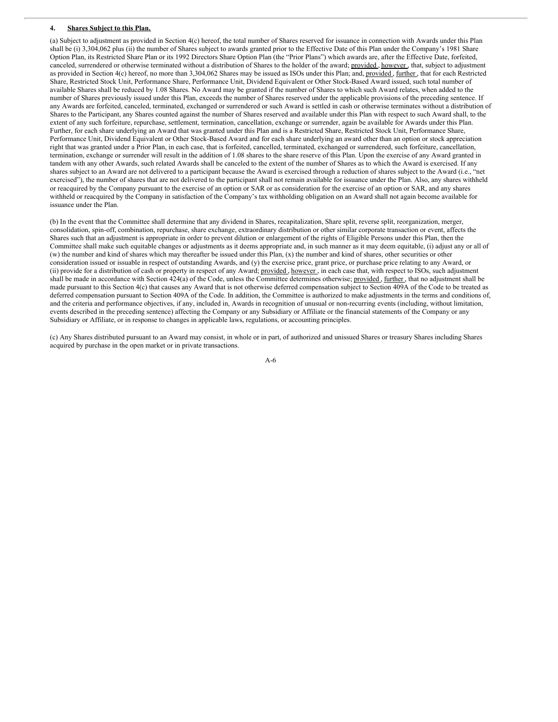#### **4. Shares Subject to this Plan.**

(a) Subject to adjustment as provided in Section 4(c) hereof, the total number of Shares reserved for issuance in connection with Awards under this Plan shall be (i) 3,304,062 plus (ii) the number of Shares subject to awards granted prior to the Effective Date of this Plan under the Company's 1981 Share Option Plan, its Restricted Share Plan or its 1992 Directors Share Option Plan (the "Prior Plans") which awards are, after the Effective Date, forfeited, canceled, surrendered or otherwise terminated without a distribution of Shares to the holder of the award; provided, however, that, subject to adjustment as provided in Section 4(c) hereof, no more than 3,304,062 Shares may be issued as ISOs under this Plan; and, provided, further, that for each Restricted Share, Restricted Stock Unit, Performance Share, Performance Unit, Dividend Equivalent or Other Stock-Based Award issued, such total number of available Shares shall be reduced by 1.08 Shares. No Award may be granted if the number of Shares to which such Award relates, when added to the number of Shares previously issued under this Plan, exceeds the number of Shares reserved under the applicable provisions of the preceding sentence. If any Awards are forfeited, canceled, terminated, exchanged or surrendered or such Award is settled in cash or otherwise terminates without a distribution of Shares to the Participant, any Shares counted against the number of Shares reserved and available under this Plan with respect to such Award shall, to the extent of any such forfeiture, repurchase, settlement, termination, cancellation, exchange or surrender, again be available for Awards under this Plan. Further, for each share underlying an Award that was granted under this Plan and is a Restricted Share, Restricted Stock Unit, Performance Share, Performance Unit, Dividend Equivalent or Other Stock-Based Award and for each share underlying an award other than an option or stock appreciation right that was granted under a Prior Plan, in each case, that is forfeited, cancelled, terminated, exchanged or surrendered, such forfeiture, cancellation, termination, exchange or surrender will result in the addition of 1.08 shares to the share reserve of this Plan. Upon the exercise of any Award granted in tandem with any other Awards, such related Awards shall be canceled to the extent of the number of Shares as to which the Award is exercised. If any shares subject to an Award are not delivered to a participant because the Award is exercised through a reduction of shares subject to the Award (i.e., "net exercised"), the number of shares that are not delivered to the participant shall not remain available for issuance under the Plan. Also, any shares withheld or reacquired by the Company pursuant to the exercise of an option or SAR or as consideration for the exercise of an option or SAR, and any shares withheld or reacquired by the Company in satisfaction of the Company's tax withholding obligation on an Award shall not again become available for issuance under the Plan.

(b) In the event that the Committee shall determine that any dividend in Shares, recapitalization, Share split, reverse split, reorganization, merger, consolidation, spin-off, combination, repurchase, share exchange, extraordinary distribution or other similar corporate transaction or event, affects the Shares such that an adjustment is appropriate in order to prevent dilution or enlargement of the rights of Eligible Persons under this Plan, then the Committee shall make such equitable changes or adjustments as it deems appropriate and, in such manner as it may deem equitable, (i) adjust any or all of (w) the number and kind of shares which may thereafter be issued under this Plan, (x) the number and kind of shares, other securities or other consideration issued or issuable in respect of outstanding Awards, and (y) the exercise price, grant price, or purchase price relating to any Award, or (ii) provide for a distribution of cash or property in respect of any Award; provided, however, in each case that, with respect to ISOs, such adjustment shall be made in accordance with Section 424(a) of the Code, unless the Committee determines otherwise; provided, further, that no adjustment shall be made pursuant to this Section 4(c) that causes any Award that is not otherwise deferred compensation subject to Section 409A of the Code to be treated as deferred compensation pursuant to Section 409A of the Code. In addition, the Committee is authorized to make adjustments in the terms and conditions of, and the criteria and performance objectives, if any, included in, Awards in recognition of unusual or non-recurring events (including, without limitation, events described in the preceding sentence) affecting the Company or any Subsidiary or Affiliate or the financial statements of the Company or any Subsidiary or Affiliate, or in response to changes in applicable laws, regulations, or accounting principles.

(c) Any Shares distributed pursuant to an Award may consist, in whole or in part, of authorized and unissued Shares or treasury Shares including Shares acquired by purchase in the open market or in private transactions.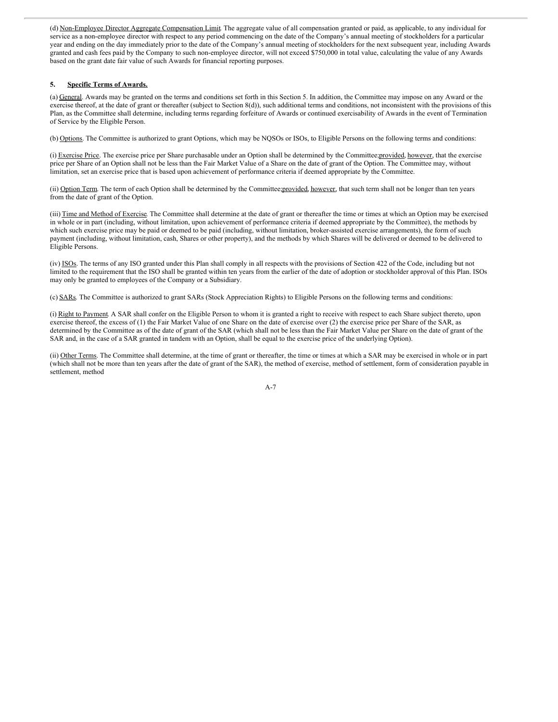(d) Non-Employee Director Aggregate Compensation Limit. The aggregate value of all compensation granted or paid, as applicable, to any individual for service as a non-employee director with respect to any period commencing on the date of the Company's annual meeting of stockholders for a particular year and ending on the day immediately prior to the date of the Company's annual meeting of stockholders for the next subsequent year, including Awards granted and cash fees paid by the Company to such non-employee director, will not exceed \$750,000 in total value, calculating the value of any Awards based on the grant date fair value of such Awards for financial reporting purposes.

#### **5. Specific Terms of Awards.**

(a) General. Awards may be granted on the terms and conditions set forth in this Section 5. In addition, the Committee may impose on any Award or the exercise thereof, at the date of grant or thereafter (subject to Section 8(d)), such additional terms and conditions, not inconsistent with the provisions of this Plan, as the Committee shall determine, including terms regarding forfeiture of Awards or continued exercisability of Awards in the event of Termination of Service by the Eligible Person.

(b) Options. The Committee is authorized to grant Options, which may be NQSOs or ISOs, to Eligible Persons on the following terms and conditions:

(i) Exercise Price. The exercise price per Share purchasable under an Option shall be determined by the Committee;provided, however, that the exercise price per Share of an Option shall not be less than the Fair Market Value of a Share on the date of grant of the Option. The Committee may, without limitation, set an exercise price that is based upon achievement of performance criteria if deemed appropriate by the Committee.

(ii) Option Term. The term of each Option shall be determined by the Committee;provided, however, that such term shall not be longer than ten years from the date of grant of the Option.

(iii) Time and Method of Exercise. The Committee shall determine at the date of grant or thereafter the time or times at which an Option may be exercised in whole or in part (including, without limitation, upon achievement of performance criteria if deemed appropriate by the Committee), the methods by which such exercise price may be paid or deemed to be paid (including, without limitation, broker-assisted exercise arrangements), the form of such payment (including, without limitation, cash, Shares or other property), and the methods by which Shares will be delivered or deemed to be delivered to Eligible Persons.

(iv) ISOs. The terms of any ISO granted under this Plan shall comply in all respects with the provisions of Section 422 of the Code, including but not limited to the requirement that the ISO shall be granted within ten years from the earlier of the date of adoption or stockholder approval of this Plan. ISOs may only be granted to employees of the Company or a Subsidiary.

(c) SARs. The Committee is authorized to grant SARs (Stock Appreciation Rights) to Eligible Persons on the following terms and conditions:

(i) Right to Payment. A SAR shall confer on the Eligible Person to whom it is granted a right to receive with respect to each Share subject thereto, upon exercise thereof, the excess of (1) the Fair Market Value of one Share on the date of exercise over (2) the exercise price per Share of the SAR, as determined by the Committee as of the date of grant of the SAR (which shall not be less than the Fair Market Value per Share on the date of grant of the SAR and, in the case of a SAR granted in tandem with an Option, shall be equal to the exercise price of the underlying Option).

(ii) Other Terms. The Committee shall determine, at the time of grant or thereafter, the time or times at which a SAR may be exercised in whole or in part (which shall not be more than ten years after the date of grant of the SAR), the method of exercise, method of settlement, form of consideration payable in settlement, method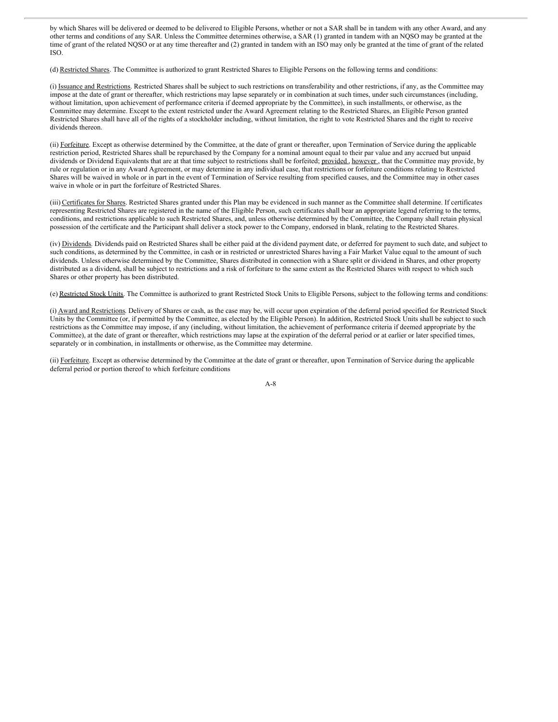by which Shares will be delivered or deemed to be delivered to Eligible Persons, whether or not a SAR shall be in tandem with any other Award, and any other terms and conditions of any SAR. Unless the Committee determines otherwise, a SAR (1) granted in tandem with an NQSO may be granted at the time of grant of the related NQSO or at any time thereafter and (2) granted in tandem with an ISO may only be granted at the time of grant of the related ISO.

(d) Restricted Shares. The Committee is authorized to grant Restricted Shares to Eligible Persons on the following terms and conditions:

(i) Issuance and Restrictions. Restricted Shares shall be subject to such restrictions on transferability and other restrictions, if any, as the Committee may impose at the date of grant or thereafter, which restrictions may lapse separately or in combination at such times, under such circumstances (including, without limitation, upon achievement of performance criteria if deemed appropriate by the Committee), in such installments, or otherwise, as the Committee may determine. Except to the extent restricted under the Award Agreement relating to the Restricted Shares, an Eligible Person granted Restricted Shares shall have all of the rights of a stockholder including, without limitation, the right to vote Restricted Shares and the right to receive dividends thereon.

(ii) Forfeiture. Except as otherwise determined by the Committee, at the date of grant or thereafter, upon Termination of Service during the applicable restriction period, Restricted Shares shall be repurchased by the Company for a nominal amount equal to their par value and any accrued but unpaid dividends or Dividend Equivalents that are at that time subject to restrictions shall be forfeited; provided, however, that the Committee may provide, by rule or regulation or in any Award Agreement, or may determine in any individual case, that restrictions or forfeiture conditions relating to Restricted Shares will be waived in whole or in part in the event of Termination of Service resulting from specified causes, and the Committee may in other cases waive in whole or in part the forfeiture of Restricted Shares.

(iii) Certificates for Shares. Restricted Shares granted under this Plan may be evidenced in such manner as the Committee shall determine. If certificates representing Restricted Shares are registered in the name of the Eligible Person, such certificates shall bear an appropriate legend referring to the terms, conditions, and restrictions applicable to such Restricted Shares, and, unless otherwise determined by the Committee, the Company shall retain physical possession of the certificate and the Participant shall deliver a stock power to the Company, endorsed in blank, relating to the Restricted Shares.

(iv) Dividends. Dividends paid on Restricted Shares shall be either paid at the dividend payment date, or deferred for payment to such date, and subject to such conditions, as determined by the Committee, in cash or in restricted or unrestricted Shares having a Fair Market Value equal to the amount of such dividends. Unless otherwise determined by the Committee, Shares distributed in connection with a Share split or dividend in Shares, and other property distributed as a dividend, shall be subject to restrictions and a risk of forfeiture to the same extent as the Restricted Shares with respect to which such Shares or other property has been distributed.

(e) Restricted Stock Units. The Committee is authorized to grant Restricted Stock Units to Eligible Persons, subject to the following terms and conditions:

(i) Award and Restrictions. Delivery of Shares or cash, as the case may be, will occur upon expiration of the deferral period specified for Restricted Stock Units by the Committee (or, if permitted by the Committee, as elected by the Eligible Person). In addition, Restricted Stock Units shall be subject to such restrictions as the Committee may impose, if any (including, without limitation, the achievement of performance criteria if deemed appropriate by the Committee), at the date of grant or thereafter, which restrictions may lapse at the expiration of the deferral period or at earlier or later specified times, separately or in combination, in installments or otherwise, as the Committee may determine.

(ii) Forfeiture. Except as otherwise determined by the Committee at the date of grant or thereafter, upon Termination of Service during the applicable deferral period or portion thereof to which forfeiture conditions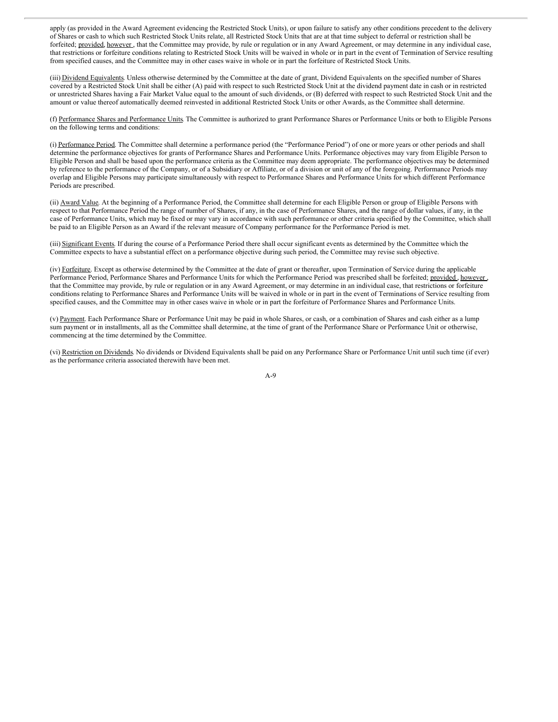apply (as provided in the Award Agreement evidencing the Restricted Stock Units), or upon failure to satisfy any other conditions precedent to the delivery of Shares or cash to which such Restricted Stock Units relate, all Restricted Stock Units that are at that time subject to deferral or restriction shall be forfeited; provided, however, that the Committee may provide, by rule or regulation or in any Award Agreement, or may determine in any individual case, that restrictions or forfeiture conditions relating to Restricted Stock Units will be waived in whole or in part in the event of Termination of Service resulting from specified causes, and the Committee may in other cases waive in whole or in part the forfeiture of Restricted Stock Units.

(iii) Dividend Equivalents. Unless otherwise determined by the Committee at the date of grant, Dividend Equivalents on the specified number of Shares covered by a Restricted Stock Unit shall be either (A) paid with respect to such Restricted Stock Unit at the dividend payment date in cash or in restricted or unrestricted Shares having a Fair Market Value equal to the amount of such dividends, or (B) deferred with respect to such Restricted Stock Unit and the amount or value thereof automatically deemed reinvested in additional Restricted Stock Units or other Awards, as the Committee shall determine.

(f) Performance Shares and Performance Units. The Committee is authorized to grant Performance Shares or Performance Units or both to Eligible Persons on the following terms and conditions:

(i) Performance Period. The Committee shall determine a performance period (the "Performance Period") of one or more years or other periods and shall determine the performance objectives for grants of Performance Shares and Performance Units. Performance objectives may vary from Eligible Person to Eligible Person and shall be based upon the performance criteria as the Committee may deem appropriate. The performance objectives may be determined by reference to the performance of the Company, or of a Subsidiary or Affiliate, or of a division or unit of any of the foregoing. Performance Periods may overlap and Eligible Persons may participate simultaneously with respect to Performance Shares and Performance Units for which different Performance Periods are prescribed.

(ii) Award Value. At the beginning of a Performance Period, the Committee shall determine for each Eligible Person or group of Eligible Persons with respect to that Performance Period the range of number of Shares, if any, in the case of Performance Shares, and the range of dollar values, if any, in the case of Performance Units, which may be fixed or may vary in accordance with such performance or other criteria specified by the Committee, which shall be paid to an Eligible Person as an Award if the relevant measure of Company performance for the Performance Period is met.

(iii) Significant Events. If during the course of a Performance Period there shall occur significant events as determined by the Committee which the Committee expects to have a substantial effect on a performance objective during such period, the Committee may revise such objective.

(iv) Forfeiture. Except as otherwise determined by the Committee at the date of grant or thereafter, upon Termination of Service during the applicable Performance Period, Performance Shares and Performance Units for which the Performance Period was prescribed shall be forfeited; provided, however, that the Committee may provide, by rule or regulation or in any Award Agreement, or may determine in an individual case, that restrictions or forfeiture conditions relating to Performance Shares and Performance Units will be waived in whole or in part in the event of Terminations of Service resulting from specified causes, and the Committee may in other cases waive in whole or in part the forfeiture of Performance Shares and Performance Units.

(v) Payment. Each Performance Share or Performance Unit may be paid in whole Shares, or cash, or a combination of Shares and cash either as a lump sum payment or in installments, all as the Committee shall determine, at the time of grant of the Performance Share or Performance Unit or otherwise, commencing at the time determined by the Committee.

(vi) Restriction on Dividends. No dividends or Dividend Equivalents shall be paid on any Performance Share or Performance Unit until such time (if ever) as the performance criteria associated therewith have been met.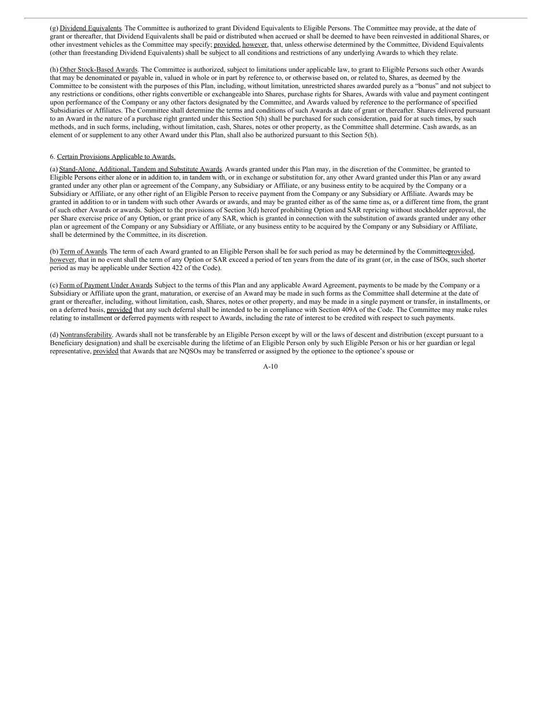(g) Dividend Equivalents. The Committee is authorized to grant Dividend Equivalents to Eligible Persons. The Committee may provide, at the date of grant or thereafter, that Dividend Equivalents shall be paid or distributed when accrued or shall be deemed to have been reinvested in additional Shares, or other investment vehicles as the Committee may specify; provided, however, that, unless otherwise determined by the Committee, Dividend Equivalents (other than freestanding Dividend Equivalents) shall be subject to all conditions and restrictions of any underlying Awards to which they relate.

(h) Other Stock-Based Awards. The Committee is authorized, subject to limitations under applicable law, to grant to Eligible Persons such other Awards that may be denominated or payable in, valued in whole or in part by reference to, or otherwise based on, or related to, Shares, as deemed by the Committee to be consistent with the purposes of this Plan, including, without limitation, unrestricted shares awarded purely as a "bonus" and not subject to any restrictions or conditions, other rights convertible or exchangeable into Shares, purchase rights for Shares, Awards with value and payment contingent upon performance of the Company or any other factors designated by the Committee, and Awards valued by reference to the performance of specified Subsidiaries or Affiliates. The Committee shall determine the terms and conditions of such Awards at date of grant or thereafter. Shares delivered pursuant to an Award in the nature of a purchase right granted under this Section 5(h) shall be purchased for such consideration, paid for at such times, by such methods, and in such forms, including, without limitation, cash, Shares, notes or other property, as the Committee shall determine. Cash awards, as an element of or supplement to any other Award under this Plan, shall also be authorized pursuant to this Section 5(h).

#### 6. Certain Provisions Applicable to Awards.

(a) Stand-Alone, Additional, Tandem and Substitute Awards. Awards granted under this Plan may, in the discretion of the Committee, be granted to Eligible Persons either alone or in addition to, in tandem with, or in exchange or substitution for, any other Award granted under this Plan or any award granted under any other plan or agreement of the Company, any Subsidiary or Affiliate, or any business entity to be acquired by the Company or a Subsidiary or Affiliate, or any other right of an Eligible Person to receive payment from the Company or any Subsidiary or Affiliate. Awards may be granted in addition to or in tandem with such other Awards or awards, and may be granted either as of the same time as, or a different time from, the grant of such other Awards or awards. Subject to the provisions of Section 3(d) hereof prohibiting Option and SAR repricing without stockholder approval, the per Share exercise price of any Option, or grant price of any SAR, which is granted in connection with the substitution of awards granted under any other plan or agreement of the Company or any Subsidiary or Affiliate, or any business entity to be acquired by the Company or any Subsidiary or Affiliate, shall be determined by the Committee, in its discretion.

(b) Term of Awards. The term of each Award granted to an Eligible Person shall be for such period as may be determined by the Committeeprovided, however, that in no event shall the term of any Option or SAR exceed a period of ten years from the date of its grant (or, in the case of ISOs, such shorter period as may be applicable under Section 422 of the Code).

(c) Form of Payment Under Awards. Subject to the terms of this Plan and any applicable Award Agreement, payments to be made by the Company or a Subsidiary or Affiliate upon the grant, maturation, or exercise of an Award may be made in such forms as the Committee shall determine at the date of grant or thereafter, including, without limitation, cash, Shares, notes or other property, and may be made in a single payment or transfer, in installments, or on a deferred basis, provided that any such deferral shall be intended to be in compliance with Section 409A of the Code. The Committee may make rules relating to installment or deferred payments with respect to Awards, including the rate of interest to be credited with respect to such payments.

(d) Nontransferability. Awards shall not be transferable by an Eligible Person except by will or the laws of descent and distribution (except pursuant to a Beneficiary designation) and shall be exercisable during the lifetime of an Eligible Person only by such Eligible Person or his or her guardian or legal representative, provided that Awards that are NQSOs may be transferred or assigned by the optionee to the optionee's spouse or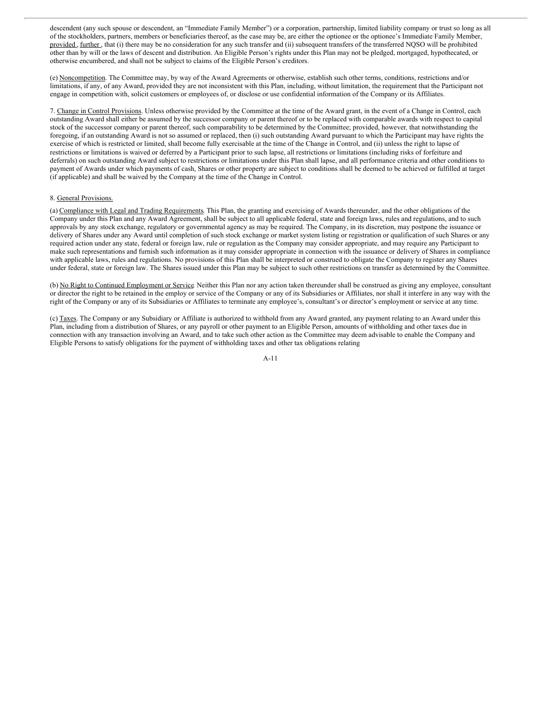descendent (any such spouse or descendent, an "Immediate Family Member") or a corporation, partnership, limited liability company or trust so long as all of the stockholders, partners, members or beneficiaries thereof, as the case may be, are either the optionee or the optionee's Immediate Family Member, provided, further, that (i) there may be no consideration for any such transfer and (ii) subsequent transfers of the transferred NQSO will be prohibited other than by will or the laws of descent and distribution. An Eligible Person's rights under this Plan may not be pledged, mortgaged, hypothecated, or otherwise encumbered, and shall not be subject to claims of the Eligible Person's creditors.

(e) Noncompetition. The Committee may, by way of the Award Agreements or otherwise, establish such other terms, conditions, restrictions and/or limitations, if any, of any Award, provided they are not inconsistent with this Plan, including, without limitation, the requirement that the Participant not engage in competition with, solicit customers or employees of, or disclose or use confidential information of the Company or its Affiliates.

7. Change in Control Provisions. Unless otherwise provided by the Committee at the time of the Award grant, in the event of a Change in Control, each outstanding Award shall either be assumed by the successor company or parent thereof or to be replaced with comparable awards with respect to capital stock of the successor company or parent thereof, such comparability to be determined by the Committee; provided, however*,* that notwithstanding the foregoing, if an outstanding Award is not so assumed or replaced, then (i) such outstanding Award pursuant to which the Participant may have rights the exercise of which is restricted or limited, shall become fully exercisable at the time of the Change in Control, and (ii) unless the right to lapse of restrictions or limitations is waived or deferred by a Participant prior to such lapse, all restrictions or limitations (including risks of forfeiture and deferrals) on such outstanding Award subject to restrictions or limitations under this Plan shall lapse, and all performance criteria and other conditions to payment of Awards under which payments of cash, Shares or other property are subject to conditions shall be deemed to be achieved or fulfilled at target (if applicable) and shall be waived by the Company at the time of the Change in Control.

#### 8. General Provisions.

(a) Compliance with Legal and Trading Requirements. This Plan, the granting and exercising of Awards thereunder, and the other obligations of the Company under this Plan and any Award Agreement, shall be subject to all applicable federal, state and foreign laws, rules and regulations, and to such approvals by any stock exchange, regulatory or governmental agency as may be required. The Company, in its discretion, may postpone the issuance or delivery of Shares under any Award until completion of such stock exchange or market system listing or registration or qualification of such Shares or any required action under any state, federal or foreign law, rule or regulation as the Company may consider appropriate, and may require any Participant to make such representations and furnish such information as it may consider appropriate in connection with the issuance or delivery of Shares in compliance with applicable laws, rules and regulations. No provisions of this Plan shall be interpreted or construed to obligate the Company to register any Shares under federal, state or foreign law. The Shares issued under this Plan may be subject to such other restrictions on transfer as determined by the Committee.

(b) No Right to Continued Employment or Service. Neither this Plan nor any action taken thereunder shall be construed as giving any employee, consultant or director the right to be retained in the employ or service of the Company or any of its Subsidiaries or Affiliates, nor shall it interfere in any way with the right of the Company or any of its Subsidiaries or Affiliates to terminate any employee's, consultant's or director's employment or service at any time.

(c) Taxes. The Company or any Subsidiary or Affiliate is authorized to withhold from any Award granted, any payment relating to an Award under this Plan, including from a distribution of Shares, or any payroll or other payment to an Eligible Person, amounts of withholding and other taxes due in connection with any transaction involving an Award, and to take such other action as the Committee may deem advisable to enable the Company and Eligible Persons to satisfy obligations for the payment of withholding taxes and other tax obligations relating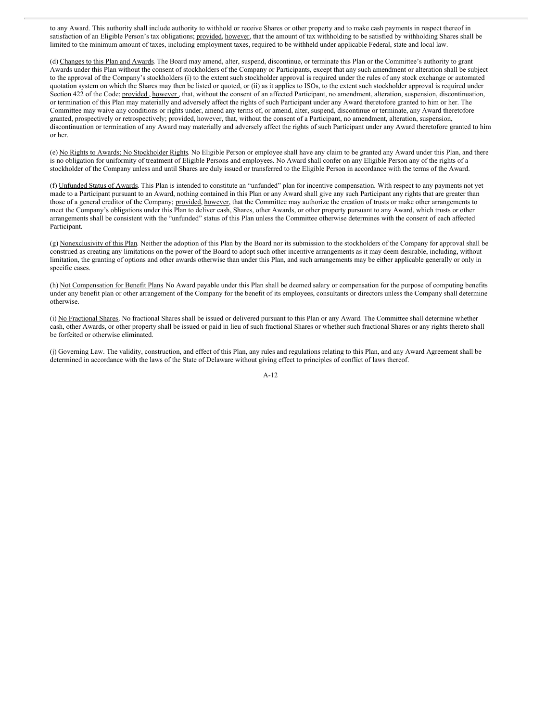to any Award. This authority shall include authority to withhold or receive Shares or other property and to make cash payments in respect thereof in satisfaction of an Eligible Person's tax obligations; provided, however, that the amount of tax withholding to be satisfied by withholding Shares shall be limited to the minimum amount of taxes, including employment taxes, required to be withheld under applicable Federal, state and local law.

(d) Changes to this Plan and Awards. The Board may amend, alter, suspend, discontinue, or terminate this Plan or the Committee's authority to grant Awards under this Plan without the consent of stockholders of the Company or Participants, except that any such amendment or alteration shall be subject to the approval of the Company's stockholders (i) to the extent such stockholder approval is required under the rules of any stock exchange or automated quotation system on which the Shares may then be listed or quoted, or (ii) as it applies to ISOs, to the extent such stockholder approval is required under Section 422 of the Code; provided , however , that, without the consent of an affected Participant, no amendment, alteration, suspension, discontinuation, or termination of this Plan may materially and adversely affect the rights of such Participant under any Award theretofore granted to him or her. The Committee may waive any conditions or rights under, amend any terms of, or amend, alter, suspend, discontinue or terminate, any Award theretofore granted, prospectively or retrospectively; provided, however, that, without the consent of a Participant, no amendment, alteration, suspension, discontinuation or termination of any Award may materially and adversely affect the rights of such Participant under any Award theretofore granted to him or her.

(e) No Rights to Awards; No Stockholder Rights. No Eligible Person or employee shall have any claim to be granted any Award under this Plan, and there is no obligation for uniformity of treatment of Eligible Persons and employees. No Award shall confer on any Eligible Person any of the rights of a stockholder of the Company unless and until Shares are duly issued or transferred to the Eligible Person in accordance with the terms of the Award.

(f) Unfunded Status of Awards. This Plan is intended to constitute an "unfunded" plan for incentive compensation. With respect to any payments not yet made to a Participant pursuant to an Award, nothing contained in this Plan or any Award shall give any such Participant any rights that are greater than those of a general creditor of the Company; provided, however, that the Committee may authorize the creation of trusts or make other arrangements to meet the Company's obligations under this Plan to deliver cash, Shares, other Awards, or other property pursuant to any Award, which trusts or other arrangements shall be consistent with the "unfunded" status of this Plan unless the Committee otherwise determines with the consent of each affected Participant.

(g) Nonexclusivity of this Plan. Neither the adoption of this Plan by the Board nor its submission to the stockholders of the Company for approval shall be construed as creating any limitations on the power of the Board to adopt such other incentive arrangements as it may deem desirable, including, without limitation, the granting of options and other awards otherwise than under this Plan, and such arrangements may be either applicable generally or only in specific cases.

(h) Not Compensation for Benefit Plans. No Award payable under this Plan shall be deemed salary or compensation for the purpose of computing benefits under any benefit plan or other arrangement of the Company for the benefit of its employees, consultants or directors unless the Company shall determine otherwise.

(i) No Fractional Shares. No fractional Shares shall be issued or delivered pursuant to this Plan or any Award. The Committee shall determine whether cash, other Awards, or other property shall be issued or paid in lieu of such fractional Shares or whether such fractional Shares or any rights thereto shall be forfeited or otherwise eliminated.

(j) Governing Law. The validity, construction, and effect of this Plan, any rules and regulations relating to this Plan, and any Award Agreement shall be determined in accordance with the laws of the State of Delaware without giving effect to principles of conflict of laws thereof.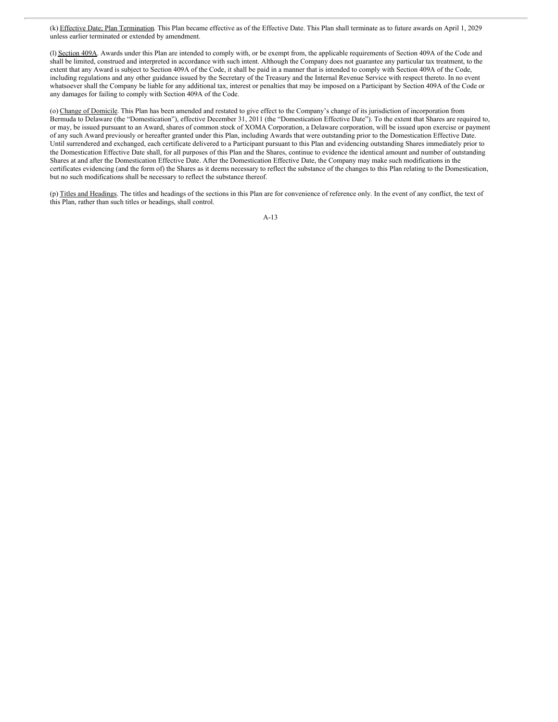(k) Effective Date; Plan Termination. This Plan became effective as of the Effective Date. This Plan shall terminate as to future awards on April 1, 2029 unless earlier terminated or extended by amendment.

(l) Section 409A. Awards under this Plan are intended to comply with, or be exempt from, the applicable requirements of Section 409A of the Code and shall be limited, construed and interpreted in accordance with such intent. Although the Company does not guarantee any particular tax treatment, to the extent that any Award is subject to Section 409A of the Code, it shall be paid in a manner that is intended to comply with Section 409A of the Code, including regulations and any other guidance issued by the Secretary of the Treasury and the Internal Revenue Service with respect thereto. In no event whatsoever shall the Company be liable for any additional tax, interest or penalties that may be imposed on a Participant by Section 409A of the Code or any damages for failing to comply with Section 409A of the Code.

(o) Change of Domicile. This Plan has been amended and restated to give effect to the Company's change of its jurisdiction of incorporation from Bermuda to Delaware (the "Domestication"), effective December 31, 2011 (the "Domestication Effective Date"). To the extent that Shares are required to, or may, be issued pursuant to an Award, shares of common stock of XOMA Corporation, a Delaware corporation, will be issued upon exercise or payment of any such Award previously or hereafter granted under this Plan, including Awards that were outstanding prior to the Domestication Effective Date. Until surrendered and exchanged, each certificate delivered to a Participant pursuant to this Plan and evidencing outstanding Shares immediately prior to the Domestication Effective Date shall, for all purposes of this Plan and the Shares, continue to evidence the identical amount and number of outstanding Shares at and after the Domestication Effective Date. After the Domestication Effective Date, the Company may make such modifications in the certificates evidencing (and the form of) the Shares as it deems necessary to reflect the substance of the changes to this Plan relating to the Domestication, but no such modifications shall be necessary to reflect the substance thereof.

(p) Titles and Headings. The titles and headings of the sections in this Plan are for convenience of reference only. In the event of any conflict, the text of this Plan, rather than such titles or headings, shall control.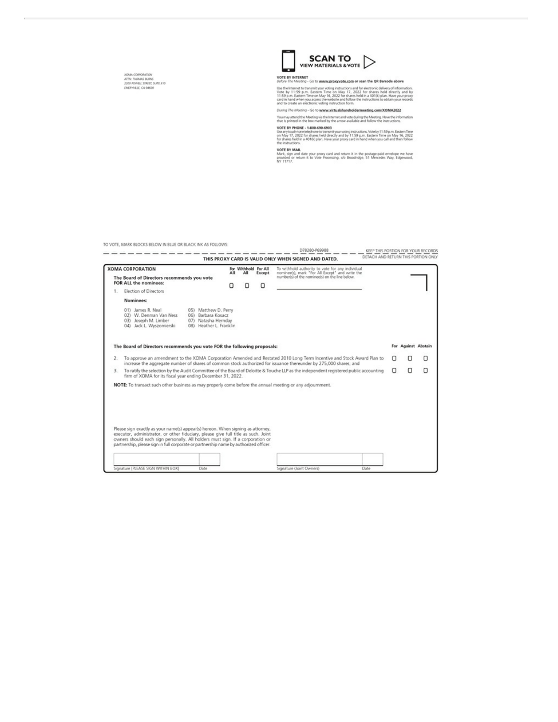XOMM CORPORATION<br>ATTN: THOMAS BURKS<br>2200 POWELL STREET, SUITE 3:10<br>EMERYVILLE, CA 94608



# VOTE BY INTERNET<br>Before The Meeting - Go to www.proxy.vote.com or scan the QR Barcode above<br>Use the internet to transmit was voting instructions and for electronic defeared information

Use the internet to transmit your voting instructions and for electronic delivery of information.<br>
Vote by 11:59 p.m. Eastern Time on May 17, 2022 for shares held directly and by contact the state of the 11:5<br>
11:59 p.m.

#### During The Meeting - Go to www.virtualshareholdermeeting.com/XOMA2022

You may attend the Meeting via the Internet and vote during the Meeting. Have the information<br>that is primed in the box marked by the arrow available and follow the instructions.

VOTE BY PHONE - 1-800-690-6903<br>Uhe Wy (University of the Second State of the Second State of the Second State of the Second State of the Second State of the Second State of the Second State State of the Second State State

work work<br>Mark, sign and date your proxy card and return it in the postage-paid envelope we have<br>provided or return it to Vote Processing, c/o Broadridge, 51 Mercedes Way, Edgewood,<br>NY 11717.

TO VOTE, MARK BLOCKS BELOW IN BLUE OR BLACK INK AS FOLLOWS:

|                | IN ANIE! IMANY BENYUVS BEPAAL III BENE AW BENYUV IIAN WS LAFFA                                                                                                                                                                                                                                                                                   |                                                                                                   |     |                             |        | D78280-P69988                                                                                                                                                                                                                              |   |                     | KEEP THIS PORTION FOR YOUR RECORDS |
|----------------|--------------------------------------------------------------------------------------------------------------------------------------------------------------------------------------------------------------------------------------------------------------------------------------------------------------------------------------------------|---------------------------------------------------------------------------------------------------|-----|-----------------------------|--------|--------------------------------------------------------------------------------------------------------------------------------------------------------------------------------------------------------------------------------------------|---|---------------------|------------------------------------|
|                |                                                                                                                                                                                                                                                                                                                                                  |                                                                                                   |     |                             |        | DETACH AND RETURN THIS PORTION ONLY<br>THIS PROXY CARD IS VALID ONLY WHEN SIGNED AND DATED.                                                                                                                                                |   |                     |                                    |
|                | <b>XOMA CORPORATION</b><br>The Board of Directors recommends you vote<br><b>FOR ALL the nominees:</b>                                                                                                                                                                                                                                            |                                                                                                   | All | For Withhold For All<br>All | Except | To withhold authority to vote for any individual<br>nominee(s), mark "For All Except" and write the<br>number(s) of the nominee(s) on the line below.                                                                                      |   |                     |                                    |
| 1.             | <b>Election of Directors</b>                                                                                                                                                                                                                                                                                                                     |                                                                                                   |     |                             |        |                                                                                                                                                                                                                                            |   |                     |                                    |
|                | Nominees:                                                                                                                                                                                                                                                                                                                                        |                                                                                                   |     |                             |        |                                                                                                                                                                                                                                            |   |                     |                                    |
|                | 01) James R. Neal<br>02) W. Denman Van Ness<br>03) Joseph M. Limber<br>04) Jack L Wyszomierski                                                                                                                                                                                                                                                   | 05) Matthew D. Perry<br>Barbara Kosacz<br>06)<br>07) Natasha Hernday<br>Heather L. Franklin<br>08 |     |                             |        |                                                                                                                                                                                                                                            |   |                     |                                    |
|                | The Board of Directors recommends you vote FOR the following proposals:                                                                                                                                                                                                                                                                          |                                                                                                   |     |                             |        |                                                                                                                                                                                                                                            |   | For Against Abstain |                                    |
| $\mathbf{2}$ . |                                                                                                                                                                                                                                                                                                                                                  |                                                                                                   |     |                             |        | To approve an amendment to the XOMA Corporation Amended and Restated 2010 Long Term Incentive and Stock Award Plan to<br>increase the aggregate number of shares of common stock authorized for issuance thereunder by 275,000 shares; and |   |                     | Ο                                  |
| 3.             | firm of XOMA for its fiscal year ending December 31, 2022.                                                                                                                                                                                                                                                                                       |                                                                                                   |     |                             |        | To ratify the selection by the Audit Committee of the Board of Deloitte & Touche LLP as the independent registered public accounting                                                                                                       | п | Ω                   | о                                  |
|                | NOTE: To transact such other business as may properly come before the annual meeting or any adjournment.                                                                                                                                                                                                                                         |                                                                                                   |     |                             |        |                                                                                                                                                                                                                                            |   |                     |                                    |
|                | Please sign exactly as your name(s) appear(s) hereon. When signing as attorney,<br>executor, administrator, or other fiduciary, please give full title as such. Joint<br>owners should each sign personally. All holders must sign. If a corporation or<br>partnership, please sign in full corporate or partnership name by authorized officer. |                                                                                                   |     |                             |        |                                                                                                                                                                                                                                            |   |                     |                                    |
|                | Signature [PLEASE SIGN WITHIN BOX]                                                                                                                                                                                                                                                                                                               | Date                                                                                              |     |                             |        | Signature (Joint Owners)<br>Date                                                                                                                                                                                                           |   |                     |                                    |